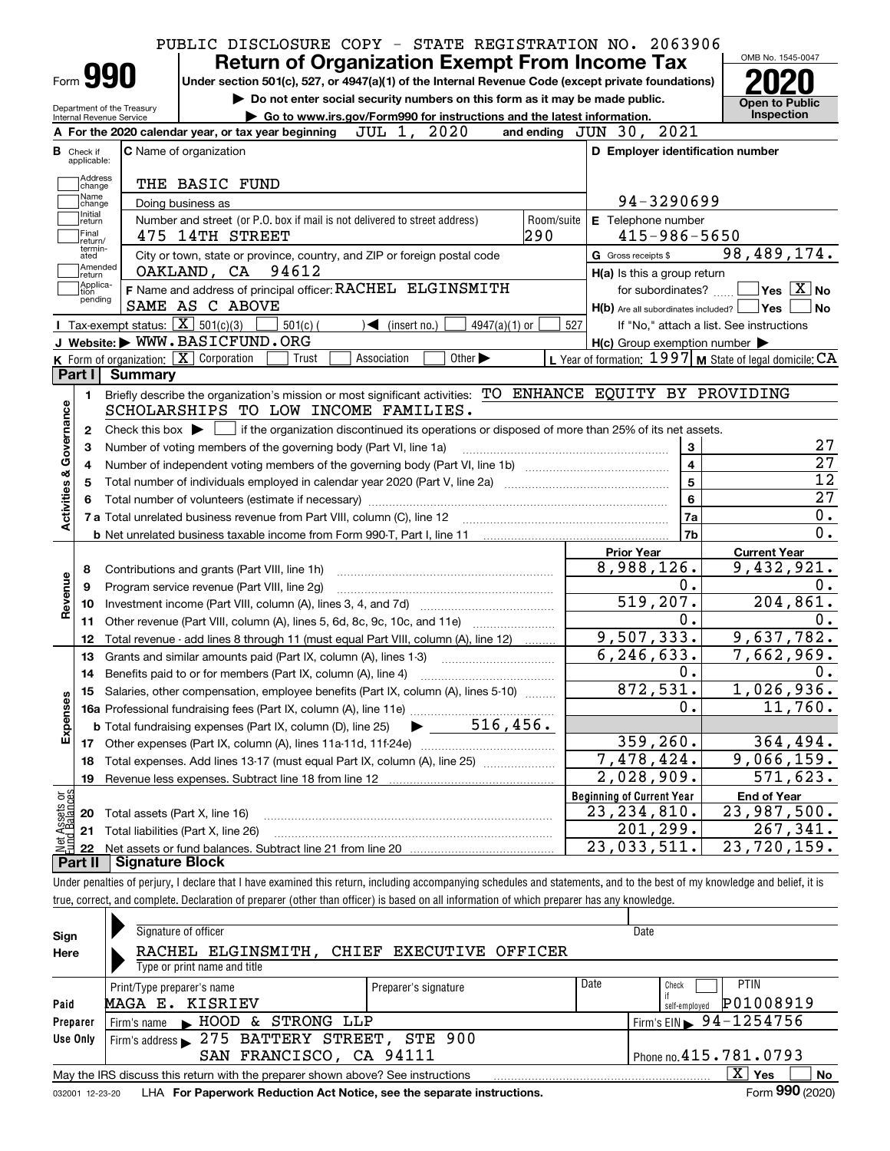|                                            | Form <b>990</b>                                          | <b>Return of Organization Exempt From Income Tax</b>                                                                                                                              |            |                                                                                                                    | OMB No. 1545-0047                                                                                                                 |
|--------------------------------------------|----------------------------------------------------------|-----------------------------------------------------------------------------------------------------------------------------------------------------------------------------------|------------|--------------------------------------------------------------------------------------------------------------------|-----------------------------------------------------------------------------------------------------------------------------------|
|                                            |                                                          | Under section 501(c), 527, or 4947(a)(1) of the Internal Revenue Code (except private foundations)<br>Do not enter social security numbers on this form as it may be made public. |            |                                                                                                                    |                                                                                                                                   |
| Internal Revenue Service                   | Department of the Treasury                               | Go to www.irs.gov/Form990 for instructions and the latest information.                                                                                                            |            |                                                                                                                    | <b>Open to Public</b><br><b>Inspection</b>                                                                                        |
|                                            |                                                          | JUL 1, 2020<br>A For the 2020 calendar year, or tax year beginning                                                                                                                |            | and ending JUN 30, 2021                                                                                            |                                                                                                                                   |
| <b>B</b> Check if<br>applicable:           |                                                          | <b>C</b> Name of organization                                                                                                                                                     |            | D Employer identification number                                                                                   |                                                                                                                                   |
| Address                                    |                                                          |                                                                                                                                                                                   |            |                                                                                                                    |                                                                                                                                   |
| change<br>Name                             |                                                          | THE BASIC FUND                                                                                                                                                                    |            |                                                                                                                    |                                                                                                                                   |
| change<br>Initial                          |                                                          | Doing business as                                                                                                                                                                 |            | 94-3290699                                                                                                         |                                                                                                                                   |
| return<br> Final                           |                                                          | Number and street (or P.O. box if mail is not delivered to street address)                                                                                                        | Room/suite | E Telephone number                                                                                                 |                                                                                                                                   |
| return/<br>termin-                         |                                                          | 475 14TH STREET                                                                                                                                                                   | 290        | $415 - 986 - 5650$                                                                                                 |                                                                                                                                   |
| ated<br> Amended                           |                                                          | City or town, state or province, country, and ZIP or foreign postal code                                                                                                          |            | G Gross receipts \$                                                                                                | 98,489,174.                                                                                                                       |
| ∣return<br> Applica-                       |                                                          | OAKLAND, CA 94612                                                                                                                                                                 |            | H(a) Is this a group return                                                                                        |                                                                                                                                   |
| tion<br>pending                            |                                                          | F Name and address of principal officer: RACHEL ELGINSMITH<br>SAME AS C ABOVE                                                                                                     |            | for subordinates?                                                                                                  | $\sqrt{}$ Yes $\sqrt{}$ X $\sqrt{}$ No                                                                                            |
|                                            | Tax-exempt status: $\boxed{\mathbf{X}}$ 501(c)(3)        |                                                                                                                                                                                   |            | H(b) Are all subordinates included?   Yes                                                                          |                                                                                                                                   |
|                                            |                                                          | $501(c)$ (<br>$\triangleleft$ (insert no.)<br>$4947(a)(1)$ or<br>J Website: WWW.BASICFUND.ORG                                                                                     | 527        |                                                                                                                    | If "No," attach a list. See instructions                                                                                          |
|                                            | K Form of organization: $\boxed{\mathbf{X}}$ Corporation | Other $\blacktriangleright$<br>Trust<br>Association                                                                                                                               |            | $H(c)$ Group exemption number $\blacktriangleright$<br>L Year of formation: $1997$ M State of legal domicile: $CA$ |                                                                                                                                   |
| Part I                                     | Summary                                                  |                                                                                                                                                                                   |            |                                                                                                                    |                                                                                                                                   |
|                                            |                                                          | Briefly describe the organization's mission or most significant activities: TO ENHANCE EQUITY BY PROVIDING                                                                        |            |                                                                                                                    |                                                                                                                                   |
| 1.                                         |                                                          | SCHOLARSHIPS TO LOW INCOME FAMILIES.                                                                                                                                              |            |                                                                                                                    |                                                                                                                                   |
|                                            |                                                          |                                                                                                                                                                                   |            |                                                                                                                    |                                                                                                                                   |
| 2                                          |                                                          | Check this box $\blacktriangleright$ $\Box$ if the organization discontinued its operations or disposed of more than 25% of its net assets.                                       |            |                                                                                                                    |                                                                                                                                   |
| З                                          |                                                          | Number of voting members of the governing body (Part VI, line 1a)                                                                                                                 |            | 3<br>4                                                                                                             |                                                                                                                                   |
| 4                                          |                                                          |                                                                                                                                                                                   |            | $5\phantom{a}$                                                                                                     |                                                                                                                                   |
| Activities & Governance<br>5               |                                                          |                                                                                                                                                                                   |            |                                                                                                                    |                                                                                                                                   |
|                                            |                                                          |                                                                                                                                                                                   |            |                                                                                                                    |                                                                                                                                   |
|                                            |                                                          |                                                                                                                                                                                   |            | 6                                                                                                                  |                                                                                                                                   |
|                                            |                                                          |                                                                                                                                                                                   |            | 7a                                                                                                                 |                                                                                                                                   |
|                                            |                                                          |                                                                                                                                                                                   |            | 7b                                                                                                                 |                                                                                                                                   |
|                                            |                                                          |                                                                                                                                                                                   |            | <b>Prior Year</b>                                                                                                  | <b>Current Year</b>                                                                                                               |
| 8                                          |                                                          | Contributions and grants (Part VIII, line 1h)                                                                                                                                     |            | 8,988,126.                                                                                                         |                                                                                                                                   |
| 9                                          |                                                          | Program service revenue (Part VIII, line 2g)                                                                                                                                      |            | 0.                                                                                                                 |                                                                                                                                   |
| 10                                         |                                                          |                                                                                                                                                                                   |            | 519,207.                                                                                                           |                                                                                                                                   |
| 11                                         |                                                          | Other revenue (Part VIII, column (A), lines 5, 6d, 8c, 9c, 10c, and 11e)                                                                                                          |            | 0.                                                                                                                 |                                                                                                                                   |
| 12                                         |                                                          | Total revenue - add lines 8 through 11 (must equal Part VIII, column (A), line 12)                                                                                                |            | 9,507,333.                                                                                                         |                                                                                                                                   |
| 13                                         |                                                          | Grants and similar amounts paid (Part IX, column (A), lines 1-3)                                                                                                                  |            | 6, 246, 633.                                                                                                       |                                                                                                                                   |
| 14                                         |                                                          |                                                                                                                                                                                   |            | 0.                                                                                                                 |                                                                                                                                   |
|                                            |                                                          | 15 Salaries, other compensation, employee benefits (Part IX, column (A), lines 5-10)                                                                                              |            | 872,531.                                                                                                           |                                                                                                                                   |
|                                            |                                                          |                                                                                                                                                                                   |            | 0.                                                                                                                 |                                                                                                                                   |
|                                            |                                                          | 516,456.<br><b>b</b> Total fundraising expenses (Part IX, column (D), line 25)                                                                                                    |            |                                                                                                                    |                                                                                                                                   |
| 17                                         |                                                          |                                                                                                                                                                                   |            | 359, 260.                                                                                                          |                                                                                                                                   |
| 18                                         |                                                          | Total expenses. Add lines 13-17 (must equal Part IX, column (A), line 25)                                                                                                         |            | 7,478,424.                                                                                                         |                                                                                                                                   |
| Revenue<br>Expenses<br>19                  |                                                          |                                                                                                                                                                                   |            | 2,028,909.                                                                                                         |                                                                                                                                   |
|                                            |                                                          |                                                                                                                                                                                   |            | <b>Beginning of Current Year</b>                                                                                   | <b>End of Year</b>                                                                                                                |
| 20                                         | Total assets (Part X, line 16)                           |                                                                                                                                                                                   |            | 23, 234, 810.                                                                                                      | 9,432,921.<br>204,861.<br>9,637,782.<br>7,662,969.<br>1,026,936.<br>11,760.<br>364, 494.<br>9,066,159.<br>571,623.<br>23,987,500. |
| Net Assets or<br>Eund Balances<br>21<br>22 |                                                          | Total liabilities (Part X, line 26)                                                                                                                                               |            | 201, 299.<br>23,033,511.                                                                                           | 267,341.<br>23,720,159.                                                                                                           |

| Sign     |                                                                                                    | Signature of officer                          |                                                                            |  |                      |  |                                                    | Date                                   |  |  |  |  |
|----------|----------------------------------------------------------------------------------------------------|-----------------------------------------------|----------------------------------------------------------------------------|--|----------------------|--|----------------------------------------------------|----------------------------------------|--|--|--|--|
| Here     |                                                                                                    |                                               | RACHEL ELGINSMITH, CHIEF EXECUTIVE OFFICER<br>Type or print name and title |  |                      |  |                                                    |                                        |  |  |  |  |
| Paid     |                                                                                                    | Print/Type preparer's name<br>MAGA E. KISRIEV |                                                                            |  | Preparer's signature |  | <b>PTIN</b><br>Check<br>P01008919<br>self-emploved |                                        |  |  |  |  |
| Preparer |                                                                                                    |                                               | Firm's name MHOOD & STRONG LLP                                             |  |                      |  |                                                    | Firm's EIN $\triangleright$ 94-1254756 |  |  |  |  |
| Use Only | Firm's address 275 BATTERY STREET, STE 900                                                         |                                               |                                                                            |  |                      |  |                                                    |                                        |  |  |  |  |
|          | SAN FRANCISCO, CA 94111<br>Phone no. 415.781.0793                                                  |                                               |                                                                            |  |                      |  |                                                    |                                        |  |  |  |  |
|          | ΧI<br>Yes<br>No<br>May the IRS discuss this return with the preparer shown above? See instructions |                                               |                                                                            |  |                      |  |                                                    |                                        |  |  |  |  |

true, correct, and complete. Declaration of preparer (other than officer) is based on all information of which preparer has any knowledge.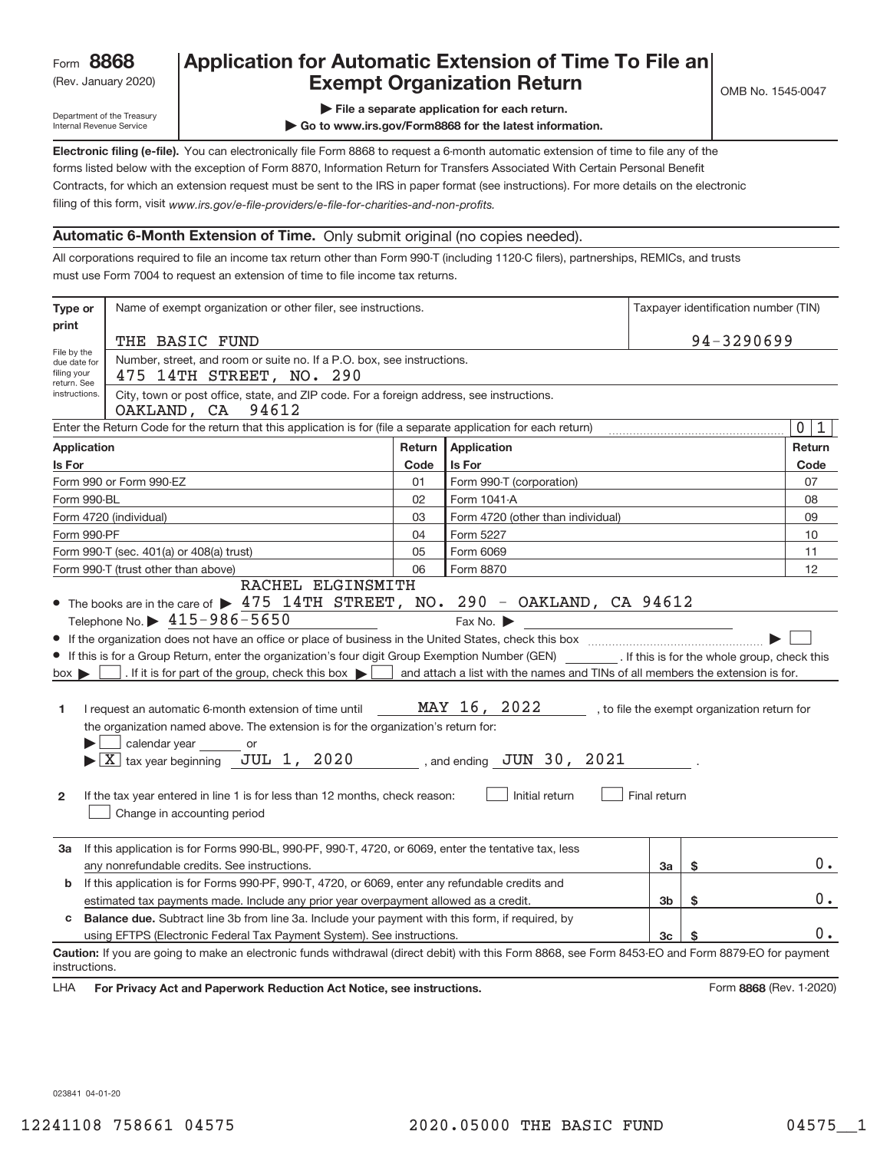### Rev. January 2020) **Cxempt Organization Return** Manuary 2020 and the Sea of the Sea of the Sea of the Sea of the S **Application for Automatic Extension of Time To File an**

Department of the Treasury Internal Revenue Service

**| File a separate application for each return.**

**| Go to www.irs.gov/Form8868 for the latest information.**

**Electronic filing (e‐file).**  You can electronically file Form 8868 to request a 6‐month automatic extension of time to file any of the filing of this form, visit www.irs.gov/e-file-providers/e-file-for-charities-and-non-profits. forms listed below with the exception of Form 8870, Information Return for Transfers Associated With Certain Personal Benefit Contracts, for which an extension request must be sent to the IRS in paper format (see instructions). For more details on the electronic

### **Automatic 6‐Month Extension of Time.** Only submit original (no copies needed).

All corporations required to file an income tax return other than Form 990‐T (including 1120‐C filers), partnerships, REMICs, and trusts must use Form 7004 to request an extension of time to file income tax returns.

| Type or                                                                                          | Name of exempt organization or other filer, see instructions.                                                                                                                                                                                                                                                                                                                                                                                                                                                                                                                                                                             | Taxpayer identification number (TIN) |                                                                                                                                                              |              |    |                                              |
|--------------------------------------------------------------------------------------------------|-------------------------------------------------------------------------------------------------------------------------------------------------------------------------------------------------------------------------------------------------------------------------------------------------------------------------------------------------------------------------------------------------------------------------------------------------------------------------------------------------------------------------------------------------------------------------------------------------------------------------------------------|--------------------------------------|--------------------------------------------------------------------------------------------------------------------------------------------------------------|--------------|----|----------------------------------------------|
| print                                                                                            | THE BASIC FUND                                                                                                                                                                                                                                                                                                                                                                                                                                                                                                                                                                                                                            | 94-3290699                           |                                                                                                                                                              |              |    |                                              |
| File by the<br>due date for<br>filing your<br>return. See                                        | Number, street, and room or suite no. If a P.O. box, see instructions.<br>475 14TH STREET, NO. 290                                                                                                                                                                                                                                                                                                                                                                                                                                                                                                                                        |                                      |                                                                                                                                                              |              |    |                                              |
| instructions.                                                                                    | City, town or post office, state, and ZIP code. For a foreign address, see instructions.<br>OAKLAND, CA<br>94612                                                                                                                                                                                                                                                                                                                                                                                                                                                                                                                          |                                      |                                                                                                                                                              |              |    |                                              |
|                                                                                                  | Enter the Return Code for the return that this application is for (file a separate application for each return)                                                                                                                                                                                                                                                                                                                                                                                                                                                                                                                           |                                      |                                                                                                                                                              |              |    | $\mathbf 0$<br>1                             |
| <b>Application</b>                                                                               |                                                                                                                                                                                                                                                                                                                                                                                                                                                                                                                                                                                                                                           | Return                               | <b>Application</b>                                                                                                                                           |              |    | Return                                       |
| Is For                                                                                           |                                                                                                                                                                                                                                                                                                                                                                                                                                                                                                                                                                                                                                           | Code                                 | Is For                                                                                                                                                       |              |    | Code                                         |
|                                                                                                  | Form 990 or Form 990-EZ                                                                                                                                                                                                                                                                                                                                                                                                                                                                                                                                                                                                                   | 01                                   | Form 990-T (corporation)                                                                                                                                     |              |    | 07                                           |
| Form 990-BL                                                                                      |                                                                                                                                                                                                                                                                                                                                                                                                                                                                                                                                                                                                                                           | 02                                   | Form 1041-A                                                                                                                                                  |              |    | 08                                           |
|                                                                                                  | Form 4720 (individual)                                                                                                                                                                                                                                                                                                                                                                                                                                                                                                                                                                                                                    | 03                                   | Form 4720 (other than individual)                                                                                                                            |              |    | 09                                           |
| Form 990-PF                                                                                      |                                                                                                                                                                                                                                                                                                                                                                                                                                                                                                                                                                                                                                           | 04                                   | Form 5227                                                                                                                                                    |              |    | 10                                           |
|                                                                                                  | Form 990-T (sec. 401(a) or 408(a) trust)                                                                                                                                                                                                                                                                                                                                                                                                                                                                                                                                                                                                  | 05                                   | Form 6069                                                                                                                                                    |              |    | 11                                           |
|                                                                                                  | Form 990-T (trust other than above)<br>RACHEL ELGINSMITH                                                                                                                                                                                                                                                                                                                                                                                                                                                                                                                                                                                  | 06                                   | Form 8870                                                                                                                                                    |              |    | 12                                           |
| $box \triangleright$<br>1<br>2                                                                   | Telephone No. $\triangleright$ 415-986-5650<br>If this is for a Group Return, enter the organization's four digit Group Exemption Number (GEN) [If this is for the whole group, check this<br>. If it is for part of the group, check this box $\blacktriangleright$<br>I request an automatic 6-month extension of time until<br>the organization named above. The extension is for the organization's return for:<br>calendar year ________ or<br>$\blacktriangleright$ $\boxed{\text{X}}$ tax year beginning JUL 1, 2020<br>If the tax year entered in line 1 is for less than 12 months, check reason:<br>Change in accounting period |                                      | Fax No.<br>and attach a list with the names and TINs of all members the extension is for.<br>MAY 16, 2022<br>, and ending $JUN$ 30, $2021$<br>Initial return | Final return |    | , to file the exempt organization return for |
| За                                                                                               | If this application is for Forms 990-BL, 990-PF, 990-T, 4720, or 6069, enter the tentative tax, less<br>any nonrefundable credits. See instructions.                                                                                                                                                                                                                                                                                                                                                                                                                                                                                      |                                      |                                                                                                                                                              | За           | \$ | 0.                                           |
| b                                                                                                | If this application is for Forms 990-PF, 990-T, 4720, or 6069, enter any refundable credits and                                                                                                                                                                                                                                                                                                                                                                                                                                                                                                                                           |                                      |                                                                                                                                                              |              |    |                                              |
| \$<br>estimated tax payments made. Include any prior year overpayment allowed as a credit.<br>3b |                                                                                                                                                                                                                                                                                                                                                                                                                                                                                                                                                                                                                                           |                                      |                                                                                                                                                              |              |    | 0.                                           |
| c                                                                                                | <b>Balance due.</b> Subtract line 3b from line 3a. Include your payment with this form, if required, by                                                                                                                                                                                                                                                                                                                                                                                                                                                                                                                                   |                                      |                                                                                                                                                              |              |    |                                              |
|                                                                                                  | using EFTPS (Electronic Federal Tax Payment System). See instructions.                                                                                                                                                                                                                                                                                                                                                                                                                                                                                                                                                                    |                                      |                                                                                                                                                              | 3c           | S  | $0$ .                                        |
| instructions.                                                                                    | Caution: If you are going to make an electronic funds withdrawal (direct debit) with this Form 8868, see Form 8453-EO and Form 8879-EO for payment                                                                                                                                                                                                                                                                                                                                                                                                                                                                                        |                                      |                                                                                                                                                              |              |    |                                              |
| <b>LHA</b>                                                                                       | For Privacy Act and Paperwork Reduction Act Notice, see instructions.                                                                                                                                                                                                                                                                                                                                                                                                                                                                                                                                                                     |                                      |                                                                                                                                                              |              |    | Form 8868 (Rev. 1-2020)                      |

023841 04‐01‐20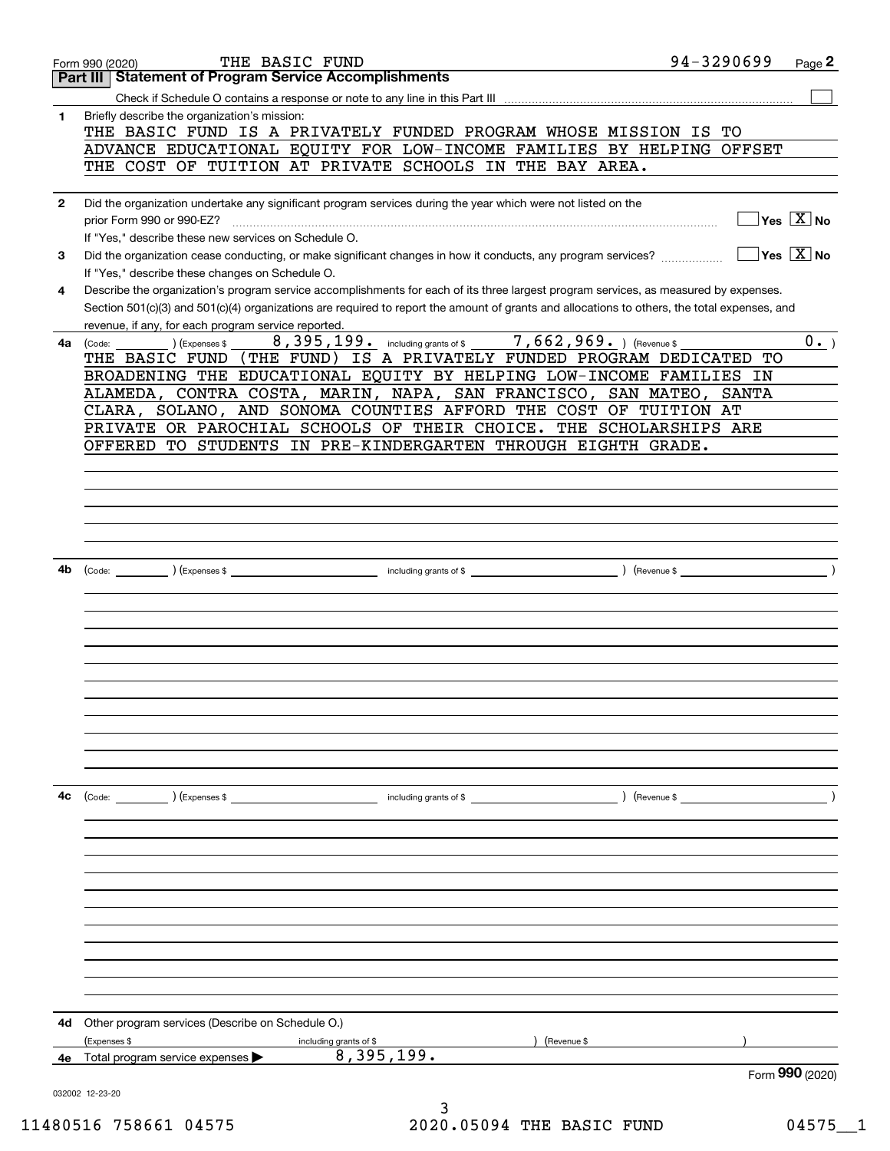|              | THE BASIC FUND<br>Form 990 (2020)                                                                                                            | 94-3290699                             | Page 2                                        |
|--------------|----------------------------------------------------------------------------------------------------------------------------------------------|----------------------------------------|-----------------------------------------------|
|              | <b>Statement of Program Service Accomplishments</b><br>Part III                                                                              |                                        |                                               |
|              |                                                                                                                                              |                                        |                                               |
| 1            | Briefly describe the organization's mission:                                                                                                 |                                        |                                               |
|              | THE BASIC FUND IS A PRIVATELY FUNDED PROGRAM WHOSE MISSION IS TO                                                                             |                                        |                                               |
|              | ADVANCE EDUCATIONAL EQUITY FOR LOW-INCOME FAMILIES BY HELPING OFFSET                                                                         |                                        |                                               |
|              | THE COST OF TUITION AT PRIVATE SCHOOLS IN THE BAY AREA.                                                                                      |                                        |                                               |
|              |                                                                                                                                              |                                        |                                               |
| $\mathbf{2}$ | Did the organization undertake any significant program services during the year which were not listed on the                                 |                                        | $\sqrt{}$ Yes $\sqrt{}$ $\overline{\rm X}$ No |
|              | prior Form 990 or 990-EZ?<br>If "Yes," describe these new services on Schedule O.                                                            |                                        |                                               |
| 3            | Did the organization cease conducting, or make significant changes in how it conducts, any program services?                                 | $\sqrt{}$ Yes $\sqrt{}$ X $\sqrt{}$ No |                                               |
|              | If "Yes," describe these changes on Schedule O.                                                                                              |                                        |                                               |
| 4            | Describe the organization's program service accomplishments for each of its three largest program services, as measured by expenses.         |                                        |                                               |
|              | Section 501(c)(3) and 501(c)(4) organizations are required to report the amount of grants and allocations to others, the total expenses, and |                                        |                                               |
|              | revenue, if any, for each program service reported.                                                                                          |                                        |                                               |
| 4a           | 8,395,199. including grants of \$ 7,662,969. (Revenue \$<br>) (Expenses \$<br>(Code:                                                         |                                        | $0 \cdot$ )                                   |
|              | (THE FUND) IS A PRIVATELY FUNDED PROGRAM DEDICATED<br>THE BASIC FUND                                                                         | TО                                     |                                               |
|              | BROADENING THE EDUCATIONAL EQUITY BY HELPING LOW-INCOME FAMILIES IN                                                                          |                                        |                                               |
|              | ALAMEDA, CONTRA COSTA, MARIN, NAPA, SAN FRANCISCO, SAN MATEO,                                                                                | <b>SANTA</b>                           |                                               |
|              | CLARA, SOLANO, AND SONOMA COUNTIES AFFORD THE COST OF TUITION AT                                                                             |                                        |                                               |
|              | PRIVATE OR PAROCHIAL SCHOOLS OF THEIR CHOICE. THE SCHOLARSHIPS ARE                                                                           |                                        |                                               |
|              | OFFERED TO STUDENTS IN PRE-KINDERGARTEN THROUGH EIGHTH GRADE.                                                                                |                                        |                                               |
|              |                                                                                                                                              |                                        |                                               |
|              |                                                                                                                                              |                                        |                                               |
|              |                                                                                                                                              |                                        |                                               |
|              |                                                                                                                                              |                                        |                                               |
|              |                                                                                                                                              |                                        |                                               |
| 4b           |                                                                                                                                              |                                        |                                               |
|              |                                                                                                                                              |                                        |                                               |
|              |                                                                                                                                              |                                        |                                               |
|              |                                                                                                                                              |                                        |                                               |
|              |                                                                                                                                              |                                        |                                               |
|              |                                                                                                                                              |                                        |                                               |
|              |                                                                                                                                              |                                        |                                               |
|              |                                                                                                                                              |                                        |                                               |
|              |                                                                                                                                              |                                        |                                               |
|              |                                                                                                                                              |                                        |                                               |
|              |                                                                                                                                              |                                        |                                               |
|              |                                                                                                                                              |                                        |                                               |
|              |                                                                                                                                              |                                        |                                               |
| 4с           | (Code: ) (Expenses \$<br>) (Revenue \$<br>including grants of \$                                                                             |                                        |                                               |
|              |                                                                                                                                              |                                        |                                               |
|              |                                                                                                                                              |                                        |                                               |
|              |                                                                                                                                              |                                        |                                               |
|              |                                                                                                                                              |                                        |                                               |
|              |                                                                                                                                              |                                        |                                               |
|              |                                                                                                                                              |                                        |                                               |
|              |                                                                                                                                              |                                        |                                               |
|              |                                                                                                                                              |                                        |                                               |
|              |                                                                                                                                              |                                        |                                               |
|              |                                                                                                                                              |                                        |                                               |
|              |                                                                                                                                              |                                        |                                               |
| 4d           | Other program services (Describe on Schedule O.)                                                                                             |                                        |                                               |
|              | (Expenses \$<br>(Revenue \$<br>including grants of \$                                                                                        |                                        |                                               |
|              | 8,395,199.<br>4e Total program service expenses $\blacktriangleright$                                                                        |                                        |                                               |
|              |                                                                                                                                              |                                        | Form 990 (2020)                               |
|              | 032002 12-23-20                                                                                                                              |                                        |                                               |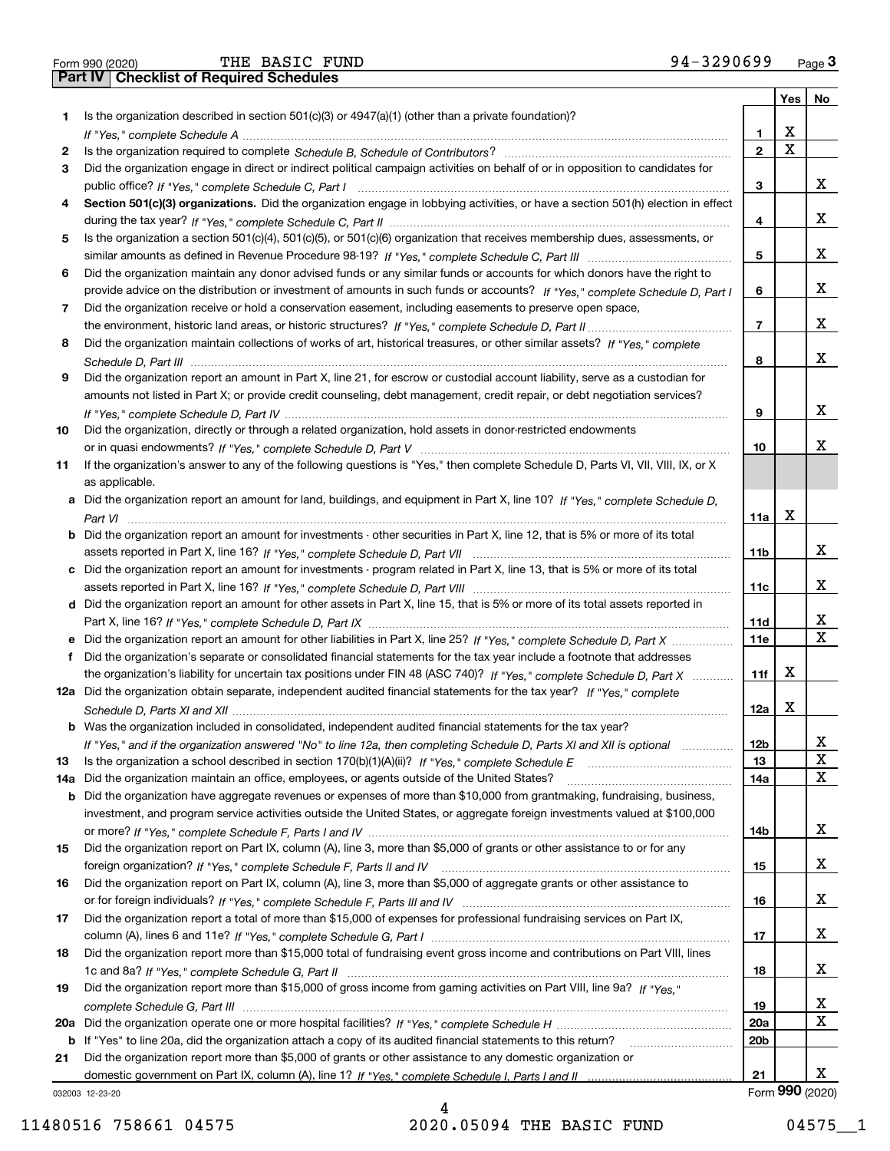|  | Form 990 (2020) |
|--|-----------------|

|     |                                                                                                                                                    |                 | Yes | No              |
|-----|----------------------------------------------------------------------------------------------------------------------------------------------------|-----------------|-----|-----------------|
| 1.  | Is the organization described in section $501(c)(3)$ or $4947(a)(1)$ (other than a private foundation)?                                            |                 |     |                 |
|     |                                                                                                                                                    | 1               | X   |                 |
| 2   |                                                                                                                                                    | $\overline{2}$  | X   |                 |
| 3   | Did the organization engage in direct or indirect political campaign activities on behalf of or in opposition to candidates for                    |                 |     |                 |
|     |                                                                                                                                                    | 3               |     | x               |
| 4   | Section 501(c)(3) organizations. Did the organization engage in lobbying activities, or have a section 501(h) election in effect                   |                 |     |                 |
|     |                                                                                                                                                    | 4               |     | x               |
| 5   | Is the organization a section 501(c)(4), 501(c)(5), or 501(c)(6) organization that receives membership dues, assessments, or                       |                 |     |                 |
|     |                                                                                                                                                    | 5               |     | х               |
| 6   | Did the organization maintain any donor advised funds or any similar funds or accounts for which donors have the right to                          |                 |     |                 |
|     | provide advice on the distribution or investment of amounts in such funds or accounts? If "Yes," complete Schedule D, Part I                       | 6               |     | х               |
| 7   | Did the organization receive or hold a conservation easement, including easements to preserve open space,                                          |                 |     |                 |
|     |                                                                                                                                                    | $\overline{7}$  |     | x               |
| 8   | Did the organization maintain collections of works of art, historical treasures, or other similar assets? If "Yes," complete                       |                 |     | x               |
|     |                                                                                                                                                    | 8               |     |                 |
| 9   | Did the organization report an amount in Part X, line 21, for escrow or custodial account liability, serve as a custodian for                      |                 |     |                 |
|     | amounts not listed in Part X; or provide credit counseling, debt management, credit repair, or debt negotiation services?                          |                 |     | х               |
|     |                                                                                                                                                    | 9               |     |                 |
| 10  | Did the organization, directly or through a related organization, hold assets in donor-restricted endowments                                       | 10              |     | x.              |
|     |                                                                                                                                                    |                 |     |                 |
| 11  | If the organization's answer to any of the following questions is "Yes," then complete Schedule D, Parts VI, VII, VIII, IX, or X<br>as applicable. |                 |     |                 |
|     | a Did the organization report an amount for land, buildings, and equipment in Part X, line 10? If "Yes," complete Schedule D,                      |                 |     |                 |
|     |                                                                                                                                                    | 11a             | X   |                 |
|     | <b>b</b> Did the organization report an amount for investments - other securities in Part X, line 12, that is 5% or more of its total              |                 |     |                 |
|     |                                                                                                                                                    | 11b             |     | x               |
|     | c Did the organization report an amount for investments - program related in Part X, line 13, that is 5% or more of its total                      |                 |     |                 |
|     |                                                                                                                                                    | 11c             |     | x               |
|     | d Did the organization report an amount for other assets in Part X, line 15, that is 5% or more of its total assets reported in                    |                 |     |                 |
|     |                                                                                                                                                    | 11d             |     | X               |
|     | e Did the organization report an amount for other liabilities in Part X, line 25? If "Yes," complete Schedule D, Part X                            | 11e             |     | X               |
| f   | Did the organization's separate or consolidated financial statements for the tax year include a footnote that addresses                            |                 |     |                 |
|     | the organization's liability for uncertain tax positions under FIN 48 (ASC 740)? If "Yes," complete Schedule D, Part X                             | 11f             | x   |                 |
|     | 12a Did the organization obtain separate, independent audited financial statements for the tax year? If "Yes," complete                            |                 |     |                 |
|     |                                                                                                                                                    | 12a             | X   |                 |
|     | <b>b</b> Was the organization included in consolidated, independent audited financial statements for the tax year?                                 |                 |     |                 |
|     | If "Yes," and if the organization answered "No" to line 12a, then completing Schedule D, Parts XI and XII is optional                              | 12 <sub>b</sub> |     | Χ               |
| 13  | Is the organization a school described in section 170(b)(1)(A)(ii)? If "Yes," complete Schedule E                                                  | 13              |     | X               |
| 14a | Did the organization maintain an office, employees, or agents outside of the United States?                                                        | 14a             |     | x               |
|     | <b>b</b> Did the organization have aggregate revenues or expenses of more than \$10,000 from grantmaking, fundraising, business,                   |                 |     |                 |
|     | investment, and program service activities outside the United States, or aggregate foreign investments valued at \$100,000                         |                 |     |                 |
|     |                                                                                                                                                    | 14b             |     | x               |
| 15  | Did the organization report on Part IX, column (A), line 3, more than \$5,000 of grants or other assistance to or for any                          |                 |     |                 |
|     |                                                                                                                                                    | 15              |     | x               |
| 16  | Did the organization report on Part IX, column (A), line 3, more than \$5,000 of aggregate grants or other assistance to                           |                 |     |                 |
|     |                                                                                                                                                    | 16              |     | x               |
| 17  | Did the organization report a total of more than \$15,000 of expenses for professional fundraising services on Part IX,                            |                 |     |                 |
|     |                                                                                                                                                    | 17              |     | x               |
| 18  | Did the organization report more than \$15,000 total of fundraising event gross income and contributions on Part VIII, lines                       |                 |     |                 |
|     |                                                                                                                                                    | 18              |     | x               |
| 19  | Did the organization report more than \$15,000 of gross income from gaming activities on Part VIII, line 9a? If "Yes."                             |                 |     |                 |
|     |                                                                                                                                                    | 19              |     | x               |
| 20a |                                                                                                                                                    | 20a             |     | X               |
|     | b If "Yes" to line 20a, did the organization attach a copy of its audited financial statements to this return?                                     | 20 <sub>b</sub> |     |                 |
| 21  | Did the organization report more than \$5,000 of grants or other assistance to any domestic organization or                                        |                 |     |                 |
|     |                                                                                                                                                    | 21              |     | x               |
|     | 032003 12-23-20                                                                                                                                    |                 |     | Form 990 (2020) |

032003 12-23-20

4 11480516 758661 04575 2020.05094 THE BASIC FUND 04575 1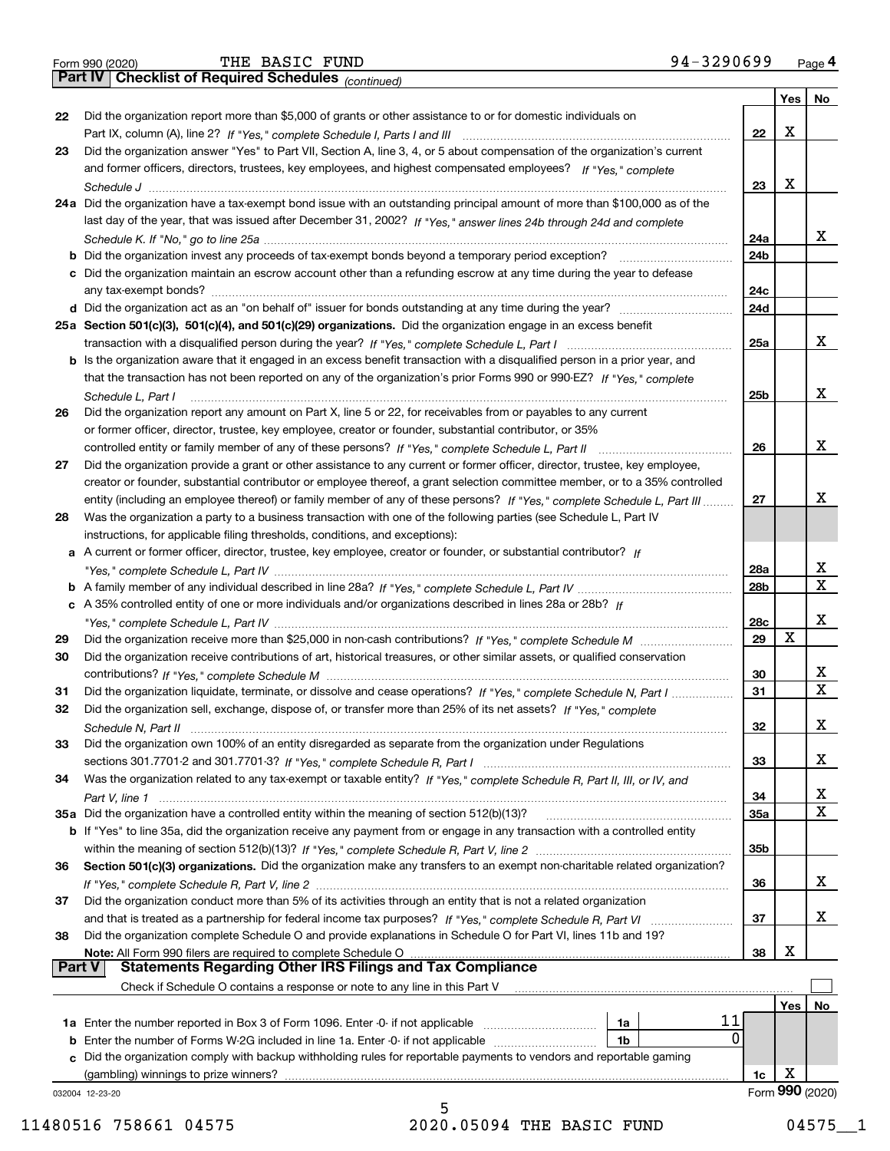|  | Form 990 (2020) |
|--|-----------------|

*(continued)*

|               |                                                                                                                              |                 | Yes | No              |
|---------------|------------------------------------------------------------------------------------------------------------------------------|-----------------|-----|-----------------|
| 22            | Did the organization report more than \$5,000 of grants or other assistance to or for domestic individuals on                |                 |     |                 |
|               |                                                                                                                              | 22              | X   |                 |
| 23            | Did the organization answer "Yes" to Part VII, Section A, line 3, 4, or 5 about compensation of the organization's current   |                 |     |                 |
|               | and former officers, directors, trustees, key employees, and highest compensated employees? If "Yes," complete               |                 | X   |                 |
|               | 24a Did the organization have a tax-exempt bond issue with an outstanding principal amount of more than \$100,000 as of the  | 23              |     |                 |
|               | last day of the year, that was issued after December 31, 2002? If "Yes," answer lines 24b through 24d and complete           |                 |     |                 |
|               |                                                                                                                              | 24a             |     | x               |
|               | b Did the organization invest any proceeds of tax-exempt bonds beyond a temporary period exception?                          | 24b             |     |                 |
|               | c Did the organization maintain an escrow account other than a refunding escrow at any time during the year to defease       |                 |     |                 |
|               |                                                                                                                              | 24c             |     |                 |
|               | d Did the organization act as an "on behalf of" issuer for bonds outstanding at any time during the year?                    | 24d             |     |                 |
|               | 25a Section 501(c)(3), 501(c)(4), and 501(c)(29) organizations. Did the organization engage in an excess benefit             |                 |     |                 |
|               |                                                                                                                              | 25a             |     | x               |
|               | b Is the organization aware that it engaged in an excess benefit transaction with a disqualified person in a prior year, and |                 |     |                 |
|               | that the transaction has not been reported on any of the organization's prior Forms 990 or 990-EZ? If "Yes," complete        |                 |     |                 |
|               | Schedule L. Part I                                                                                                           | 25 <sub>b</sub> |     | x               |
| 26            | Did the organization report any amount on Part X, line 5 or 22, for receivables from or payables to any current              |                 |     |                 |
|               | or former officer, director, trustee, key employee, creator or founder, substantial contributor, or 35%                      |                 |     |                 |
|               |                                                                                                                              | 26              |     | x               |
| 27            | Did the organization provide a grant or other assistance to any current or former officer, director, trustee, key employee,  |                 |     |                 |
|               | creator or founder, substantial contributor or employee thereof, a grant selection committee member, or to a 35% controlled  |                 |     |                 |
|               | entity (including an employee thereof) or family member of any of these persons? If "Yes," complete Schedule L, Part III     | 27              |     | x               |
| 28            | Was the organization a party to a business transaction with one of the following parties (see Schedule L, Part IV            |                 |     |                 |
|               | instructions, for applicable filing thresholds, conditions, and exceptions):                                                 |                 |     |                 |
|               | a A current or former officer, director, trustee, key employee, creator or founder, or substantial contributor? If           | 28a             |     | х               |
|               |                                                                                                                              | 28 <sub>b</sub> |     | $\mathbf x$     |
|               | c A 35% controlled entity of one or more individuals and/or organizations described in lines 28a or 28b? If                  |                 |     |                 |
|               |                                                                                                                              | 28c             |     | x               |
| 29            |                                                                                                                              | 29              | X   |                 |
| 30            | Did the organization receive contributions of art, historical treasures, or other similar assets, or qualified conservation  |                 |     |                 |
|               |                                                                                                                              | 30              |     | x               |
| 31            | Did the organization liquidate, terminate, or dissolve and cease operations? If "Yes," complete Schedule N, Part I           | 31              |     | $\mathbf X$     |
| 32            | Did the organization sell, exchange, dispose of, or transfer more than 25% of its net assets? If "Yes," complete             |                 |     |                 |
|               | Schedule N, Part II (1996) (1996) (1997) (1997) (1998) (1998) (1998) (1998) (1998) (1998) (1998) (1999) (1999)               | 32              |     | х               |
| 33            | Did the organization own 100% of an entity disregarded as separate from the organization under Regulations                   |                 |     |                 |
|               |                                                                                                                              | 33              |     | х               |
| 34            | Was the organization related to any tax-exempt or taxable entity? If "Yes," complete Schedule R, Part II, III, or IV, and    |                 |     |                 |
|               |                                                                                                                              | 34              |     | х               |
|               | 35a Did the organization have a controlled entity within the meaning of section 512(b)(13)?                                  | 35a             |     | $\mathbf X$     |
|               | b If "Yes" to line 35a, did the organization receive any payment from or engage in any transaction with a controlled entity  |                 |     |                 |
|               |                                                                                                                              | 35 <sub>b</sub> |     |                 |
| 36            | Section 501(c)(3) organizations. Did the organization make any transfers to an exempt non-charitable related organization?   |                 |     | x               |
|               | Did the organization conduct more than 5% of its activities through an entity that is not a related organization             | 36              |     |                 |
| 37            |                                                                                                                              | 37              |     | x               |
| 38            | Did the organization complete Schedule O and provide explanations in Schedule O for Part VI, lines 11b and 19?               |                 |     |                 |
|               | Note: All Form 990 filers are required to complete Schedule O                                                                | 38              | X   |                 |
| <b>Part V</b> | <b>Statements Regarding Other IRS Filings and Tax Compliance</b>                                                             |                 |     |                 |
|               | Check if Schedule O contains a response or note to any line in this Part V                                                   |                 |     |                 |
|               |                                                                                                                              |                 | Yes | No              |
|               | 11<br>1a                                                                                                                     |                 |     |                 |
|               | 0<br><b>b</b> Enter the number of Forms W-2G included in line 1a. Enter -0- if not applicable<br>1b                          |                 |     |                 |
| c             | Did the organization comply with backup withholding rules for reportable payments to vendors and reportable gaming           |                 |     |                 |
|               | (gambling) winnings to prize winners?                                                                                        | 1c              | х   |                 |
|               | 032004 12-23-20                                                                                                              |                 |     | Form 990 (2020) |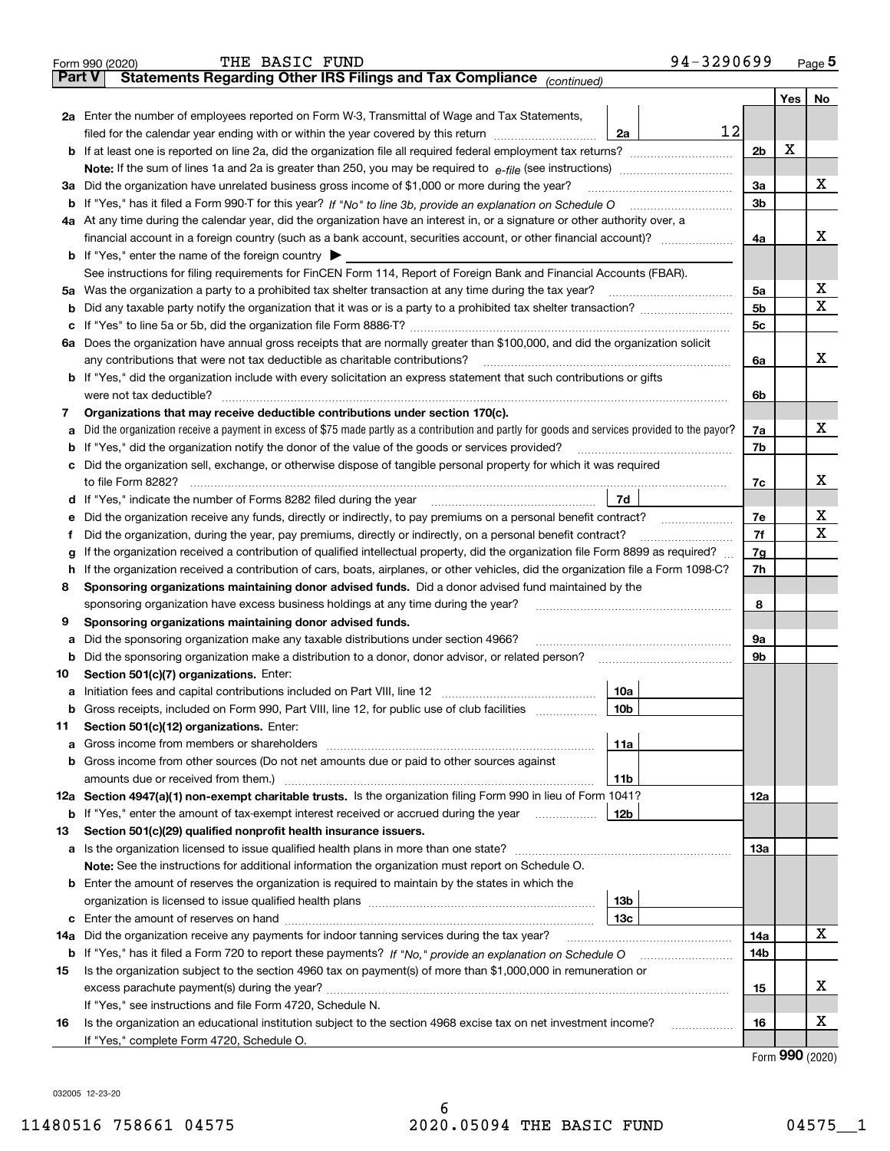| Part V  | 94-3290699<br>THE BASIC FUND<br>Form 990 (2020)<br>Statements Regarding Other IRS Filings and Tax Compliance (continued)                                                                                                            |                |       | Page 5 |  |  |  |
|---------|-------------------------------------------------------------------------------------------------------------------------------------------------------------------------------------------------------------------------------------|----------------|-------|--------|--|--|--|
|         |                                                                                                                                                                                                                                     |                |       |        |  |  |  |
|         |                                                                                                                                                                                                                                     |                | Yes l | No     |  |  |  |
|         | 2a Enter the number of employees reported on Form W-3, Transmittal of Wage and Tax Statements,<br>12                                                                                                                                |                |       |        |  |  |  |
|         | filed for the calendar year ending with or within the year covered by this return [11] [11] filed for the calendar year ending with or within the year covered by this return<br>2a                                                 | 2 <sub>b</sub> | х     |        |  |  |  |
|         |                                                                                                                                                                                                                                     |                |       |        |  |  |  |
|         | 3a Did the organization have unrelated business gross income of \$1,000 or more during the year?                                                                                                                                    | 3a             |       | x      |  |  |  |
|         | <b>b</b> If "Yes," has it filed a Form 990-T for this year? If "No" to line 3b, provide an explanation on Schedule O                                                                                                                | 3 <sub>b</sub> |       |        |  |  |  |
|         | 4a At any time during the calendar year, did the organization have an interest in, or a signature or other authority over, a                                                                                                        |                |       |        |  |  |  |
|         |                                                                                                                                                                                                                                     | 4a             |       | x      |  |  |  |
|         | <b>b</b> If "Yes," enter the name of the foreign country $\blacktriangleright$                                                                                                                                                      |                |       |        |  |  |  |
|         | See instructions for filing requirements for FinCEN Form 114, Report of Foreign Bank and Financial Accounts (FBAR).                                                                                                                 |                |       |        |  |  |  |
|         | 5a Was the organization a party to a prohibited tax shelter transaction at any time during the tax year?                                                                                                                            | 5a             |       | х      |  |  |  |
|         |                                                                                                                                                                                                                                     | 5 <sub>b</sub> |       | х      |  |  |  |
| c       |                                                                                                                                                                                                                                     | 5 <sub>c</sub> |       |        |  |  |  |
|         | 6a Does the organization have annual gross receipts that are normally greater than \$100,000, and did the organization solicit                                                                                                      |                |       |        |  |  |  |
|         | any contributions that were not tax deductible as charitable contributions?                                                                                                                                                         | 6a             |       | x      |  |  |  |
|         | b If "Yes," did the organization include with every solicitation an express statement that such contributions or gifts                                                                                                              |                |       |        |  |  |  |
|         | were not tax deductible?                                                                                                                                                                                                            | 6b             |       |        |  |  |  |
| 7       | Organizations that may receive deductible contributions under section 170(c).                                                                                                                                                       |                |       |        |  |  |  |
| a       | Did the organization receive a payment in excess of \$75 made partly as a contribution and partly for goods and services provided to the payor?                                                                                     | 7a             |       | x      |  |  |  |
|         | <b>b</b> If "Yes," did the organization notify the donor of the value of the goods or services provided?                                                                                                                            | 7b             |       |        |  |  |  |
|         | c Did the organization sell, exchange, or otherwise dispose of tangible personal property for which it was required                                                                                                                 |                |       |        |  |  |  |
|         | to file Form 8282?                                                                                                                                                                                                                  | 7c             |       | х      |  |  |  |
|         | d If "Yes," indicate the number of Forms 8282 filed during the year<br>7d                                                                                                                                                           |                |       |        |  |  |  |
| е       | Did the organization receive any funds, directly or indirectly, to pay premiums on a personal benefit contract?<br>and a construction of the construction of the construction of the construction of the construction of the constr |                |       |        |  |  |  |
| f       | Did the organization, during the year, pay premiums, directly or indirectly, on a personal benefit contract?                                                                                                                        |                |       |        |  |  |  |
| g       | If the organization received a contribution of qualified intellectual property, did the organization file Form 8899 as required?                                                                                                    |                |       |        |  |  |  |
|         | h If the organization received a contribution of cars, boats, airplanes, or other vehicles, did the organization file a Form 1098-C?                                                                                                |                |       |        |  |  |  |
|         | Sponsoring organizations maintaining donor advised funds. Did a donor advised fund maintained by the<br>8                                                                                                                           |                |       |        |  |  |  |
|         | sponsoring organization have excess business holdings at any time during the year?                                                                                                                                                  | 8              |       |        |  |  |  |
| 9       | Sponsoring organizations maintaining donor advised funds.                                                                                                                                                                           |                |       |        |  |  |  |
| а       | Did the sponsoring organization make any taxable distributions under section 4966?<br>Did the sponsoring organization make a distribution to a donor, donor advisor, or related person?                                             | 9а<br>9b       |       |        |  |  |  |
| b<br>10 | Section 501(c)(7) organizations. Enter:                                                                                                                                                                                             |                |       |        |  |  |  |
|         | 10a                                                                                                                                                                                                                                 |                |       |        |  |  |  |
| b       | Gross receipts, included on Form 990, Part VIII, line 12, for public use of club facilities<br>10 <sub>b</sub>                                                                                                                      |                |       |        |  |  |  |
| 11      | Section 501(c)(12) organizations. Enter:                                                                                                                                                                                            |                |       |        |  |  |  |
| а       | 11a                                                                                                                                                                                                                                 |                |       |        |  |  |  |
| b       | Gross income from other sources (Do not net amounts due or paid to other sources against                                                                                                                                            |                |       |        |  |  |  |
|         | 11b                                                                                                                                                                                                                                 |                |       |        |  |  |  |
|         | 12a Section 4947(a)(1) non-exempt charitable trusts. Is the organization filing Form 990 in lieu of Form 1041?                                                                                                                      | 12a            |       |        |  |  |  |
| b       | If "Yes," enter the amount of tax-exempt interest received or accrued during the year<br>12b                                                                                                                                        |                |       |        |  |  |  |
| 13      | Section 501(c)(29) qualified nonprofit health insurance issuers.                                                                                                                                                                    |                |       |        |  |  |  |
|         |                                                                                                                                                                                                                                     | 13a            |       |        |  |  |  |
|         | Note: See the instructions for additional information the organization must report on Schedule O.                                                                                                                                   |                |       |        |  |  |  |
|         | <b>b</b> Enter the amount of reserves the organization is required to maintain by the states in which the                                                                                                                           |                |       |        |  |  |  |
|         | 13 <sub>b</sub>                                                                                                                                                                                                                     |                |       |        |  |  |  |
|         | 13c                                                                                                                                                                                                                                 |                |       |        |  |  |  |
| 14a     | Did the organization receive any payments for indoor tanning services during the tax year?                                                                                                                                          | 14a            |       | х      |  |  |  |
| b       |                                                                                                                                                                                                                                     | 14b            |       |        |  |  |  |
| 15      | Is the organization subject to the section 4960 tax on payment(s) of more than \$1,000,000 in remuneration or                                                                                                                       |                |       |        |  |  |  |
|         |                                                                                                                                                                                                                                     | 15             |       | х      |  |  |  |
|         | If "Yes," see instructions and file Form 4720, Schedule N.                                                                                                                                                                          |                |       | х      |  |  |  |
| 16      | Is the organization an educational institution subject to the section 4968 excise tax on net investment income?<br>.                                                                                                                | 16             |       |        |  |  |  |
|         | If "Yes," complete Form 4720, Schedule O.                                                                                                                                                                                           |                |       |        |  |  |  |

032005 12-23-20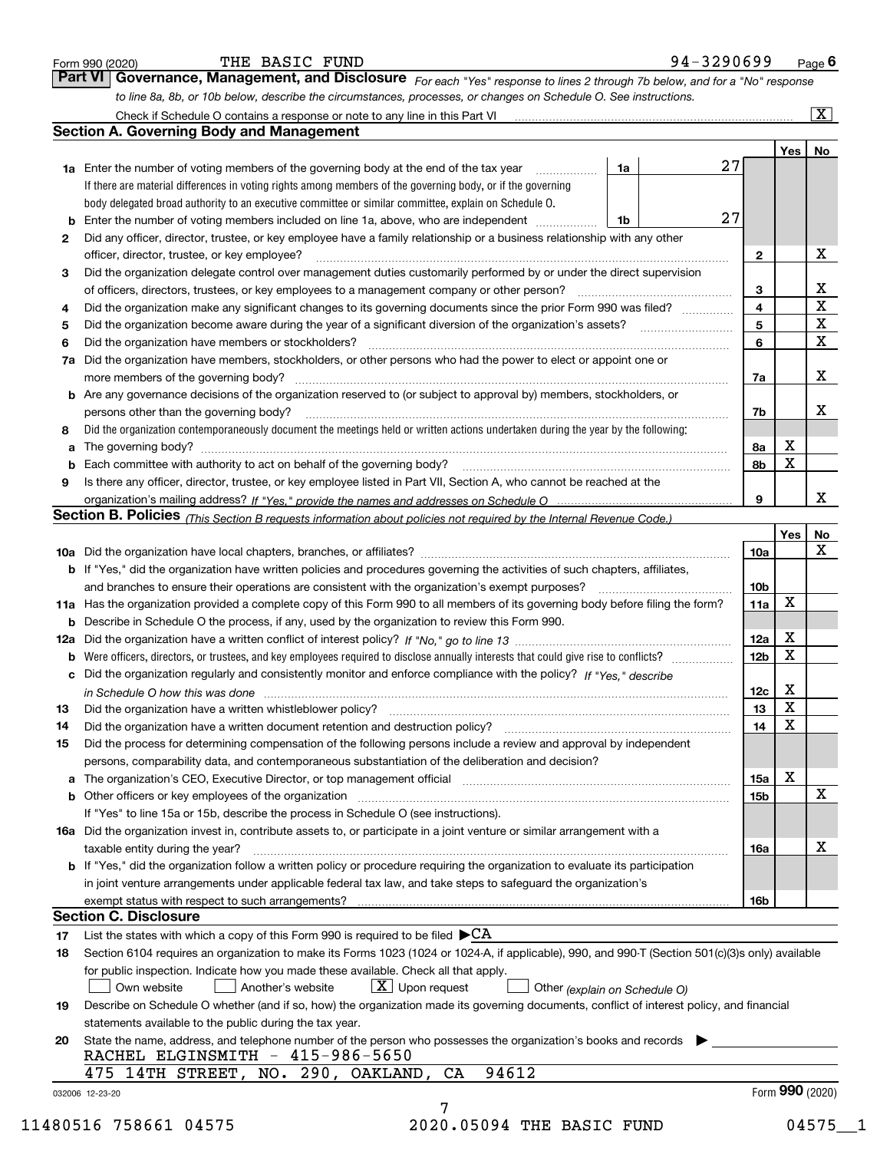|                | to line 8a, 8b, or 10b below, describe the circumstances, processes, or changes on Schedule O. See instructions.<br>Check if Schedule O contains a response or note to any line in this Part VI                                |    |                 |             | $\overline{\mathbf{x}}$ |
|----------------|--------------------------------------------------------------------------------------------------------------------------------------------------------------------------------------------------------------------------------|----|-----------------|-------------|-------------------------|
|                | <b>Section A. Governing Body and Management</b>                                                                                                                                                                                |    |                 |             |                         |
|                |                                                                                                                                                                                                                                |    |                 | Yes         | No                      |
|                | 1a Enter the number of voting members of the governing body at the end of the tax year<br>1a                                                                                                                                   | 27 |                 |             |                         |
|                | If there are material differences in voting rights among members of the governing body, or if the governing                                                                                                                    |    |                 |             |                         |
|                | body delegated broad authority to an executive committee or similar committee, explain on Schedule O.                                                                                                                          |    |                 |             |                         |
| b              | Enter the number of voting members included on line 1a, above, who are independent<br>1b                                                                                                                                       | 27 |                 |             |                         |
| 2              | Did any officer, director, trustee, or key employee have a family relationship or a business relationship with any other                                                                                                       |    |                 |             |                         |
|                | officer, director, trustee, or key employee?                                                                                                                                                                                   |    | $\mathbf{2}$    |             | X                       |
| 3              | Did the organization delegate control over management duties customarily performed by or under the direct supervision                                                                                                          |    |                 |             |                         |
|                | of officers, directors, trustees, or key employees to a management company or other person?                                                                                                                                    |    | 3               |             | $\frac{X}{X}}{X}$       |
| 4              | Did the organization make any significant changes to its governing documents since the prior Form 990 was filed?                                                                                                               |    | $\overline{4}$  |             |                         |
| 5              |                                                                                                                                                                                                                                |    | 5               |             |                         |
| 6              | Did the organization have members or stockholders?                                                                                                                                                                             |    | 6               |             |                         |
| 7a             | Did the organization have members, stockholders, or other persons who had the power to elect or appoint one or                                                                                                                 |    |                 |             |                         |
|                |                                                                                                                                                                                                                                |    | 7a              |             | x                       |
|                | <b>b</b> Are any governance decisions of the organization reserved to (or subject to approval by) members, stockholders, or<br>persons other than the governing body?                                                          |    |                 |             | x                       |
| 8              | Did the organization contemporaneously document the meetings held or written actions undertaken during the year by the following:                                                                                              |    | 7b              |             |                         |
| a              |                                                                                                                                                                                                                                |    | 8a              | x           |                         |
| b              | Each committee with authority to act on behalf of the governing body? [11] manufactures manufactures with authority to act on behalf of the governing body? [11] manufactures manufactures with authority of the state with an |    | 8b              | $\mathbf X$ |                         |
| 9              | Is there any officer, director, trustee, or key employee listed in Part VII, Section A, who cannot be reached at the                                                                                                           |    |                 |             |                         |
|                |                                                                                                                                                                                                                                |    | 9               |             | X                       |
|                | Section B. Policies <i>(This Section B requests information about policies not required by the Internal Revenue Code.)</i>                                                                                                     |    |                 |             |                         |
|                |                                                                                                                                                                                                                                |    |                 | Yes         | <u>No</u>               |
|                |                                                                                                                                                                                                                                |    | <b>10a</b>      |             | X                       |
|                | b If "Yes," did the organization have written policies and procedures governing the activities of such chapters, affiliates,                                                                                                   |    |                 |             |                         |
|                | and branches to ensure their operations are consistent with the organization's exempt purposes?                                                                                                                                |    | 10 <sub>b</sub> |             |                         |
|                | 11a Has the organization provided a complete copy of this Form 990 to all members of its governing body before filing the form?                                                                                                |    | 11a             | X           |                         |
| b              | Describe in Schedule O the process, if any, used by the organization to review this Form 990.                                                                                                                                  |    |                 |             |                         |
| 12a            |                                                                                                                                                                                                                                |    | <b>12a</b>      | Х           |                         |
| b              |                                                                                                                                                                                                                                |    | 12 <sub>b</sub> | х           |                         |
|                | Did the organization regularly and consistently monitor and enforce compliance with the policy? If "Yes," describe                                                                                                             |    |                 |             |                         |
|                |                                                                                                                                                                                                                                |    |                 |             |                         |
|                | in Schedule O how this was done measurements are all the set of the set of the set of the set of the set of th                                                                                                                 |    | 12c             | x           |                         |
|                |                                                                                                                                                                                                                                |    | 13              | X           |                         |
|                | Did the organization have a written document retention and destruction policy? manufactured and the organization have a written document retention and destruction policy?                                                     |    | 14              | X           |                         |
|                | Did the process for determining compensation of the following persons include a review and approval by independent                                                                                                             |    |                 |             |                         |
|                | persons, comparability data, and contemporaneous substantiation of the deliberation and decision?                                                                                                                              |    |                 |             |                         |
|                | a The organization's CEO, Executive Director, or top management official manufaction content content content of                                                                                                                |    | 15a             | х           |                         |
|                |                                                                                                                                                                                                                                |    | 15 <sub>b</sub> |             | $\mathbf X$             |
|                | If "Yes" to line 15a or 15b, describe the process in Schedule O (see instructions).                                                                                                                                            |    |                 |             |                         |
|                | 16a Did the organization invest in, contribute assets to, or participate in a joint venture or similar arrangement with a                                                                                                      |    |                 |             |                         |
|                | taxable entity during the year?                                                                                                                                                                                                |    | 16a             |             | х                       |
|                | b If "Yes," did the organization follow a written policy or procedure requiring the organization to evaluate its participation                                                                                                 |    |                 |             |                         |
|                | in joint venture arrangements under applicable federal tax law, and take steps to safeguard the organization's                                                                                                                 |    |                 |             |                         |
|                | exempt status with respect to such arrangements?                                                                                                                                                                               |    | 16b             |             |                         |
| 14<br>15       | <b>Section C. Disclosure</b>                                                                                                                                                                                                   |    |                 |             |                         |
|                | List the states with which a copy of this Form 990 is required to be filed $\blacktriangleright$ CA                                                                                                                            |    |                 |             |                         |
|                | Section 6104 requires an organization to make its Forms 1023 (1024 or 1024-A, if applicable), 990, and 990-T (Section 501(c)(3)s only) available                                                                               |    |                 |             |                         |
|                | for public inspection. Indicate how you made these available. Check all that apply.                                                                                                                                            |    |                 |             |                         |
|                | $X$ Upon request<br>Own website<br>Another's website<br>Other (explain on Schedule O)                                                                                                                                          |    |                 |             |                         |
|                | Describe on Schedule O whether (and if so, how) the organization made its governing documents, conflict of interest policy, and financial                                                                                      |    |                 |             |                         |
| 17<br>18<br>19 | statements available to the public during the tax year.                                                                                                                                                                        |    |                 |             |                         |
| 20             | State the name, address, and telephone number of the person who possesses the organization's books and records                                                                                                                 |    |                 |             |                         |
|                | RACHEL ELGINSMITH - 415-986-5650<br>94612<br>475 14TH STREET, NO. 290, OAKLAND, CA                                                                                                                                             |    |                 |             |                         |

THE BASIC FUND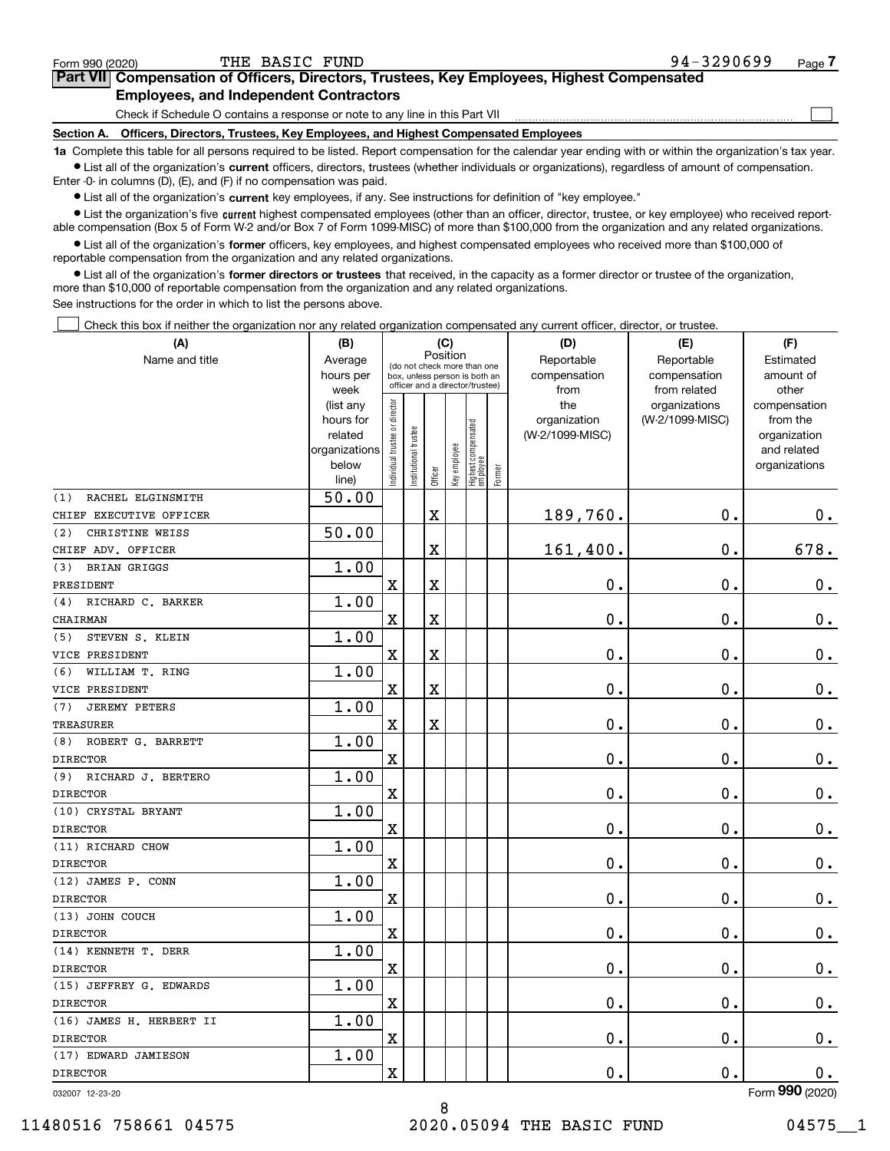$\mathcal{L}^{\text{max}}$ 

# **7Part VII Compensation of Officers, Directors, Trustees, Key Employees, Highest Compensated Employees, and Independent Contractors**

Check if Schedule O contains a response or note to any line in this Part VII

**Section A. Officers, Directors, Trustees, Key Employees, and Highest Compensated Employees**

**1a**  Complete this table for all persons required to be listed. Report compensation for the calendar year ending with or within the organization's tax year. **•** List all of the organization's current officers, directors, trustees (whether individuals or organizations), regardless of amount of compensation.

Enter -0- in columns (D), (E), and (F) if no compensation was paid.

 $\bullet$  List all of the organization's  $\,$ current key employees, if any. See instructions for definition of "key employee."

**•** List the organization's five current highest compensated employees (other than an officer, director, trustee, or key employee) who received reportable compensation (Box 5 of Form W-2 and/or Box 7 of Form 1099-MISC) of more than \$100,000 from the organization and any related organizations.

**•** List all of the organization's former officers, key employees, and highest compensated employees who received more than \$100,000 of reportable compensation from the organization and any related organizations.

**former directors or trustees**  ¥ List all of the organization's that received, in the capacity as a former director or trustee of the organization, more than \$10,000 of reportable compensation from the organization and any related organizations.

See instructions for the order in which to list the persons above.

Check this box if neither the organization nor any related organization compensated any current officer, director, or trustee.  $\mathcal{L}^{\text{max}}$ 

| (A)                         | (B)                      |                                         |                       |                                                                  | (C)          |                                   |        | (D)             | (E)             | (F)                         |              |           |
|-----------------------------|--------------------------|-----------------------------------------|-----------------------|------------------------------------------------------------------|--------------|-----------------------------------|--------|-----------------|-----------------|-----------------------------|--------------|-----------|
| Name and title              | Average                  | Position<br>(do not check more than one |                       |                                                                  |              |                                   |        | Reportable      | Reportable      | Estimated                   |              |           |
|                             | hours per                |                                         |                       | box, unless person is both an<br>officer and a director/trustee) |              |                                   |        |                 |                 | compensation                | compensation | amount of |
|                             | week                     |                                         |                       |                                                                  |              |                                   |        | from            | from related    | other                       |              |           |
|                             | (list any                |                                         |                       |                                                                  |              |                                   |        | the             | organizations   | compensation                |              |           |
|                             | hours for                |                                         |                       |                                                                  |              |                                   |        | organization    | (W-2/1099-MISC) | from the                    |              |           |
|                             | related<br>organizations |                                         |                       |                                                                  |              |                                   |        | (W-2/1099-MISC) |                 | organization<br>and related |              |           |
|                             | below                    |                                         |                       |                                                                  |              |                                   |        |                 |                 | organizations               |              |           |
|                             | line)                    | Individual trustee or director          | Institutional trustee | Officer                                                          | Key employee | Highest compensated<br>  employee | Former |                 |                 |                             |              |           |
| RACHEL ELGINSMITH<br>(1)    | 50.00                    |                                         |                       |                                                                  |              |                                   |        |                 |                 |                             |              |           |
| CHIEF EXECUTIVE OFFICER     |                          |                                         |                       | $\overline{\mathbf{X}}$                                          |              |                                   |        | 189,760.        | 0.              | 0.                          |              |           |
| (2)<br>CHRISTINE WEISS      | 50.00                    |                                         |                       |                                                                  |              |                                   |        |                 |                 |                             |              |           |
| CHIEF ADV. OFFICER          |                          |                                         |                       | $\overline{\textbf{X}}$                                          |              |                                   |        | 161,400.        | $\mathbf 0$ .   | 678.                        |              |           |
| <b>BRIAN GRIGGS</b><br>(3)  | 1.00                     |                                         |                       |                                                                  |              |                                   |        |                 |                 |                             |              |           |
| PRESIDENT                   |                          | $\mathbf X$                             |                       | $\overline{\textbf{X}}$                                          |              |                                   |        | 0.              | $\mathbf 0$ .   | $\mathbf 0$ .               |              |           |
| RICHARD C. BARKER<br>(4)    | 1.00                     |                                         |                       |                                                                  |              |                                   |        |                 |                 |                             |              |           |
| CHAIRMAN                    |                          | $\overline{\text{X}}$                   |                       | $\overline{\mathbf{X}}$                                          |              |                                   |        | 0.              | $\mathbf 0$ .   | $\mathbf 0$ .               |              |           |
| STEVEN S. KLEIN<br>(5)      | 1.00                     |                                         |                       |                                                                  |              |                                   |        |                 |                 |                             |              |           |
| VICE PRESIDENT              |                          | $\mathbf X$                             |                       | X                                                                |              |                                   |        | 0.              | $\mathbf 0$ .   | $\mathbf 0$ .               |              |           |
| (6)<br>WILLIAM T. RING      | 1.00                     |                                         |                       |                                                                  |              |                                   |        |                 |                 |                             |              |           |
| VICE PRESIDENT              |                          | X                                       |                       | $\overline{\textbf{X}}$                                          |              |                                   |        | 0.              | 0.              | $0_{.}$                     |              |           |
| <b>JEREMY PETERS</b><br>(7) | 1.00                     |                                         |                       |                                                                  |              |                                   |        |                 |                 |                             |              |           |
| <b>TREASURER</b>            |                          | $\mathbf X$                             |                       | $\overline{\mathbf{X}}$                                          |              |                                   |        | 0.              | $\mathbf 0$ .   | $0_{.}$                     |              |           |
| (8)<br>ROBERT G. BARRETT    | 1.00                     |                                         |                       |                                                                  |              |                                   |        |                 |                 |                             |              |           |
| <b>DIRECTOR</b>             |                          | $\overline{\text{X}}$                   |                       |                                                                  |              |                                   |        | 0.              | $\mathbf 0$ .   | 0.                          |              |           |
| (9) RICHARD J. BERTERO      | 1.00                     |                                         |                       |                                                                  |              |                                   |        |                 |                 |                             |              |           |
| <b>DIRECTOR</b>             |                          | $\mathbf X$                             |                       |                                                                  |              |                                   |        | 0.              | 0.              | $\mathbf 0$ .               |              |           |
| (10) CRYSTAL BRYANT         | 1.00                     |                                         |                       |                                                                  |              |                                   |        |                 |                 |                             |              |           |
| <b>DIRECTOR</b>             |                          | $\mathbf X$                             |                       |                                                                  |              |                                   |        | 0.              | $\mathbf 0$ .   | 0.                          |              |           |
| (11) RICHARD CHOW           | 1.00                     |                                         |                       |                                                                  |              |                                   |        |                 |                 |                             |              |           |
| <b>DIRECTOR</b>             |                          | $\mathbf X$                             |                       |                                                                  |              |                                   |        | 0.              | 0.              | $0_{.}$                     |              |           |
| (12) JAMES P. CONN          | 1.00                     |                                         |                       |                                                                  |              |                                   |        |                 |                 |                             |              |           |
| <b>DIRECTOR</b>             |                          | $\rm X$                                 |                       |                                                                  |              |                                   |        | 0.              | 0.              | $\mathbf 0$ .               |              |           |
| (13) JOHN COUCH             | 1.00                     |                                         |                       |                                                                  |              |                                   |        |                 |                 |                             |              |           |
| <b>DIRECTOR</b>             |                          | X                                       |                       |                                                                  |              |                                   |        | 0.              | $\mathbf 0$ .   | 0.                          |              |           |
| (14) KENNETH T. DERR        | 1.00                     |                                         |                       |                                                                  |              |                                   |        |                 |                 |                             |              |           |
| <b>DIRECTOR</b>             |                          | $\mathbf X$                             |                       |                                                                  |              |                                   |        | 0.              | 0.              | 0.                          |              |           |
| (15) JEFFREY G. EDWARDS     | 1.00                     |                                         |                       |                                                                  |              |                                   |        |                 |                 |                             |              |           |
| <b>DIRECTOR</b>             |                          | X                                       |                       |                                                                  |              |                                   |        | 0.              | $\mathbf 0$ .   | $\mathbf 0$ .               |              |           |
| (16) JAMES H. HERBERT II    | 1.00                     |                                         |                       |                                                                  |              |                                   |        |                 |                 |                             |              |           |
| <b>DIRECTOR</b>             |                          | $\mathbf X$                             |                       |                                                                  |              |                                   |        | 0.              | $\mathbf 0$ .   | $0_{.}$                     |              |           |
| (17) EDWARD JAMIESON        | 1.00                     |                                         |                       |                                                                  |              |                                   |        |                 |                 |                             |              |           |
| <b>DIRECTOR</b>             |                          | X                                       |                       |                                                                  |              |                                   |        | 0.              | $\mathbf 0$ .   | 0.<br>nnn.                  |              |           |

8

032007 12-23-20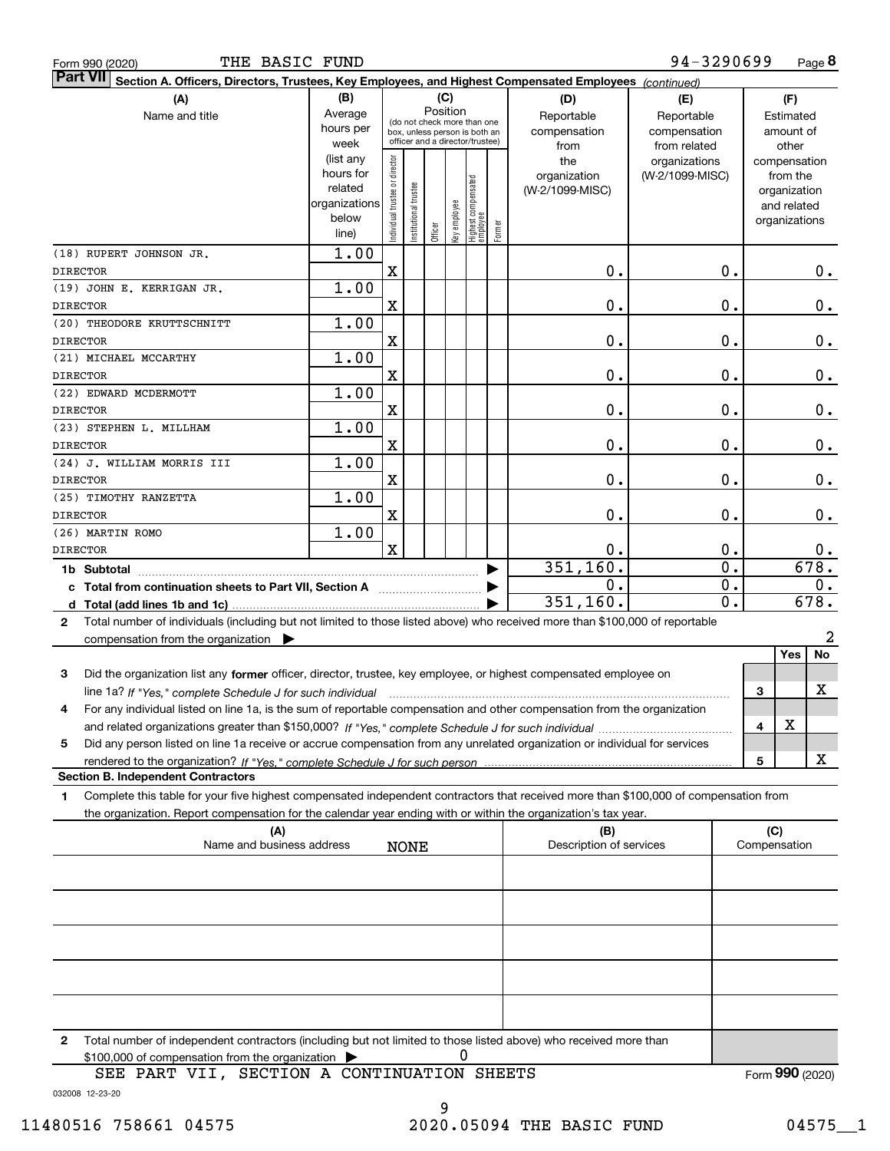|                 | THE BASIC FUND<br>Form 990 (2020)                                                                                                                                                                                                                      |                                                                      |                                                                                                                    |                      |         |              |                                 |                                           |                                                   | 94-3290699                       |                                        |                                                                          | Page 8               |
|-----------------|--------------------------------------------------------------------------------------------------------------------------------------------------------------------------------------------------------------------------------------------------------|----------------------------------------------------------------------|--------------------------------------------------------------------------------------------------------------------|----------------------|---------|--------------|---------------------------------|-------------------------------------------|---------------------------------------------------|----------------------------------|----------------------------------------|--------------------------------------------------------------------------|----------------------|
| <b>Part VII</b> | Section A. Officers, Directors, Trustees, Key Employees, and Highest Compensated Employees (continued)                                                                                                                                                 |                                                                      |                                                                                                                    |                      |         |              |                                 |                                           |                                                   |                                  |                                        |                                                                          |                      |
|                 | (A)<br>Name and title                                                                                                                                                                                                                                  | (B)<br>Average<br>hours per<br>week                                  | (C)<br>Position<br>(do not check more than one<br>box, unless person is both an<br>officer and a director/trustee) |                      |         |              |                                 | (D)<br>Reportable<br>compensation<br>from | (E)<br>Reportable<br>compensation<br>from related |                                  | (F)<br>Estimated<br>amount of<br>other |                                                                          |                      |
|                 |                                                                                                                                                                                                                                                        | (list any<br>hours for<br>related<br>organizations<br>below<br>line) | Individual trustee or director                                                                                     | nstitutional trustee | Officer | Key employee | Highest compensated<br>employee | Former                                    | the<br>organization<br>(W-2/1099-MISC)            | organizations<br>(W-2/1099-MISC) |                                        | compensation<br>from the<br>organization<br>and related<br>organizations |                      |
|                 | (18) RUPERT JOHNSON JR.                                                                                                                                                                                                                                | 1.00                                                                 |                                                                                                                    |                      |         |              |                                 |                                           |                                                   |                                  |                                        |                                                                          |                      |
| <b>DIRECTOR</b> | (19) JOHN E. KERRIGAN JR.                                                                                                                                                                                                                              | 1.00                                                                 | $\mathbf X$                                                                                                        |                      |         |              |                                 |                                           | 0.                                                | 0.                               |                                        |                                                                          | 0.                   |
| <b>DIRECTOR</b> |                                                                                                                                                                                                                                                        |                                                                      | $\mathbf X$                                                                                                        |                      |         |              |                                 |                                           | 0.                                                | 0.                               |                                        |                                                                          | 0.                   |
|                 | (20) THEODORE KRUTTSCHNITT                                                                                                                                                                                                                             | 1.00                                                                 |                                                                                                                    |                      |         |              |                                 |                                           |                                                   |                                  |                                        |                                                                          |                      |
| <b>DIRECTOR</b> |                                                                                                                                                                                                                                                        |                                                                      | $\mathbf X$                                                                                                        |                      |         |              |                                 |                                           | 0.                                                | 0.                               |                                        |                                                                          | 0.                   |
|                 | (21) MICHAEL MCCARTHY                                                                                                                                                                                                                                  | 1.00                                                                 |                                                                                                                    |                      |         |              |                                 |                                           |                                                   |                                  |                                        |                                                                          |                      |
| <b>DIRECTOR</b> |                                                                                                                                                                                                                                                        |                                                                      | $\mathbf X$                                                                                                        |                      |         |              |                                 |                                           | 0.                                                | 0.                               |                                        |                                                                          | 0.                   |
|                 | (22) EDWARD MCDERMOTT                                                                                                                                                                                                                                  | 1.00                                                                 |                                                                                                                    |                      |         |              |                                 |                                           |                                                   |                                  |                                        |                                                                          |                      |
| <b>DIRECTOR</b> |                                                                                                                                                                                                                                                        |                                                                      | $\mathbf X$                                                                                                        |                      |         |              |                                 |                                           | 0.                                                | 0.                               |                                        |                                                                          | 0.                   |
| <b>DIRECTOR</b> | (23) STEPHEN L. MILLHAM                                                                                                                                                                                                                                | 1.00                                                                 | $\mathbf X$                                                                                                        |                      |         |              |                                 |                                           | 0.                                                | 0.                               |                                        |                                                                          | 0.                   |
|                 | (24) J. WILLIAM MORRIS III                                                                                                                                                                                                                             | 1.00                                                                 |                                                                                                                    |                      |         |              |                                 |                                           |                                                   |                                  |                                        |                                                                          |                      |
| <b>DIRECTOR</b> |                                                                                                                                                                                                                                                        |                                                                      | $\mathbf X$                                                                                                        |                      |         |              |                                 |                                           | 0.                                                | 0.                               |                                        |                                                                          | 0.                   |
|                 | (25) TIMOTHY RANZETTA                                                                                                                                                                                                                                  | 1.00                                                                 |                                                                                                                    |                      |         |              |                                 |                                           |                                                   |                                  |                                        |                                                                          |                      |
| <b>DIRECTOR</b> |                                                                                                                                                                                                                                                        |                                                                      | $\mathbf X$                                                                                                        |                      |         |              |                                 |                                           | 0.                                                | $\mathbf 0$ .                    |                                        |                                                                          | 0.                   |
|                 | (26) MARTIN ROMO                                                                                                                                                                                                                                       | 1.00                                                                 |                                                                                                                    |                      |         |              |                                 |                                           |                                                   |                                  |                                        |                                                                          |                      |
| <b>DIRECTOR</b> |                                                                                                                                                                                                                                                        |                                                                      | $\mathbf x$                                                                                                        |                      |         |              |                                 |                                           | 0.                                                | 0.                               |                                        |                                                                          | 0.                   |
|                 | 1b Subtotal                                                                                                                                                                                                                                            |                                                                      |                                                                                                                    |                      |         |              |                                 |                                           | 351,160.                                          | $\overline{0}$ .                 |                                        |                                                                          | 678.                 |
|                 |                                                                                                                                                                                                                                                        |                                                                      |                                                                                                                    |                      |         |              |                                 |                                           | 0.<br>351,160.                                    | 0.<br>$\mathbf{0}$ .             |                                        |                                                                          | 0.<br>678.           |
| $\mathbf{2}$    | Total number of individuals (including but not limited to those listed above) who received more than \$100,000 of reportable                                                                                                                           |                                                                      |                                                                                                                    |                      |         |              |                                 |                                           |                                                   |                                  |                                        |                                                                          |                      |
|                 | compensation from the organization $\blacktriangleright$                                                                                                                                                                                               |                                                                      |                                                                                                                    |                      |         |              |                                 |                                           |                                                   |                                  |                                        | <b>Yes</b>                                                               | $\overline{a}$<br>No |
| 3               | Did the organization list any former officer, director, trustee, key employee, or highest compensated employee on                                                                                                                                      |                                                                      |                                                                                                                    |                      |         |              |                                 |                                           |                                                   |                                  |                                        |                                                                          |                      |
|                 | line 1a? If "Yes," complete Schedule J for such individual manufactured contains and the Yes," complete Schedule J for such individual                                                                                                                 |                                                                      |                                                                                                                    |                      |         |              |                                 |                                           |                                                   |                                  | 3                                      |                                                                          | x                    |
|                 | For any individual listed on line 1a, is the sum of reportable compensation and other compensation from the organization                                                                                                                               |                                                                      |                                                                                                                    |                      |         |              |                                 |                                           |                                                   |                                  | 4                                      | х                                                                        |                      |
| 5               | Did any person listed on line 1a receive or accrue compensation from any unrelated organization or individual for services                                                                                                                             |                                                                      |                                                                                                                    |                      |         |              |                                 |                                           |                                                   |                                  |                                        |                                                                          |                      |
|                 |                                                                                                                                                                                                                                                        |                                                                      |                                                                                                                    |                      |         |              |                                 |                                           |                                                   |                                  | 5                                      |                                                                          | x                    |
|                 | <b>Section B. Independent Contractors</b>                                                                                                                                                                                                              |                                                                      |                                                                                                                    |                      |         |              |                                 |                                           |                                                   |                                  |                                        |                                                                          |                      |
| 1               | Complete this table for your five highest compensated independent contractors that received more than \$100,000 of compensation from<br>the organization. Report compensation for the calendar year ending with or within the organization's tax year. |                                                                      |                                                                                                                    |                      |         |              |                                 |                                           |                                                   |                                  |                                        |                                                                          |                      |
|                 | (A)<br>Name and business address                                                                                                                                                                                                                       |                                                                      |                                                                                                                    | <b>NONE</b>          |         |              |                                 |                                           | (B)<br>Description of services                    |                                  | Compensation                           | (C)                                                                      |                      |
|                 |                                                                                                                                                                                                                                                        |                                                                      |                                                                                                                    |                      |         |              |                                 |                                           |                                                   |                                  |                                        |                                                                          |                      |
|                 |                                                                                                                                                                                                                                                        |                                                                      |                                                                                                                    |                      |         |              |                                 |                                           |                                                   |                                  |                                        |                                                                          |                      |
|                 |                                                                                                                                                                                                                                                        |                                                                      |                                                                                                                    |                      |         |              |                                 |                                           |                                                   |                                  |                                        |                                                                          |                      |
|                 |                                                                                                                                                                                                                                                        |                                                                      |                                                                                                                    |                      |         |              |                                 |                                           |                                                   |                                  |                                        |                                                                          |                      |
|                 |                                                                                                                                                                                                                                                        |                                                                      |                                                                                                                    |                      |         |              |                                 |                                           |                                                   |                                  |                                        |                                                                          |                      |
| 2               | Total number of independent contractors (including but not limited to those listed above) who received more than<br>\$100,000 of compensation from the organization                                                                                    |                                                                      |                                                                                                                    |                      |         | 0            |                                 |                                           |                                                   |                                  |                                        |                                                                          |                      |

\$100,000 of compensation from the organization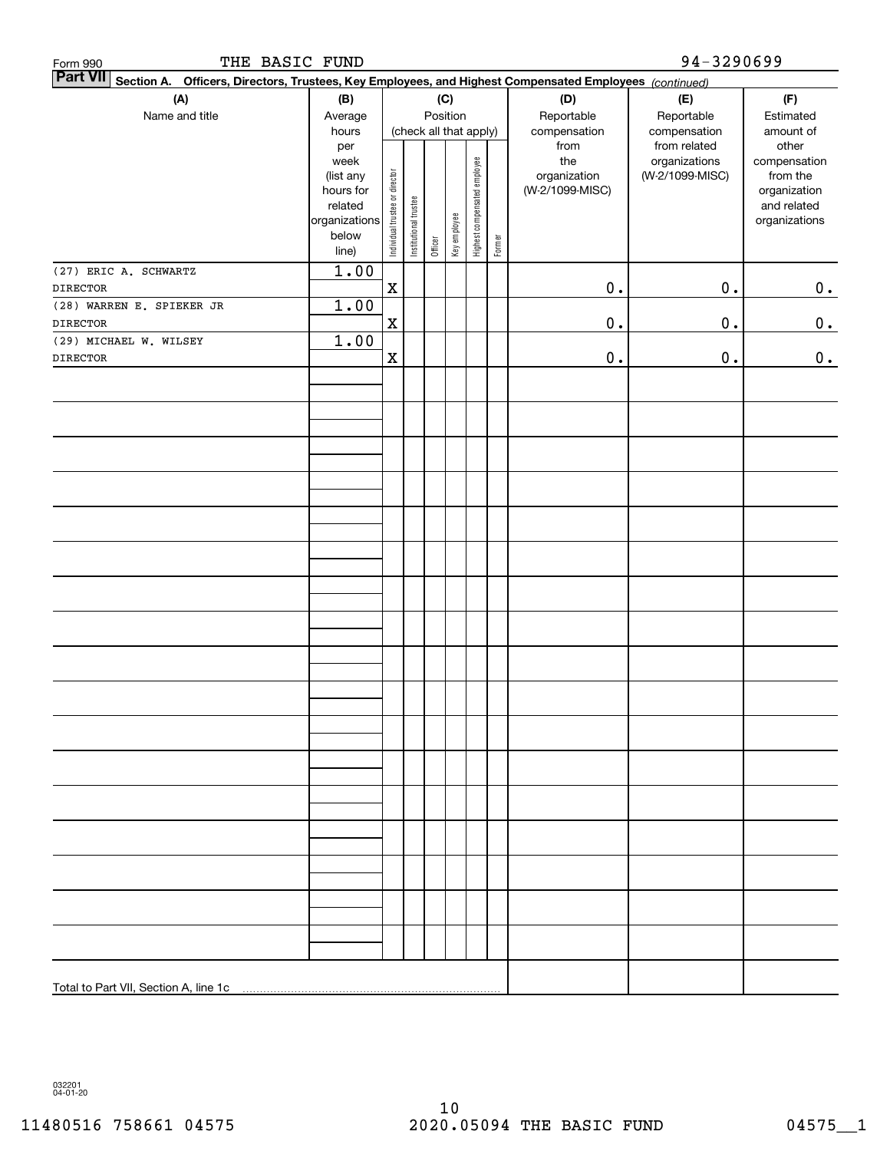| THE BASIC FUND<br>Form 990                                                                                                   |                          |                                |                                    |         |              |                              |           | 94-3290699      |                              |                              |  |  |  |
|------------------------------------------------------------------------------------------------------------------------------|--------------------------|--------------------------------|------------------------------------|---------|--------------|------------------------------|-----------|-----------------|------------------------------|------------------------------|--|--|--|
| <b>Part VII</b><br>Officers, Directors, Trustees, Key Employees, and Highest Compensated Employees (continued)<br>Section A. |                          |                                |                                    |         |              |                              |           |                 |                              |                              |  |  |  |
| (A)                                                                                                                          | (B)                      |                                | (C)                                |         |              |                              |           | (D)             | (E)                          | (F)                          |  |  |  |
| Name and title                                                                                                               | Average                  |                                | Position<br>(check all that apply) |         | Reportable   | Reportable                   | Estimated |                 |                              |                              |  |  |  |
|                                                                                                                              | hours                    |                                |                                    |         |              |                              |           | compensation    | compensation<br>from related | amount of                    |  |  |  |
|                                                                                                                              | per<br>week              |                                |                                    |         |              |                              |           | from<br>the     | organizations                | other<br>compensation        |  |  |  |
|                                                                                                                              | (list any                |                                |                                    |         |              |                              |           | organization    | (W-2/1099-MISC)              | from the                     |  |  |  |
|                                                                                                                              | hours for                |                                |                                    |         |              |                              |           | (W-2/1099-MISC) |                              | organization                 |  |  |  |
|                                                                                                                              | related<br>organizations | Individual trustee or director | Institutional trustee              |         |              | Highest compensated employee |           |                 |                              | and related<br>organizations |  |  |  |
|                                                                                                                              | below                    |                                |                                    |         |              |                              |           |                 |                              |                              |  |  |  |
|                                                                                                                              | line)                    |                                |                                    | Officer | Key employee |                              | Former    |                 |                              |                              |  |  |  |
| (27) ERIC A. SCHWARTZ                                                                                                        | 1.00                     |                                |                                    |         |              |                              |           |                 |                              |                              |  |  |  |
| <b>DIRECTOR</b>                                                                                                              |                          | $\mathbf X$                    |                                    |         |              |                              |           | $0$ .           | $\mathbf 0$ .                | $0_{\bullet}$                |  |  |  |
| (28) WARREN E. SPIEKER JR                                                                                                    | 1.00                     |                                |                                    |         |              |                              |           |                 |                              |                              |  |  |  |
| <b>DIRECTOR</b>                                                                                                              |                          | $\mathbf X$                    |                                    |         |              |                              |           | $\mathbf 0$ .   | $\mathbf 0$ .                | 0.                           |  |  |  |
| (29) MICHAEL W. WILSEY                                                                                                       | 1.00                     |                                |                                    |         |              |                              |           |                 |                              |                              |  |  |  |
| <b>DIRECTOR</b>                                                                                                              |                          | $\mathbf X$                    |                                    |         |              |                              |           | $\mathbf 0$ .   | 0.                           | 0.                           |  |  |  |
|                                                                                                                              |                          |                                |                                    |         |              |                              |           |                 |                              |                              |  |  |  |
|                                                                                                                              |                          |                                |                                    |         |              |                              |           |                 |                              |                              |  |  |  |
|                                                                                                                              |                          |                                |                                    |         |              |                              |           |                 |                              |                              |  |  |  |
|                                                                                                                              |                          |                                |                                    |         |              |                              |           |                 |                              |                              |  |  |  |
|                                                                                                                              |                          |                                |                                    |         |              |                              |           |                 |                              |                              |  |  |  |
|                                                                                                                              |                          |                                |                                    |         |              |                              |           |                 |                              |                              |  |  |  |
|                                                                                                                              |                          |                                |                                    |         |              |                              |           |                 |                              |                              |  |  |  |
|                                                                                                                              |                          |                                |                                    |         |              |                              |           |                 |                              |                              |  |  |  |
|                                                                                                                              |                          |                                |                                    |         |              |                              |           |                 |                              |                              |  |  |  |
|                                                                                                                              |                          |                                |                                    |         |              |                              |           |                 |                              |                              |  |  |  |
|                                                                                                                              |                          |                                |                                    |         |              |                              |           |                 |                              |                              |  |  |  |
|                                                                                                                              |                          |                                |                                    |         |              |                              |           |                 |                              |                              |  |  |  |
|                                                                                                                              |                          |                                |                                    |         |              |                              |           |                 |                              |                              |  |  |  |
|                                                                                                                              |                          |                                |                                    |         |              |                              |           |                 |                              |                              |  |  |  |
|                                                                                                                              |                          |                                |                                    |         |              |                              |           |                 |                              |                              |  |  |  |
|                                                                                                                              |                          |                                |                                    |         |              |                              |           |                 |                              |                              |  |  |  |
|                                                                                                                              |                          |                                |                                    |         |              |                              |           |                 |                              |                              |  |  |  |
|                                                                                                                              |                          |                                |                                    |         |              |                              |           |                 |                              |                              |  |  |  |
|                                                                                                                              |                          |                                |                                    |         |              |                              |           |                 |                              |                              |  |  |  |
|                                                                                                                              |                          |                                |                                    |         |              |                              |           |                 |                              |                              |  |  |  |
|                                                                                                                              |                          |                                |                                    |         |              |                              |           |                 |                              |                              |  |  |  |
|                                                                                                                              |                          |                                |                                    |         |              |                              |           |                 |                              |                              |  |  |  |
|                                                                                                                              |                          |                                |                                    |         |              |                              |           |                 |                              |                              |  |  |  |
|                                                                                                                              |                          |                                |                                    |         |              |                              |           |                 |                              |                              |  |  |  |
|                                                                                                                              |                          |                                |                                    |         |              |                              |           |                 |                              |                              |  |  |  |
|                                                                                                                              |                          |                                |                                    |         |              |                              |           |                 |                              |                              |  |  |  |
|                                                                                                                              |                          |                                |                                    |         |              |                              |           |                 |                              |                              |  |  |  |
|                                                                                                                              |                          |                                |                                    |         |              |                              |           |                 |                              |                              |  |  |  |
|                                                                                                                              |                          |                                |                                    |         |              |                              |           |                 |                              |                              |  |  |  |
|                                                                                                                              |                          |                                |                                    |         |              |                              |           |                 |                              |                              |  |  |  |
|                                                                                                                              |                          |                                |                                    |         |              |                              |           |                 |                              |                              |  |  |  |
|                                                                                                                              |                          |                                |                                    |         |              |                              |           |                 |                              |                              |  |  |  |

032201 04-01-20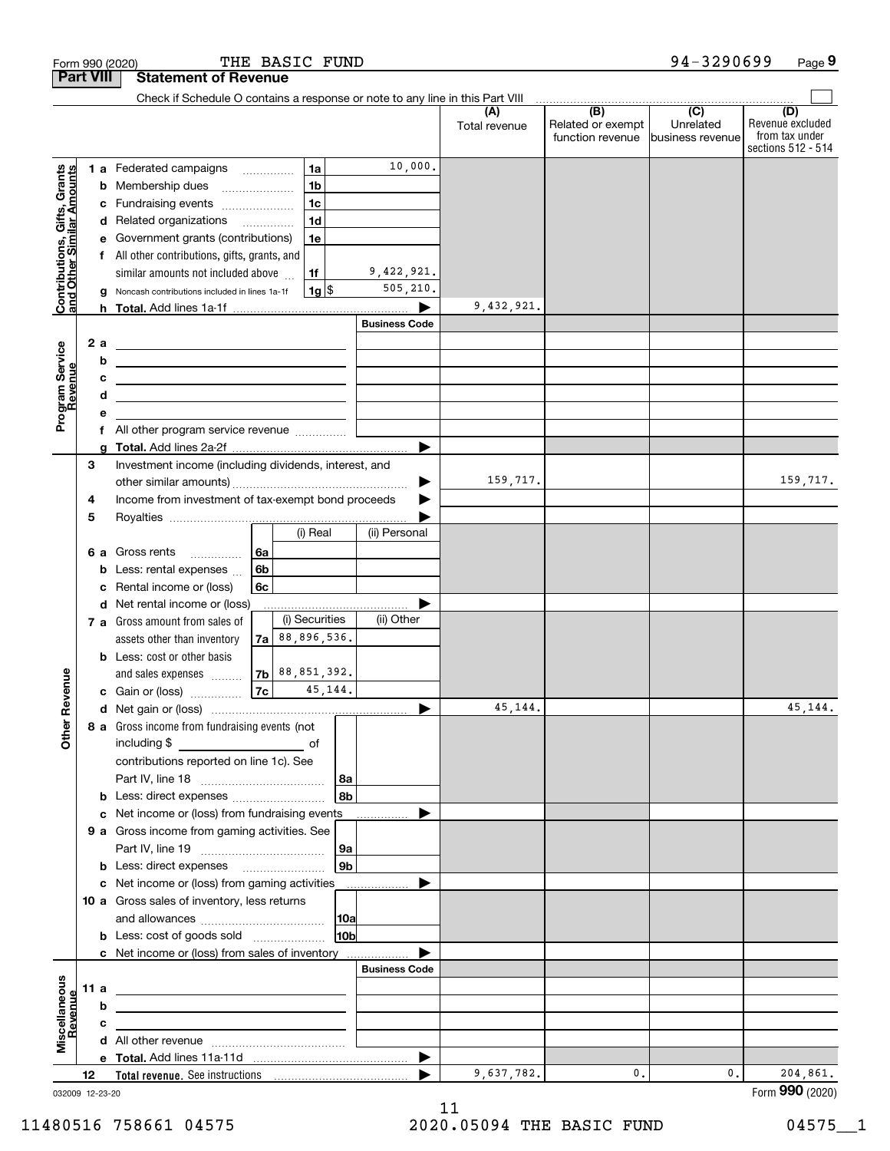|                                                           | Form 990 (2020)  |                                                    |                                                                                           |                | THE BASIC FUND     |                 |                      |                      |                          | 94-3290699                    | Page 9                  |
|-----------------------------------------------------------|------------------|----------------------------------------------------|-------------------------------------------------------------------------------------------|----------------|--------------------|-----------------|----------------------|----------------------|--------------------------|-------------------------------|-------------------------|
|                                                           | <b>Part VIII</b> |                                                    | <b>Statement of Revenue</b>                                                               |                |                    |                 |                      |                      |                          |                               |                         |
|                                                           |                  |                                                    | Check if Schedule O contains a response or note to any line in this Part VIII             |                |                    |                 |                      |                      |                          |                               |                         |
|                                                           |                  |                                                    |                                                                                           |                |                    |                 |                      | (A)<br>Total revenue | (B)<br>Related or exempt | $\overline{(C)}$<br>Unrelated | (D)<br>Revenue excluded |
|                                                           |                  |                                                    |                                                                                           |                |                    |                 |                      |                      | function revenue         | business revenue              | from tax under          |
|                                                           |                  |                                                    |                                                                                           |                |                    |                 |                      |                      |                          |                               | sections 512 - 514      |
|                                                           |                  |                                                    | 1 a Federated campaigns                                                                   |                | 1a                 |                 | 10,000.              |                      |                          |                               |                         |
| Contributions, Gifts, Grants<br>and Other Similar Amounts |                  |                                                    | <b>b</b> Membership dues                                                                  |                | 1 <sub>b</sub>     |                 |                      |                      |                          |                               |                         |
|                                                           |                  |                                                    | c Fundraising events                                                                      |                | 1 <sub>c</sub>     |                 |                      |                      |                          |                               |                         |
|                                                           |                  |                                                    | d Related organizations                                                                   |                | 1 <sub>d</sub>     |                 |                      |                      |                          |                               |                         |
|                                                           |                  |                                                    | e Government grants (contributions)                                                       |                | 1e                 |                 |                      |                      |                          |                               |                         |
|                                                           |                  |                                                    | f All other contributions, gifts, grants, and                                             |                |                    |                 |                      |                      |                          |                               |                         |
|                                                           |                  |                                                    | similar amounts not included above                                                        |                | 1f                 |                 | 9,422,921.           |                      |                          |                               |                         |
|                                                           |                  |                                                    | g Noncash contributions included in lines 1a-1f                                           |                | $1g$ \$            |                 | 505,210.             |                      |                          |                               |                         |
|                                                           |                  |                                                    |                                                                                           |                |                    |                 |                      | 9,432,921.           |                          |                               |                         |
|                                                           |                  |                                                    |                                                                                           |                |                    |                 | <b>Business Code</b> |                      |                          |                               |                         |
|                                                           | 2 a              |                                                    |                                                                                           |                |                    |                 |                      |                      |                          |                               |                         |
|                                                           |                  | b                                                  |                                                                                           |                |                    |                 |                      |                      |                          |                               |                         |
| evenue                                                    |                  | c                                                  | the control of the control of the control of the control of the control of the control of |                |                    |                 |                      |                      |                          |                               |                         |
|                                                           |                  | d                                                  |                                                                                           |                |                    |                 |                      |                      |                          |                               |                         |
| Program Service<br>Revenue                                |                  | е                                                  |                                                                                           |                |                    |                 |                      |                      |                          |                               |                         |
|                                                           |                  |                                                    | All other program service revenue <i></i>                                                 |                |                    |                 |                      |                      |                          |                               |                         |
|                                                           |                  |                                                    |                                                                                           |                |                    |                 |                      |                      |                          |                               |                         |
|                                                           | 3                |                                                    | Investment income (including dividends, interest, and                                     |                |                    |                 |                      |                      |                          |                               |                         |
|                                                           |                  |                                                    |                                                                                           |                |                    |                 |                      | 159,717.             |                          |                               | 159,717.                |
|                                                           | 4                | Income from investment of tax-exempt bond proceeds |                                                                                           |                |                    |                 |                      |                      |                          |                               |                         |
|                                                           | 5                |                                                    |                                                                                           |                |                    |                 |                      |                      |                          |                               |                         |
|                                                           |                  |                                                    |                                                                                           |                | (i) Real           |                 | (ii) Personal        |                      |                          |                               |                         |
|                                                           |                  |                                                    | 6 a Gross rents                                                                           | 6a             |                    |                 |                      |                      |                          |                               |                         |
|                                                           |                  |                                                    | <b>b</b> Less: rental expenses $\ldots$                                                   | 6 <sub>b</sub> |                    |                 |                      |                      |                          |                               |                         |
|                                                           |                  | с                                                  | Rental income or (loss)                                                                   | 6c             |                    |                 |                      |                      |                          |                               |                         |
|                                                           |                  |                                                    | d Net rental income or (loss)                                                             |                |                    |                 |                      |                      |                          |                               |                         |
|                                                           |                  |                                                    | 7 a Gross amount from sales of                                                            |                | (i) Securities     |                 | (ii) Other           |                      |                          |                               |                         |
|                                                           |                  |                                                    | assets other than inventory                                                               |                | $7a$ 88, 896, 536. |                 |                      |                      |                          |                               |                         |
|                                                           |                  |                                                    | <b>b</b> Less: cost or other basis                                                        |                |                    |                 |                      |                      |                          |                               |                         |
|                                                           |                  |                                                    | and sales expenses                                                                        |                | $7b$ 88, 851, 392. |                 |                      |                      |                          |                               |                         |
| venue                                                     |                  |                                                    | c Gain or (loss)                                                                          | 7c             |                    | 45,144.         |                      |                      |                          |                               |                         |
|                                                           |                  |                                                    |                                                                                           |                |                    |                 |                      | 45,144.              |                          |                               | 45,144.                 |
| Other R                                                   |                  |                                                    | 8 a Gross income from fundraising events (not                                             |                |                    |                 |                      |                      |                          |                               |                         |
|                                                           |                  |                                                    |                                                                                           |                |                    |                 |                      |                      |                          |                               |                         |
|                                                           |                  |                                                    | contributions reported on line 1c). See                                                   |                |                    |                 |                      |                      |                          |                               |                         |
|                                                           |                  |                                                    |                                                                                           |                |                    | 8a              |                      |                      |                          |                               |                         |
|                                                           |                  |                                                    | <b>b</b> Less: direct expenses <b>constants b</b>                                         |                |                    | 8 <sub>b</sub>  |                      |                      |                          |                               |                         |
|                                                           |                  |                                                    | c Net income or (loss) from fundraising events                                            |                |                    |                 |                      |                      |                          |                               |                         |
|                                                           |                  |                                                    | 9 a Gross income from gaming activities. See                                              |                |                    |                 |                      |                      |                          |                               |                         |
|                                                           |                  |                                                    |                                                                                           |                |                    | 9a              |                      |                      |                          |                               |                         |
|                                                           |                  |                                                    | <b>b</b> Less: direct expenses <b>manually contained</b>                                  |                |                    | 9 <sub>b</sub>  |                      |                      |                          |                               |                         |
|                                                           |                  |                                                    | c Net income or (loss) from gaming activities                                             |                |                    |                 | ▶                    |                      |                          |                               |                         |
|                                                           |                  |                                                    | 10 a Gross sales of inventory, less returns                                               |                |                    |                 |                      |                      |                          |                               |                         |
|                                                           |                  |                                                    |                                                                                           |                |                    | 10a             |                      |                      |                          |                               |                         |
|                                                           |                  |                                                    | <b>b</b> Less: cost of goods sold                                                         |                |                    | 10 <sub>b</sub> |                      |                      |                          |                               |                         |
|                                                           |                  |                                                    |                                                                                           |                |                    |                 |                      |                      |                          |                               |                         |
|                                                           |                  |                                                    |                                                                                           |                |                    |                 | <b>Business Code</b> |                      |                          |                               |                         |
|                                                           | 11 a             |                                                    |                                                                                           |                |                    |                 |                      |                      |                          |                               |                         |
|                                                           |                  | b                                                  |                                                                                           |                |                    |                 |                      |                      |                          |                               |                         |
| Revenue                                                   |                  | c                                                  |                                                                                           |                |                    |                 |                      |                      |                          |                               |                         |
| Miscellaneous                                             |                  |                                                    |                                                                                           |                |                    |                 |                      |                      |                          |                               |                         |
|                                                           |                  |                                                    |                                                                                           |                |                    |                 | ▶                    |                      |                          |                               |                         |
|                                                           | 12               |                                                    |                                                                                           |                |                    |                 | ▶                    | 9,637,782.           | $\mathbf{0}$ .           | 0.                            | 204,861.                |

032009 12-23-20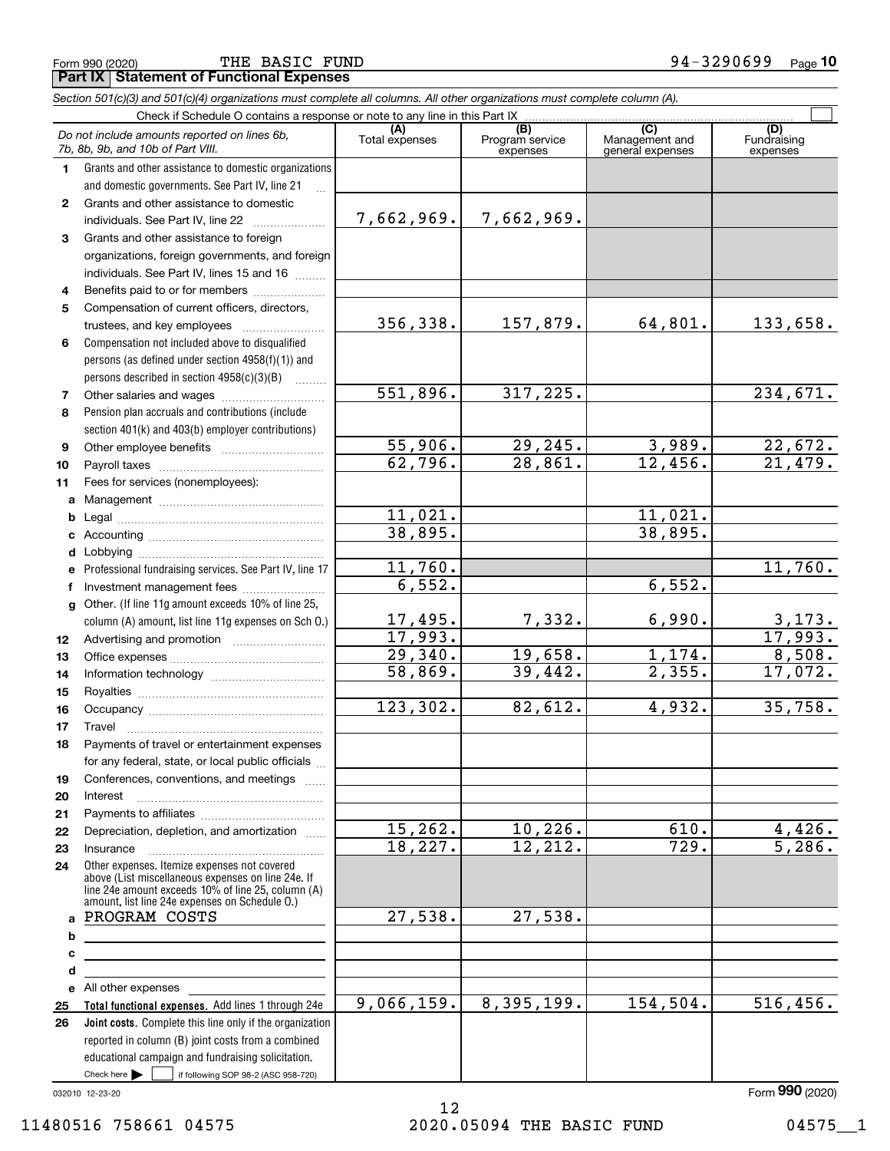Form 990 (2020) Page **Part IX Statement of Functional Expenses** THE BASIC FUND 94-3290699

|              | Section 501(c)(3) and 501(c)(4) organizations must complete all columns. All other organizations must complete column (A).                                                                                 |                |                                    |                                           |                                |
|--------------|------------------------------------------------------------------------------------------------------------------------------------------------------------------------------------------------------------|----------------|------------------------------------|-------------------------------------------|--------------------------------|
|              | Check if Schedule O contains a response or note to any line in this Part IX                                                                                                                                |                |                                    |                                           |                                |
|              | Do not include amounts reported on lines 6b,<br>7b, 8b, 9b, and 10b of Part VIII.                                                                                                                          | Total expenses | (B)<br>Program service<br>expenses | (C)<br>Management and<br>general expenses | (D)<br>Fundraising<br>expenses |
| 1.           | Grants and other assistance to domestic organizations                                                                                                                                                      |                |                                    |                                           |                                |
|              | and domestic governments. See Part IV, line 21                                                                                                                                                             |                |                                    |                                           |                                |
| $\mathbf{2}$ | Grants and other assistance to domestic                                                                                                                                                                    |                |                                    |                                           |                                |
|              | individuals. See Part IV, line 22                                                                                                                                                                          | 7,662,969.     | 7,662,969.                         |                                           |                                |
| 3            | Grants and other assistance to foreign                                                                                                                                                                     |                |                                    |                                           |                                |
|              | organizations, foreign governments, and foreign                                                                                                                                                            |                |                                    |                                           |                                |
|              | individuals. See Part IV, lines 15 and 16                                                                                                                                                                  |                |                                    |                                           |                                |
| 4            | Benefits paid to or for members                                                                                                                                                                            |                |                                    |                                           |                                |
| 5            | Compensation of current officers, directors,                                                                                                                                                               |                |                                    |                                           |                                |
|              |                                                                                                                                                                                                            | 356,338.       | 157,879.                           | 64,801.                                   | 133,658.                       |
| 6            | Compensation not included above to disqualified                                                                                                                                                            |                |                                    |                                           |                                |
|              | persons (as defined under section 4958(f)(1)) and                                                                                                                                                          |                |                                    |                                           |                                |
|              | persons described in section 4958(c)(3)(B)                                                                                                                                                                 |                |                                    |                                           |                                |
| 7            |                                                                                                                                                                                                            | 551,896.       | 317,225.                           |                                           | 234,671.                       |
| 8            | Pension plan accruals and contributions (include                                                                                                                                                           |                |                                    |                                           |                                |
|              | section 401(k) and 403(b) employer contributions)                                                                                                                                                          |                |                                    |                                           |                                |
| 9            |                                                                                                                                                                                                            | 55,906.        | 29, 245.                           | 3,989.                                    | $\frac{22,672.}{21,479.}$      |
| 10           |                                                                                                                                                                                                            | 62,796.        | 28,861.                            | 12,456.                                   |                                |
| 11           | Fees for services (nonemployees):                                                                                                                                                                          |                |                                    |                                           |                                |
| a            |                                                                                                                                                                                                            |                |                                    |                                           |                                |
| b            |                                                                                                                                                                                                            | 11,021.        |                                    | 11,021.                                   |                                |
| c            |                                                                                                                                                                                                            | 38,895.        |                                    | 38,895.                                   |                                |
|              |                                                                                                                                                                                                            |                |                                    |                                           |                                |
|              | Professional fundraising services. See Part IV, line 17                                                                                                                                                    | 11,760.        |                                    |                                           | 11,760.                        |
|              | Investment management fees                                                                                                                                                                                 | 6,552.         |                                    | 6,552.                                    |                                |
| g            | Other. (If line 11g amount exceeds 10% of line 25,                                                                                                                                                         |                |                                    |                                           |                                |
|              | column (A) amount, list line 11g expenses on Sch O.)                                                                                                                                                       | 17,495.        | 7,332.                             | 6,990.                                    | 3,173.                         |
| 12           |                                                                                                                                                                                                            | 17,993.        |                                    |                                           | 17,993.                        |
| 13           |                                                                                                                                                                                                            | 29,340.        | 19,658.                            | 1,174.                                    | 8,508.                         |
| 14           |                                                                                                                                                                                                            | 58,869.        | 39,442.                            | 2,355.                                    | 17,072.                        |
| 15           |                                                                                                                                                                                                            |                |                                    |                                           |                                |
| 16           |                                                                                                                                                                                                            | 123,302.       | 82,612.                            | 4,932.                                    | 35,758.                        |
| 17           |                                                                                                                                                                                                            |                |                                    |                                           |                                |
| 18           | Payments of travel or entertainment expenses                                                                                                                                                               |                |                                    |                                           |                                |
|              | for any federal, state, or local public officials                                                                                                                                                          |                |                                    |                                           |                                |
| 19           | Conferences, conventions, and meetings                                                                                                                                                                     |                |                                    |                                           |                                |
| 20           | Interest                                                                                                                                                                                                   |                |                                    |                                           |                                |
| 21           |                                                                                                                                                                                                            |                |                                    |                                           |                                |
| 22           | Depreciation, depletion, and amortization                                                                                                                                                                  | 15,262.        | 10, 226.                           | 610.                                      | 4,426.                         |
| 23           | Insurance                                                                                                                                                                                                  | 18,227.        | 12, 212.                           | 729.                                      | 5,286.                         |
| 24           | Other expenses. Itemize expenses not covered<br>above (List miscellaneous expenses on line 24e. If<br>line 24e amount exceeds 10% of line 25, column (A)<br>amount, list line 24e expenses on Schedule O.) |                |                                    |                                           |                                |
| a            | PROGRAM COSTS                                                                                                                                                                                              | 27,538.        | 27,538.                            |                                           |                                |
| b            | <u> 1989 - Johann Barbara, martxa alemaniar amerikan a</u>                                                                                                                                                 |                |                                    |                                           |                                |
| с            |                                                                                                                                                                                                            |                |                                    |                                           |                                |
| d            | <u> 1980 - Johann Barn, mars eta bainar eta idazlea (</u>                                                                                                                                                  |                |                                    |                                           |                                |
|              | e All other expenses                                                                                                                                                                                       |                |                                    |                                           |                                |
| 25           | Total functional expenses. Add lines 1 through 24e                                                                                                                                                         | 9,066,159.     | 8,395,199.                         | 154,504.                                  | $\overline{516}$ , 456.        |
| 26           | Joint costs. Complete this line only if the organization<br>reported in column (B) joint costs from a combined<br>educational campaign and fundraising solicitation.                                       |                |                                    |                                           |                                |

032010 12-23-20

 $\mathcal{L}^{\text{max}}$ 

Check here

if following SOP 98-2 (ASC 958-720)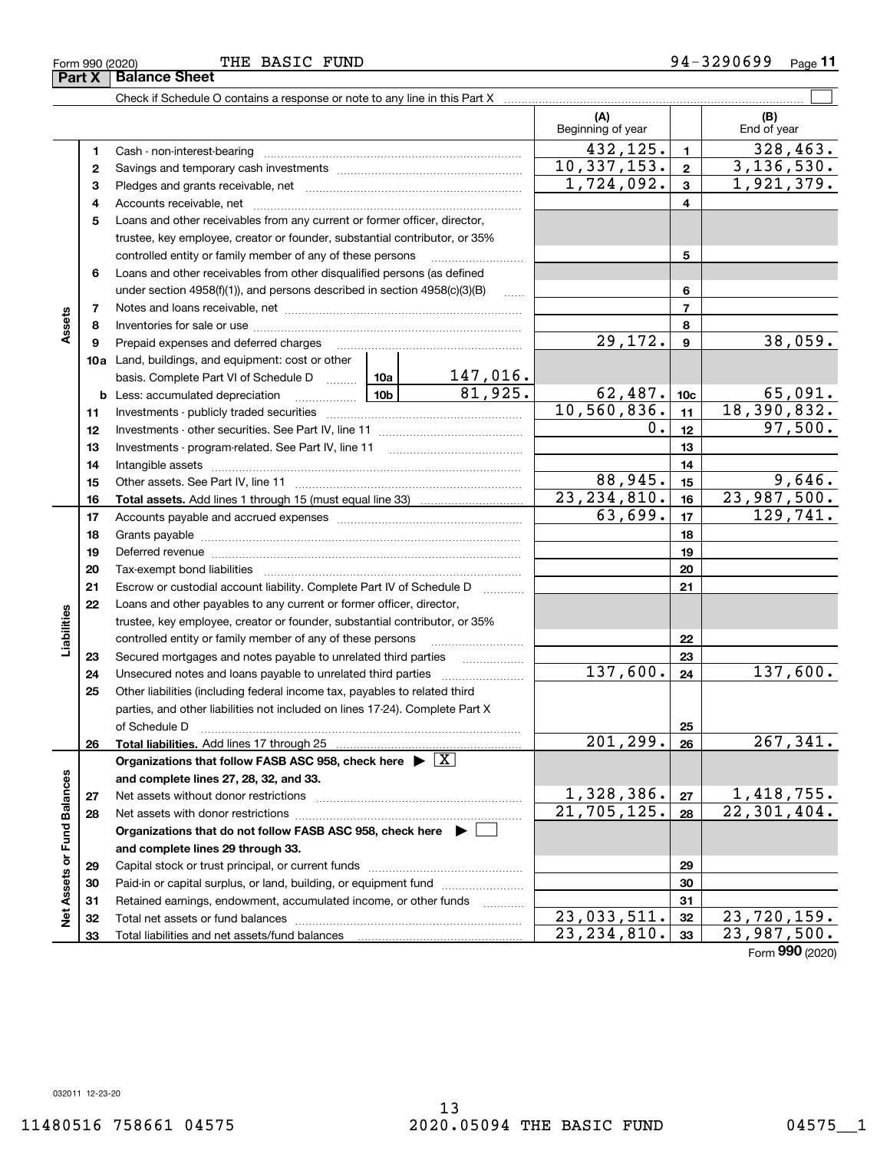**Part X Balance Sheet**

### THE BASIC FUND

Form 990 (2020) 'I'HE' BASIC F'UND 9 4-3 2 9 U 6 9 9 Page **11**

|                             |          | Check if Schedule O contains a response or note to any line in this Part X                                                                                                                                                     |         |                                               |                           |                        |                              |
|-----------------------------|----------|--------------------------------------------------------------------------------------------------------------------------------------------------------------------------------------------------------------------------------|---------|-----------------------------------------------|---------------------------|------------------------|------------------------------|
|                             |          |                                                                                                                                                                                                                                |         |                                               | (A)<br>Beginning of year  |                        | (B)<br>End of year           |
|                             | 1        |                                                                                                                                                                                                                                |         |                                               | 432, 125.                 | $\mathbf{1}$           | 328,463.                     |
|                             | 2        |                                                                                                                                                                                                                                |         |                                               | 10, 337, 153.             | $\mathbf{2}$           | 3, 136, 530.                 |
|                             | 3        |                                                                                                                                                                                                                                |         |                                               | 1,724,092.                | 3                      | 1,921,379.                   |
|                             | 4        |                                                                                                                                                                                                                                |         | 4                                             |                           |                        |                              |
|                             | 5        | Loans and other receivables from any current or former officer, director,                                                                                                                                                      |         |                                               |                           |                        |                              |
|                             |          | trustee, key employee, creator or founder, substantial contributor, or 35%                                                                                                                                                     |         |                                               |                           |                        |                              |
|                             |          | controlled entity or family member of any of these persons                                                                                                                                                                     |         |                                               |                           | 5                      |                              |
|                             | 6        | Loans and other receivables from other disqualified persons (as defined                                                                                                                                                        |         |                                               |                           |                        |                              |
|                             |          | under section $4958(f)(1)$ , and persons described in section $4958(c)(3)(B)$                                                                                                                                                  |         | 6                                             |                           |                        |                              |
|                             | 7        |                                                                                                                                                                                                                                |         | $\overline{7}$                                |                           |                        |                              |
| Assets                      | 8        |                                                                                                                                                                                                                                |         |                                               |                           | 8                      |                              |
|                             | 9        | Prepaid expenses and deferred charges                                                                                                                                                                                          | 29,172. | 9                                             | 38,059.                   |                        |                              |
|                             |          | <b>10a</b> Land, buildings, and equipment: cost or other                                                                                                                                                                       |         |                                               |                           |                        |                              |
|                             |          | basis. Complete Part VI of Schedule D  10a                                                                                                                                                                                     |         | $\frac{147,016.}{81,925.}$                    |                           |                        |                              |
|                             |          | $\frac{10b}{10b}$<br><b>b</b> Less: accumulated depreciation                                                                                                                                                                   |         |                                               | 62,487.                   | 10 <sub>c</sub>        | 65,091.                      |
|                             | 11       |                                                                                                                                                                                                                                |         | 10, 560, 836.                                 | 11                        | 18,390,832.<br>97,500. |                              |
|                             | 12       |                                                                                                                                                                                                                                | 0.      | 12                                            |                           |                        |                              |
|                             | 13       | Investments - program-related. See Part IV, line 11                                                                                                                                                                            |         | 13                                            |                           |                        |                              |
|                             | 14       |                                                                                                                                                                                                                                | 88,945. | 14                                            |                           |                        |                              |
|                             | 15       |                                                                                                                                                                                                                                |         |                                               | 23, 234, 810.             | 15                     | <u>9,646.</u><br>23,987,500. |
|                             | 16<br>17 |                                                                                                                                                                                                                                |         |                                               | 63,699.                   | 16<br>17               | 129,741.                     |
|                             | 18       |                                                                                                                                                                                                                                |         |                                               | 18                        |                        |                              |
|                             | 19       | Deferred revenue manual contracts and contracts are all the contracts and contracts are contracted and contracts are contracted and contract are contracted and contract are contracted and contract are contracted and contra |         | 19                                            |                           |                        |                              |
|                             | 20       |                                                                                                                                                                                                                                |         | 20                                            |                           |                        |                              |
|                             | 21       | Escrow or custodial account liability. Complete Part IV of Schedule D                                                                                                                                                          |         | $\mathcal{L}$ . The contract of $\mathcal{L}$ |                           | 21                     |                              |
|                             | 22       | Loans and other payables to any current or former officer, director,                                                                                                                                                           |         |                                               |                           |                        |                              |
| Liabilities                 |          | trustee, key employee, creator or founder, substantial contributor, or 35%                                                                                                                                                     |         |                                               |                           |                        |                              |
|                             |          | controlled entity or family member of any of these persons                                                                                                                                                                     |         |                                               |                           | 22                     |                              |
|                             | 23       | Secured mortgages and notes payable to unrelated third parties                                                                                                                                                                 |         |                                               |                           | 23                     |                              |
|                             | 24       | Unsecured notes and loans payable to unrelated third parties                                                                                                                                                                   |         |                                               | 137,600.                  | 24                     | 137,600.                     |
|                             | 25       | Other liabilities (including federal income tax, payables to related third                                                                                                                                                     |         |                                               |                           |                        |                              |
|                             |          | parties, and other liabilities not included on lines 17-24). Complete Part X                                                                                                                                                   |         |                                               |                           |                        |                              |
|                             |          | of Schedule D                                                                                                                                                                                                                  |         |                                               |                           | 25                     |                              |
|                             | 26       | Total liabilities. Add lines 17 through 25                                                                                                                                                                                     |         |                                               | $\overline{201,299.}$     | 26                     | $\overline{267,341}$ .       |
|                             |          | Organizations that follow FASB ASC 958, check here $\blacktriangleright \boxed{X}$                                                                                                                                             |         |                                               |                           |                        |                              |
|                             |          | and complete lines 27, 28, 32, and 33.                                                                                                                                                                                         |         |                                               |                           |                        |                              |
|                             | 27       | Net assets without donor restrictions                                                                                                                                                                                          |         |                                               | 1,328,386.                | 27                     | <u>1,418,755.</u>            |
|                             | 28       | Net assets with donor restrictions                                                                                                                                                                                             |         |                                               | $\overline{21,705,125}$ . | 28                     | $\overline{22,301,404}$ .    |
|                             |          | Organizations that do not follow FASB ASC 958, check here $\blacktriangleright$                                                                                                                                                |         |                                               |                           |                        |                              |
|                             |          | and complete lines 29 through 33.                                                                                                                                                                                              |         |                                               |                           |                        |                              |
| Net Assets or Fund Balances | 29       |                                                                                                                                                                                                                                |         |                                               |                           | 29                     |                              |
|                             | 30       | Paid-in or capital surplus, or land, building, or equipment fund                                                                                                                                                               |         |                                               |                           | 30                     |                              |
|                             | 31       | Retained earnings, endowment, accumulated income, or other funds                                                                                                                                                               |         |                                               |                           | 31                     |                              |
|                             | 32       |                                                                                                                                                                                                                                |         |                                               | 23,033,511.               | 32                     | $\overline{23}$ , 720, 159.  |
|                             | 33       | Total liabilities and net assets/fund balances                                                                                                                                                                                 |         |                                               | 23, 234, 810.             | 33                     | 23,987,500.                  |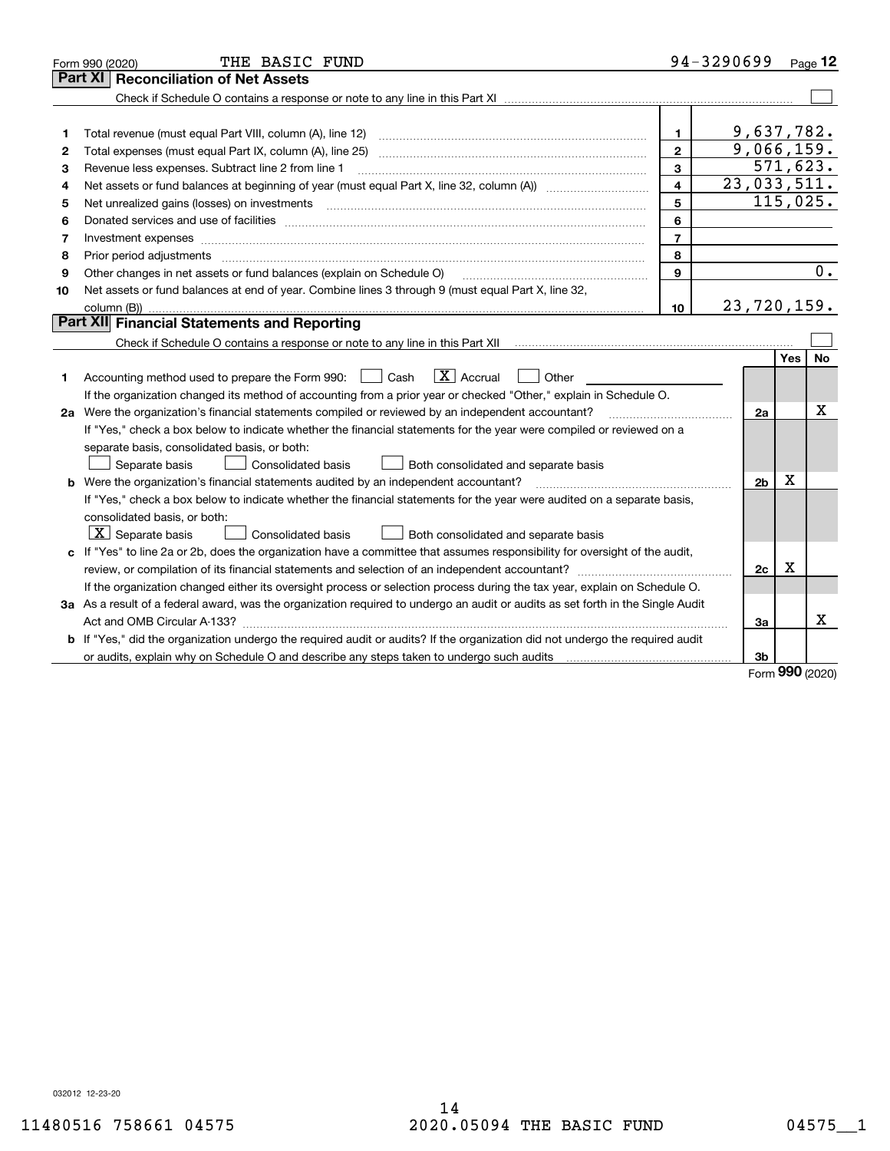| Part XI<br>9,637,782.<br>1.<br>1<br>9,066,159.<br>$\overline{2}$<br>Total expenses (must equal Part IX, column (A), line 25)<br>2<br>571,623.<br>3<br>Revenue less expenses. Subtract line 2 from line 1<br>3<br>23,033,511.<br>$\overline{\mathbf{4}}$<br>4<br>115,025.<br>5<br>Net unrealized gains (losses) on investments [11] matter contracts and the state of the state of the state of the state of the state of the state of the state of the state of the state of the state of the state of the stat<br>5<br>6<br>6<br>$\overline{7}$<br>Investment expenses www.communication.com/www.communication.com/www.communication.com/www.com<br>7<br>8<br>Prior period adjustments<br>8<br>9<br>Other changes in net assets or fund balances (explain on Schedule O)<br>9<br>Net assets or fund balances at end of year. Combine lines 3 through 9 (must equal Part X, line 32,<br>10<br>23, 720, 159.<br>10<br>column (B))<br>Part XII Financial Statements and Reporting | THE BASIC FUND<br>Form 990 (2020)   |  | 94-3290699 |  | Page $12$        |  |  |
|---------------------------------------------------------------------------------------------------------------------------------------------------------------------------------------------------------------------------------------------------------------------------------------------------------------------------------------------------------------------------------------------------------------------------------------------------------------------------------------------------------------------------------------------------------------------------------------------------------------------------------------------------------------------------------------------------------------------------------------------------------------------------------------------------------------------------------------------------------------------------------------------------------------------------------------------------------------------------------|-------------------------------------|--|------------|--|------------------|--|--|
|                                                                                                                                                                                                                                                                                                                                                                                                                                                                                                                                                                                                                                                                                                                                                                                                                                                                                                                                                                                 | <b>Reconciliation of Net Assets</b> |  |            |  |                  |  |  |
|                                                                                                                                                                                                                                                                                                                                                                                                                                                                                                                                                                                                                                                                                                                                                                                                                                                                                                                                                                                 |                                     |  |            |  |                  |  |  |
|                                                                                                                                                                                                                                                                                                                                                                                                                                                                                                                                                                                                                                                                                                                                                                                                                                                                                                                                                                                 |                                     |  |            |  |                  |  |  |
|                                                                                                                                                                                                                                                                                                                                                                                                                                                                                                                                                                                                                                                                                                                                                                                                                                                                                                                                                                                 |                                     |  |            |  |                  |  |  |
|                                                                                                                                                                                                                                                                                                                                                                                                                                                                                                                                                                                                                                                                                                                                                                                                                                                                                                                                                                                 |                                     |  |            |  |                  |  |  |
|                                                                                                                                                                                                                                                                                                                                                                                                                                                                                                                                                                                                                                                                                                                                                                                                                                                                                                                                                                                 |                                     |  |            |  |                  |  |  |
|                                                                                                                                                                                                                                                                                                                                                                                                                                                                                                                                                                                                                                                                                                                                                                                                                                                                                                                                                                                 |                                     |  |            |  |                  |  |  |
|                                                                                                                                                                                                                                                                                                                                                                                                                                                                                                                                                                                                                                                                                                                                                                                                                                                                                                                                                                                 |                                     |  |            |  |                  |  |  |
|                                                                                                                                                                                                                                                                                                                                                                                                                                                                                                                                                                                                                                                                                                                                                                                                                                                                                                                                                                                 |                                     |  |            |  |                  |  |  |
|                                                                                                                                                                                                                                                                                                                                                                                                                                                                                                                                                                                                                                                                                                                                                                                                                                                                                                                                                                                 |                                     |  |            |  |                  |  |  |
|                                                                                                                                                                                                                                                                                                                                                                                                                                                                                                                                                                                                                                                                                                                                                                                                                                                                                                                                                                                 |                                     |  |            |  |                  |  |  |
|                                                                                                                                                                                                                                                                                                                                                                                                                                                                                                                                                                                                                                                                                                                                                                                                                                                                                                                                                                                 |                                     |  |            |  | $\overline{0}$ . |  |  |
|                                                                                                                                                                                                                                                                                                                                                                                                                                                                                                                                                                                                                                                                                                                                                                                                                                                                                                                                                                                 |                                     |  |            |  |                  |  |  |
|                                                                                                                                                                                                                                                                                                                                                                                                                                                                                                                                                                                                                                                                                                                                                                                                                                                                                                                                                                                 |                                     |  |            |  |                  |  |  |
|                                                                                                                                                                                                                                                                                                                                                                                                                                                                                                                                                                                                                                                                                                                                                                                                                                                                                                                                                                                 |                                     |  |            |  |                  |  |  |
|                                                                                                                                                                                                                                                                                                                                                                                                                                                                                                                                                                                                                                                                                                                                                                                                                                                                                                                                                                                 |                                     |  |            |  |                  |  |  |
| Yes                                                                                                                                                                                                                                                                                                                                                                                                                                                                                                                                                                                                                                                                                                                                                                                                                                                                                                                                                                             |                                     |  |            |  | No               |  |  |
| $\boxed{\text{X}}$ Accrual<br>Accounting method used to prepare the Form 990: <u>[</u> Cash<br>Other<br>1                                                                                                                                                                                                                                                                                                                                                                                                                                                                                                                                                                                                                                                                                                                                                                                                                                                                       |                                     |  |            |  |                  |  |  |
| If the organization changed its method of accounting from a prior year or checked "Other," explain in Schedule O.                                                                                                                                                                                                                                                                                                                                                                                                                                                                                                                                                                                                                                                                                                                                                                                                                                                               |                                     |  |            |  |                  |  |  |
| х<br>2a Were the organization's financial statements compiled or reviewed by an independent accountant?<br>2a                                                                                                                                                                                                                                                                                                                                                                                                                                                                                                                                                                                                                                                                                                                                                                                                                                                                   |                                     |  |            |  |                  |  |  |
| If "Yes," check a box below to indicate whether the financial statements for the year were compiled or reviewed on a                                                                                                                                                                                                                                                                                                                                                                                                                                                                                                                                                                                                                                                                                                                                                                                                                                                            |                                     |  |            |  |                  |  |  |
| separate basis, consolidated basis, or both:                                                                                                                                                                                                                                                                                                                                                                                                                                                                                                                                                                                                                                                                                                                                                                                                                                                                                                                                    |                                     |  |            |  |                  |  |  |
| Separate basis<br>Consolidated basis<br>Both consolidated and separate basis                                                                                                                                                                                                                                                                                                                                                                                                                                                                                                                                                                                                                                                                                                                                                                                                                                                                                                    |                                     |  |            |  |                  |  |  |
| х<br><b>b</b> Were the organization's financial statements audited by an independent accountant?<br>2 <sub>b</sub>                                                                                                                                                                                                                                                                                                                                                                                                                                                                                                                                                                                                                                                                                                                                                                                                                                                              |                                     |  |            |  |                  |  |  |
| If "Yes," check a box below to indicate whether the financial statements for the year were audited on a separate basis,                                                                                                                                                                                                                                                                                                                                                                                                                                                                                                                                                                                                                                                                                                                                                                                                                                                         |                                     |  |            |  |                  |  |  |
| consolidated basis, or both:                                                                                                                                                                                                                                                                                                                                                                                                                                                                                                                                                                                                                                                                                                                                                                                                                                                                                                                                                    |                                     |  |            |  |                  |  |  |
| $\lfloor x \rfloor$ Separate basis<br>Consolidated basis<br>Both consolidated and separate basis                                                                                                                                                                                                                                                                                                                                                                                                                                                                                                                                                                                                                                                                                                                                                                                                                                                                                |                                     |  |            |  |                  |  |  |
| c If "Yes" to line 2a or 2b, does the organization have a committee that assumes responsibility for oversight of the audit,                                                                                                                                                                                                                                                                                                                                                                                                                                                                                                                                                                                                                                                                                                                                                                                                                                                     |                                     |  |            |  |                  |  |  |
| х<br>2c                                                                                                                                                                                                                                                                                                                                                                                                                                                                                                                                                                                                                                                                                                                                                                                                                                                                                                                                                                         |                                     |  |            |  |                  |  |  |
| If the organization changed either its oversight process or selection process during the tax year, explain on Schedule O.                                                                                                                                                                                                                                                                                                                                                                                                                                                                                                                                                                                                                                                                                                                                                                                                                                                       |                                     |  |            |  |                  |  |  |
| 3a As a result of a federal award, was the organization required to undergo an audit or audits as set forth in the Single Audit                                                                                                                                                                                                                                                                                                                                                                                                                                                                                                                                                                                                                                                                                                                                                                                                                                                 |                                     |  |            |  |                  |  |  |
| x<br>За                                                                                                                                                                                                                                                                                                                                                                                                                                                                                                                                                                                                                                                                                                                                                                                                                                                                                                                                                                         |                                     |  |            |  |                  |  |  |
| b If "Yes," did the organization undergo the required audit or audits? If the organization did not undergo the required audit                                                                                                                                                                                                                                                                                                                                                                                                                                                                                                                                                                                                                                                                                                                                                                                                                                                   |                                     |  |            |  |                  |  |  |
| 3b<br>or audits, explain why on Schedule O and describe any steps taken to undergo such audits matured contains the successive or and the successive or and the successive or and the successive or and the successive or and the su<br>000                                                                                                                                                                                                                                                                                                                                                                                                                                                                                                                                                                                                                                                                                                                                     |                                     |  |            |  |                  |  |  |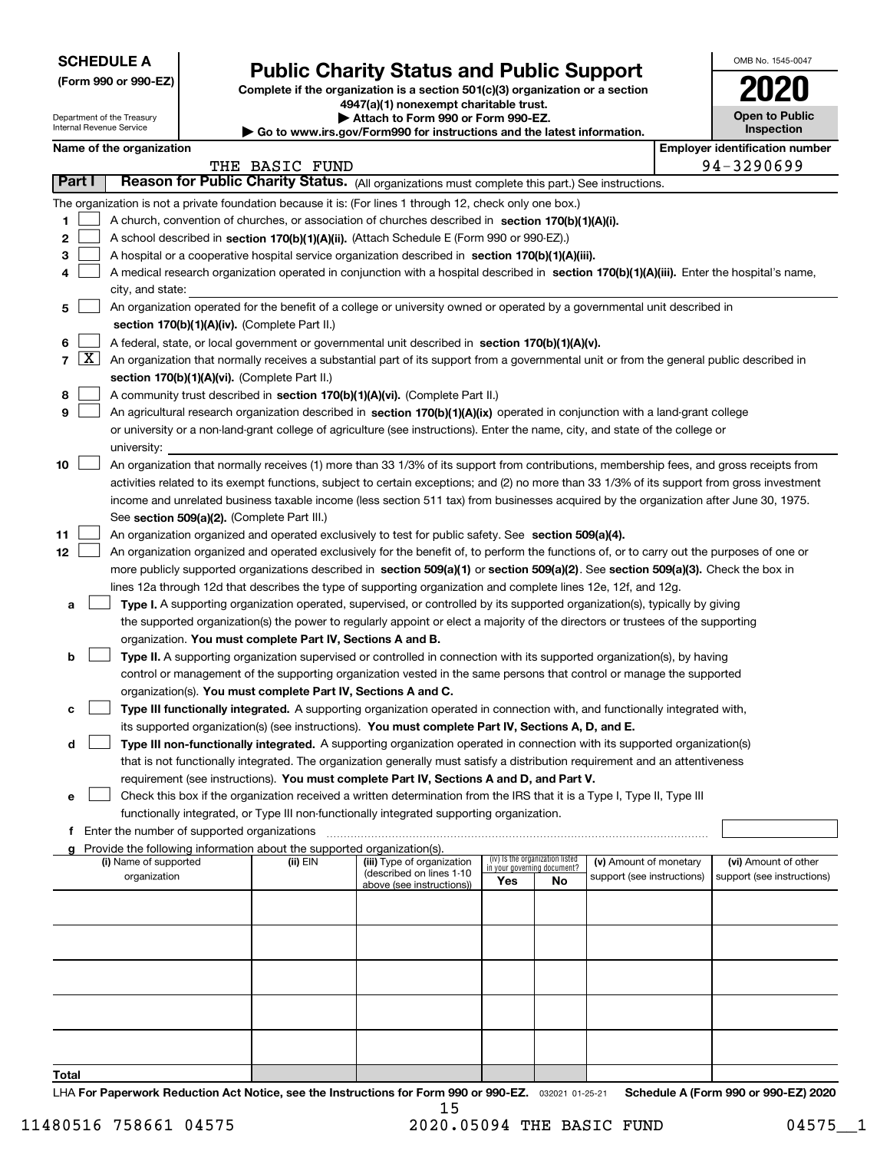| <b>SCHEDULE A</b> |  |
|-------------------|--|
|-------------------|--|

Department of the Treasury Internal Revenue Service

| (Form 990 or 990-EZ) |  |  |  |  |
|----------------------|--|--|--|--|
|----------------------|--|--|--|--|

# **Public Charity Status and Public Support**

**Complete if the organization is a section 501(c)(3) organization or a section 4947(a)(1) nonexempt charitable trust. | Attach to Form 990 or Form 990-EZ.** 

| www.irs.gov/Form990 for instructions and the latest information. |  |  |
|------------------------------------------------------------------|--|--|

| OMB No. 1545-0047                   |
|-------------------------------------|
| 17                                  |
| <b>Open to Public</b><br>Inspection |

|  | Name of the organization |
|--|--------------------------|
|  |                          |

 $\blacktriangleright$  Go to

|                | Name of the organization<br><b>Employer identification number</b>                                                                                                                                                                                              |                                                                                                                                              |                |                                                        |                                                                |    |                            |  |                            |  |
|----------------|----------------------------------------------------------------------------------------------------------------------------------------------------------------------------------------------------------------------------------------------------------------|----------------------------------------------------------------------------------------------------------------------------------------------|----------------|--------------------------------------------------------|----------------------------------------------------------------|----|----------------------------|--|----------------------------|--|
|                |                                                                                                                                                                                                                                                                |                                                                                                                                              | THE BASIC FUND |                                                        |                                                                |    |                            |  | 94-3290699                 |  |
| Part I         |                                                                                                                                                                                                                                                                | Reason for Public Charity Status. (All organizations must complete this part.) See instructions.                                             |                |                                                        |                                                                |    |                            |  |                            |  |
|                |                                                                                                                                                                                                                                                                | The organization is not a private foundation because it is: (For lines 1 through 12, check only one box.)                                    |                |                                                        |                                                                |    |                            |  |                            |  |
| 1              |                                                                                                                                                                                                                                                                | A church, convention of churches, or association of churches described in section 170(b)(1)(A)(i).                                           |                |                                                        |                                                                |    |                            |  |                            |  |
| 2              |                                                                                                                                                                                                                                                                | A school described in section 170(b)(1)(A)(ii). (Attach Schedule E (Form 990 or 990-EZ).)                                                    |                |                                                        |                                                                |    |                            |  |                            |  |
| З              |                                                                                                                                                                                                                                                                | A hospital or a cooperative hospital service organization described in section 170(b)(1)(A)(iii).                                            |                |                                                        |                                                                |    |                            |  |                            |  |
|                |                                                                                                                                                                                                                                                                | A medical research organization operated in conjunction with a hospital described in section 170(b)(1)(A)(iii). Enter the hospital's name,   |                |                                                        |                                                                |    |                            |  |                            |  |
|                |                                                                                                                                                                                                                                                                | city, and state:                                                                                                                             |                |                                                        |                                                                |    |                            |  |                            |  |
| 5              |                                                                                                                                                                                                                                                                | An organization operated for the benefit of a college or university owned or operated by a governmental unit described in                    |                |                                                        |                                                                |    |                            |  |                            |  |
|                |                                                                                                                                                                                                                                                                | section 170(b)(1)(A)(iv). (Complete Part II.)                                                                                                |                |                                                        |                                                                |    |                            |  |                            |  |
| 6              |                                                                                                                                                                                                                                                                | A federal, state, or local government or governmental unit described in section 170(b)(1)(A)(v).                                             |                |                                                        |                                                                |    |                            |  |                            |  |
| $\overline{7}$ | $\lfloor x \rfloor$                                                                                                                                                                                                                                            | An organization that normally receives a substantial part of its support from a governmental unit or from the general public described in    |                |                                                        |                                                                |    |                            |  |                            |  |
|                |                                                                                                                                                                                                                                                                | section 170(b)(1)(A)(vi). (Complete Part II.)                                                                                                |                |                                                        |                                                                |    |                            |  |                            |  |
| 8              |                                                                                                                                                                                                                                                                | A community trust described in section 170(b)(1)(A)(vi). (Complete Part II.)                                                                 |                |                                                        |                                                                |    |                            |  |                            |  |
| 9              |                                                                                                                                                                                                                                                                | An agricultural research organization described in section 170(b)(1)(A)(ix) operated in conjunction with a land-grant college                |                |                                                        |                                                                |    |                            |  |                            |  |
|                |                                                                                                                                                                                                                                                                | or university or a non-land-grant college of agriculture (see instructions). Enter the name, city, and state of the college or               |                |                                                        |                                                                |    |                            |  |                            |  |
|                |                                                                                                                                                                                                                                                                | university:                                                                                                                                  |                |                                                        |                                                                |    |                            |  |                            |  |
| 10             |                                                                                                                                                                                                                                                                | An organization that normally receives (1) more than 33 1/3% of its support from contributions, membership fees, and gross receipts from     |                |                                                        |                                                                |    |                            |  |                            |  |
|                |                                                                                                                                                                                                                                                                | activities related to its exempt functions, subject to certain exceptions; and (2) no more than 33 1/3% of its support from gross investment |                |                                                        |                                                                |    |                            |  |                            |  |
|                |                                                                                                                                                                                                                                                                | income and unrelated business taxable income (less section 511 tax) from businesses acquired by the organization after June 30, 1975.        |                |                                                        |                                                                |    |                            |  |                            |  |
|                |                                                                                                                                                                                                                                                                | See section 509(a)(2). (Complete Part III.)                                                                                                  |                |                                                        |                                                                |    |                            |  |                            |  |
| 11             |                                                                                                                                                                                                                                                                | An organization organized and operated exclusively to test for public safety. See section 509(a)(4).                                         |                |                                                        |                                                                |    |                            |  |                            |  |
| 12             |                                                                                                                                                                                                                                                                | An organization organized and operated exclusively for the benefit of, to perform the functions of, or to carry out the purposes of one or   |                |                                                        |                                                                |    |                            |  |                            |  |
|                |                                                                                                                                                                                                                                                                | more publicly supported organizations described in section 509(a)(1) or section 509(a)(2). See section 509(a)(3). Check the box in           |                |                                                        |                                                                |    |                            |  |                            |  |
|                |                                                                                                                                                                                                                                                                | lines 12a through 12d that describes the type of supporting organization and complete lines 12e, 12f, and 12g.                               |                |                                                        |                                                                |    |                            |  |                            |  |
| а              |                                                                                                                                                                                                                                                                |                                                                                                                                              |                |                                                        |                                                                |    |                            |  |                            |  |
|                | Type I. A supporting organization operated, supervised, or controlled by its supported organization(s), typically by giving<br>the supported organization(s) the power to regularly appoint or elect a majority of the directors or trustees of the supporting |                                                                                                                                              |                |                                                        |                                                                |    |                            |  |                            |  |
|                |                                                                                                                                                                                                                                                                | organization. You must complete Part IV, Sections A and B.                                                                                   |                |                                                        |                                                                |    |                            |  |                            |  |
| b              |                                                                                                                                                                                                                                                                | Type II. A supporting organization supervised or controlled in connection with its supported organization(s), by having                      |                |                                                        |                                                                |    |                            |  |                            |  |
|                |                                                                                                                                                                                                                                                                | control or management of the supporting organization vested in the same persons that control or manage the supported                         |                |                                                        |                                                                |    |                            |  |                            |  |
|                |                                                                                                                                                                                                                                                                | organization(s). You must complete Part IV, Sections A and C.                                                                                |                |                                                        |                                                                |    |                            |  |                            |  |
| с              |                                                                                                                                                                                                                                                                | Type III functionally integrated. A supporting organization operated in connection with, and functionally integrated with,                   |                |                                                        |                                                                |    |                            |  |                            |  |
|                |                                                                                                                                                                                                                                                                | its supported organization(s) (see instructions). You must complete Part IV, Sections A, D, and E.                                           |                |                                                        |                                                                |    |                            |  |                            |  |
| d              |                                                                                                                                                                                                                                                                | Type III non-functionally integrated. A supporting organization operated in connection with its supported organization(s)                    |                |                                                        |                                                                |    |                            |  |                            |  |
|                |                                                                                                                                                                                                                                                                | that is not functionally integrated. The organization generally must satisfy a distribution requirement and an attentiveness                 |                |                                                        |                                                                |    |                            |  |                            |  |
|                |                                                                                                                                                                                                                                                                | requirement (see instructions). You must complete Part IV, Sections A and D, and Part V.                                                     |                |                                                        |                                                                |    |                            |  |                            |  |
| е              |                                                                                                                                                                                                                                                                | Check this box if the organization received a written determination from the IRS that it is a Type I, Type II, Type III                      |                |                                                        |                                                                |    |                            |  |                            |  |
|                |                                                                                                                                                                                                                                                                | functionally integrated, or Type III non-functionally integrated supporting organization.                                                    |                |                                                        |                                                                |    |                            |  |                            |  |
| f.             |                                                                                                                                                                                                                                                                | Enter the number of supported organizations                                                                                                  |                |                                                        |                                                                |    |                            |  |                            |  |
|                |                                                                                                                                                                                                                                                                | g Provide the following information about the supported organization(s).                                                                     |                |                                                        |                                                                |    |                            |  |                            |  |
|                |                                                                                                                                                                                                                                                                | (i) Name of supported                                                                                                                        | (ii) EIN       | (iii) Type of organization<br>(described on lines 1-10 | (iv) Is the organization listed<br>in your governing document? |    | (v) Amount of monetary     |  | (vi) Amount of other       |  |
|                |                                                                                                                                                                                                                                                                | organization                                                                                                                                 |                | above (see instructions))                              | Yes                                                            | No | support (see instructions) |  | support (see instructions) |  |
|                |                                                                                                                                                                                                                                                                |                                                                                                                                              |                |                                                        |                                                                |    |                            |  |                            |  |
|                |                                                                                                                                                                                                                                                                |                                                                                                                                              |                |                                                        |                                                                |    |                            |  |                            |  |
|                |                                                                                                                                                                                                                                                                |                                                                                                                                              |                |                                                        |                                                                |    |                            |  |                            |  |
|                |                                                                                                                                                                                                                                                                |                                                                                                                                              |                |                                                        |                                                                |    |                            |  |                            |  |
|                |                                                                                                                                                                                                                                                                |                                                                                                                                              |                |                                                        |                                                                |    |                            |  |                            |  |
|                |                                                                                                                                                                                                                                                                |                                                                                                                                              |                |                                                        |                                                                |    |                            |  |                            |  |
|                |                                                                                                                                                                                                                                                                |                                                                                                                                              |                |                                                        |                                                                |    |                            |  |                            |  |
|                |                                                                                                                                                                                                                                                                |                                                                                                                                              |                |                                                        |                                                                |    |                            |  |                            |  |
|                |                                                                                                                                                                                                                                                                |                                                                                                                                              |                |                                                        |                                                                |    |                            |  |                            |  |
|                |                                                                                                                                                                                                                                                                |                                                                                                                                              |                |                                                        |                                                                |    |                            |  |                            |  |
| Total          |                                                                                                                                                                                                                                                                |                                                                                                                                              |                |                                                        |                                                                |    |                            |  |                            |  |

LHA For Paperwork Reduction Act Notice, see the Instructions for Form 990 or 990-EZ. <sub>032021</sub> o1-25-21 Schedule A (Form 990 or 990-EZ) 2020 15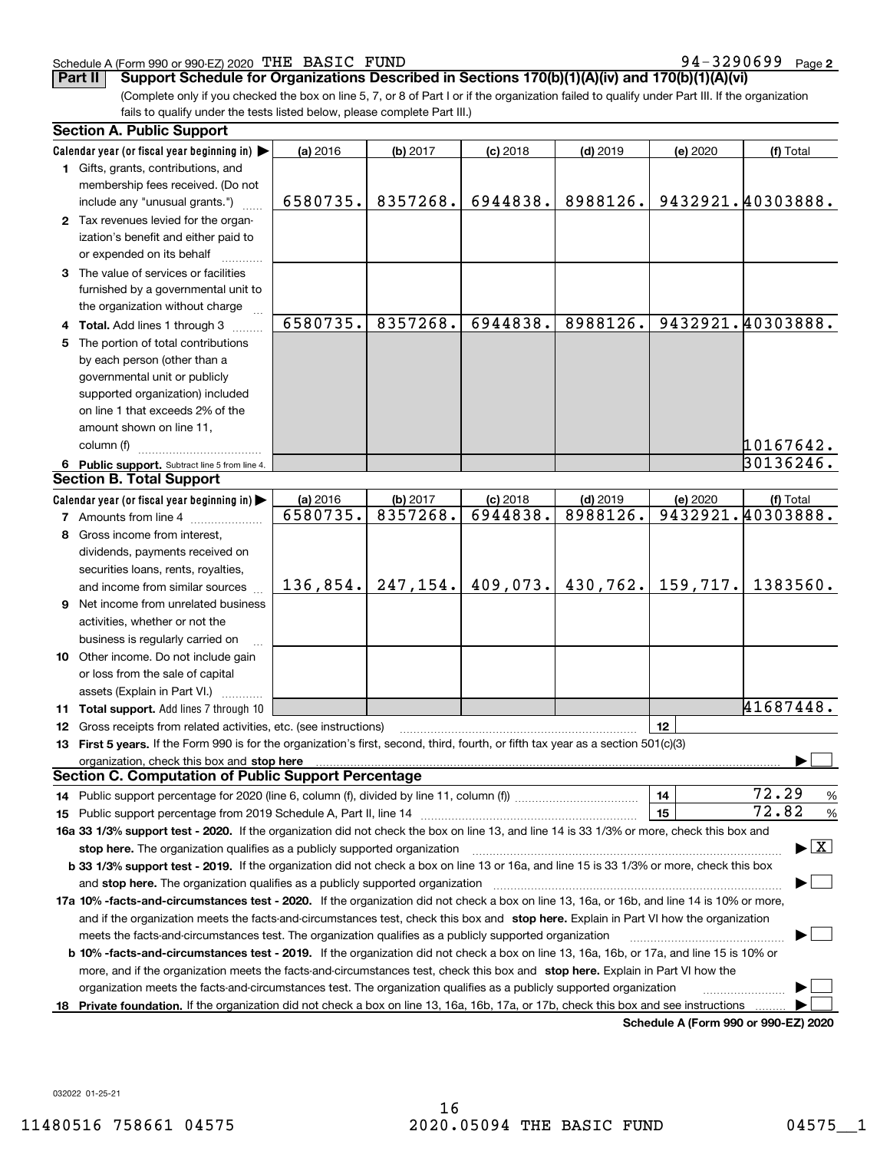#### Schedule A (Form 990 or 990-EZ) 2020 Page THE BASIC FUND 94-3290699

**2**

**Part II** Support Schedule for Organizations Described in Sections 170(b)(1)(A)(iv) and 170(b)(1)(A)(vi)

(Complete only if you checked the box on line 5, 7, or 8 of Part I or if the organization failed to qualify under Part III. If the organization fails to qualify under the tests listed below, please complete Part III.)

|    | <b>Section A. Public Support</b>                                                                                                                                                                                               |          |           |            |            |          |                                          |
|----|--------------------------------------------------------------------------------------------------------------------------------------------------------------------------------------------------------------------------------|----------|-----------|------------|------------|----------|------------------------------------------|
|    | Calendar year (or fiscal year beginning in)                                                                                                                                                                                    | (a) 2016 | (b) 2017  | $(c)$ 2018 | $(d)$ 2019 | (e) 2020 | (f) Total                                |
|    | 1 Gifts, grants, contributions, and                                                                                                                                                                                            |          |           |            |            |          |                                          |
|    | membership fees received. (Do not                                                                                                                                                                                              |          |           |            |            |          |                                          |
|    | include any "unusual grants.")                                                                                                                                                                                                 | 6580735. | 8357268.  | 6944838.   | 8988126.   |          | 9432921.40303888.                        |
|    | 2 Tax revenues levied for the organ-                                                                                                                                                                                           |          |           |            |            |          |                                          |
|    | ization's benefit and either paid to                                                                                                                                                                                           |          |           |            |            |          |                                          |
|    | or expended on its behalf                                                                                                                                                                                                      |          |           |            |            |          |                                          |
|    | 3 The value of services or facilities                                                                                                                                                                                          |          |           |            |            |          |                                          |
|    | furnished by a governmental unit to                                                                                                                                                                                            |          |           |            |            |          |                                          |
|    | the organization without charge                                                                                                                                                                                                |          |           |            |            |          |                                          |
|    | 4 Total. Add lines 1 through 3                                                                                                                                                                                                 | 6580735. | 8357268.  | 6944838.   | 8988126.   |          | 9432921.40303888.                        |
| 5. | The portion of total contributions                                                                                                                                                                                             |          |           |            |            |          |                                          |
|    | by each person (other than a                                                                                                                                                                                                   |          |           |            |            |          |                                          |
|    | governmental unit or publicly                                                                                                                                                                                                  |          |           |            |            |          |                                          |
|    | supported organization) included                                                                                                                                                                                               |          |           |            |            |          |                                          |
|    | on line 1 that exceeds 2% of the                                                                                                                                                                                               |          |           |            |            |          |                                          |
|    | amount shown on line 11,                                                                                                                                                                                                       |          |           |            |            |          |                                          |
|    | column (f)                                                                                                                                                                                                                     |          |           |            |            |          | 10167642.                                |
|    | 6 Public support. Subtract line 5 from line 4.                                                                                                                                                                                 |          |           |            |            |          | 30136246.                                |
|    | <b>Section B. Total Support</b>                                                                                                                                                                                                |          |           |            |            |          |                                          |
|    | Calendar year (or fiscal year beginning in)                                                                                                                                                                                    | (a) 2016 | (b) 2017  | $(c)$ 2018 | $(d)$ 2019 | (e) 2020 | (f) Total                                |
|    | <b>7</b> Amounts from line 4                                                                                                                                                                                                   | 6580735. | 8357268.  | 6944838.   | 8988126.   |          | 9432921.40303888.                        |
| 8  | Gross income from interest,                                                                                                                                                                                                    |          |           |            |            |          |                                          |
|    | dividends, payments received on                                                                                                                                                                                                |          |           |            |            |          |                                          |
|    | securities loans, rents, royalties,                                                                                                                                                                                            |          |           |            |            |          |                                          |
|    | and income from similar sources                                                                                                                                                                                                | 136,854. | 247, 154. | 409,073.   | 430,762.   | 159,717. | 1383560.                                 |
|    | 9 Net income from unrelated business                                                                                                                                                                                           |          |           |            |            |          |                                          |
|    | activities, whether or not the                                                                                                                                                                                                 |          |           |            |            |          |                                          |
|    | business is regularly carried on                                                                                                                                                                                               |          |           |            |            |          |                                          |
|    | 10 Other income. Do not include gain                                                                                                                                                                                           |          |           |            |            |          |                                          |
|    | or loss from the sale of capital                                                                                                                                                                                               |          |           |            |            |          |                                          |
|    | assets (Explain in Part VI.)                                                                                                                                                                                                   |          |           |            |            |          |                                          |
|    | 11 Total support. Add lines 7 through 10                                                                                                                                                                                       |          |           |            |            |          | 41687448.                                |
|    | <b>12</b> Gross receipts from related activities, etc. (see instructions)                                                                                                                                                      |          |           |            |            | 12       |                                          |
|    | 13 First 5 years. If the Form 990 is for the organization's first, second, third, fourth, or fifth tax year as a section 501(c)(3)                                                                                             |          |           |            |            |          |                                          |
|    | organization, check this box and stop here matches and stop here and stop here are all the matches and stop here are all the states and stop here are all the states and stop here are all the states and stop here are all th |          |           |            |            |          |                                          |
|    | <b>Section C. Computation of Public Support Percentage</b>                                                                                                                                                                     |          |           |            |            |          |                                          |
|    | 14 Public support percentage for 2020 (line 6, column (f), divided by line 11, column (f) <i>mummumumum</i>                                                                                                                    |          |           |            |            | 14       | 72.29<br>%                               |
|    |                                                                                                                                                                                                                                |          |           |            |            | 15       | 72.82<br>%                               |
|    | 16a 33 1/3% support test - 2020. If the organization did not check the box on line 13, and line 14 is 33 1/3% or more, check this box and                                                                                      |          |           |            |            |          |                                          |
|    | stop here. The organization qualifies as a publicly supported organization                                                                                                                                                     |          |           |            |            |          | $\blacktriangleright$ $\boxed{\text{X}}$ |
|    | b 33 1/3% support test - 2019. If the organization did not check a box on line 13 or 16a, and line 15 is 33 1/3% or more, check this box                                                                                       |          |           |            |            |          |                                          |
|    | and stop here. The organization qualifies as a publicly supported organization                                                                                                                                                 |          |           |            |            |          |                                          |
|    | 17a 10% -facts-and-circumstances test - 2020. If the organization did not check a box on line 13, 16a, or 16b, and line 14 is 10% or more,                                                                                     |          |           |            |            |          |                                          |
|    | and if the organization meets the facts-and-circumstances test, check this box and stop here. Explain in Part VI how the organization                                                                                          |          |           |            |            |          |                                          |
|    | meets the facts-and-circumstances test. The organization qualifies as a publicly supported organization                                                                                                                        |          |           |            |            |          |                                          |
|    | <b>b 10% -facts-and-circumstances test - 2019.</b> If the organization did not check a box on line 13, 16a, 16b, or 17a, and line 15 is 10% or                                                                                 |          |           |            |            |          |                                          |
|    | more, and if the organization meets the facts-and-circumstances test, check this box and stop here. Explain in Part VI how the                                                                                                 |          |           |            |            |          |                                          |
|    | organization meets the facts-and-circumstances test. The organization qualifies as a publicly supported organization                                                                                                           |          |           |            |            |          |                                          |
|    | 18 Private foundation. If the organization did not check a box on line 13, 16a, 16b, 17a, or 17b, check this box and see instructions                                                                                          |          |           |            |            |          |                                          |
|    |                                                                                                                                                                                                                                |          |           |            |            |          | Schodule A (Form 000 or 000 F7) 2020     |

**Schedule A (Form 990 or 990-EZ) 2020**

032022 01-25-21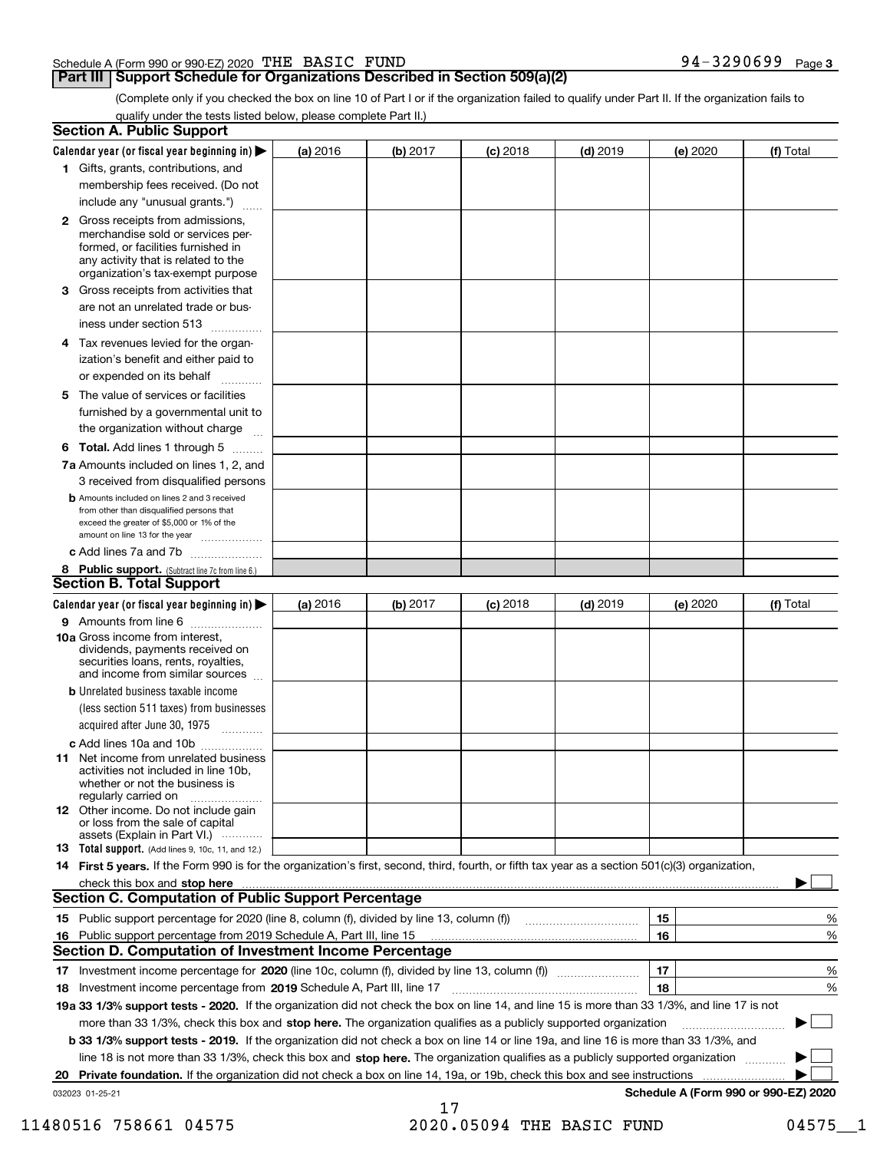#### Schedule A (Form 990 or 990-EZ) 2020 Page THE BASIC FUND 94-3290699

### **Part III Support Schedule for Organizations Described in Section 509(a)(2)**

(Complete only if you checked the box on line 10 of Part I or if the organization failed to qualify under Part II. If the organization fails to qualify under the tests listed below, please complete Part II.)

| <b>Section A. Public Support</b>                                                                                                                                                                                               |          |          |                 |            |          |                                      |
|--------------------------------------------------------------------------------------------------------------------------------------------------------------------------------------------------------------------------------|----------|----------|-----------------|------------|----------|--------------------------------------|
| Calendar year (or fiscal year beginning in) $\blacktriangleright$                                                                                                                                                              | (a) 2016 | (b) 2017 | <b>(c)</b> 2018 | $(d)$ 2019 | (e) 2020 | (f) Total                            |
| 1 Gifts, grants, contributions, and                                                                                                                                                                                            |          |          |                 |            |          |                                      |
| membership fees received. (Do not                                                                                                                                                                                              |          |          |                 |            |          |                                      |
| include any "unusual grants.")                                                                                                                                                                                                 |          |          |                 |            |          |                                      |
| 2 Gross receipts from admissions,<br>merchandise sold or services per-<br>formed, or facilities furnished in<br>any activity that is related to the<br>organization's tax-exempt purpose                                       |          |          |                 |            |          |                                      |
| 3 Gross receipts from activities that<br>are not an unrelated trade or bus-                                                                                                                                                    |          |          |                 |            |          |                                      |
| iness under section 513                                                                                                                                                                                                        |          |          |                 |            |          |                                      |
| 4 Tax revenues levied for the organ-<br>ization's benefit and either paid to                                                                                                                                                   |          |          |                 |            |          |                                      |
| or expended on its behalf                                                                                                                                                                                                      |          |          |                 |            |          |                                      |
| 5 The value of services or facilities<br>furnished by a governmental unit to                                                                                                                                                   |          |          |                 |            |          |                                      |
| the organization without charge                                                                                                                                                                                                |          |          |                 |            |          |                                      |
| <b>6 Total.</b> Add lines 1 through 5<br>7a Amounts included on lines 1, 2, and                                                                                                                                                |          |          |                 |            |          |                                      |
| 3 received from disqualified persons                                                                                                                                                                                           |          |          |                 |            |          |                                      |
| <b>b</b> Amounts included on lines 2 and 3 received<br>from other than disqualified persons that<br>exceed the greater of \$5,000 or 1% of the<br>amount on line 13 for the year                                               |          |          |                 |            |          |                                      |
| c Add lines 7a and 7b                                                                                                                                                                                                          |          |          |                 |            |          |                                      |
| 8 Public support. (Subtract line 7c from line 6.)<br><b>Section B. Total Support</b>                                                                                                                                           |          |          |                 |            |          |                                      |
| Calendar year (or fiscal year beginning in) $\blacktriangleright$                                                                                                                                                              | (a) 2016 | (b) 2017 | $(c)$ 2018      | $(d)$ 2019 | (e) 2020 | (f) Total                            |
| 9 Amounts from line 6                                                                                                                                                                                                          |          |          |                 |            |          |                                      |
| <b>10a</b> Gross income from interest,<br>dividends, payments received on<br>securities loans, rents, royalties,<br>and income from similar sources                                                                            |          |          |                 |            |          |                                      |
| <b>b</b> Unrelated business taxable income                                                                                                                                                                                     |          |          |                 |            |          |                                      |
| (less section 511 taxes) from businesses<br>acquired after June 30, 1975 [10001]                                                                                                                                               |          |          |                 |            |          |                                      |
| c Add lines 10a and 10b                                                                                                                                                                                                        |          |          |                 |            |          |                                      |
| 11 Net income from unrelated business<br>activities not included in line 10b.<br>whether or not the business is<br>regularly carried on                                                                                        |          |          |                 |            |          |                                      |
| <b>12</b> Other income. Do not include gain<br>or loss from the sale of capital<br>assets (Explain in Part VI.)                                                                                                                |          |          |                 |            |          |                                      |
| <b>13</b> Total support. (Add lines 9, 10c, 11, and 12.)                                                                                                                                                                       |          |          |                 |            |          |                                      |
| 14 First 5 years. If the Form 990 is for the organization's first, second, third, fourth, or fifth tax year as a section 501(c)(3) organization,                                                                               |          |          |                 |            |          |                                      |
| check this box and stop here communication and content to the state of the state of the state of the state of the state of the state of the state of the state of the state of the state of the state of the state of the stat |          |          |                 |            |          |                                      |
| <b>Section C. Computation of Public Support Percentage</b>                                                                                                                                                                     |          |          |                 |            |          |                                      |
|                                                                                                                                                                                                                                |          |          |                 |            | 15       | %                                    |
| 16 Public support percentage from 2019 Schedule A, Part III, line 15<br><b>Section D. Computation of Investment Income Percentage</b>                                                                                          |          |          |                 |            | 16       | %                                    |
|                                                                                                                                                                                                                                |          |          |                 |            |          |                                      |
| 17 Investment income percentage for 2020 (line 10c, column (f), divided by line 13, column (f))<br>18 Investment income percentage from 2019 Schedule A, Part III, line 17                                                     |          |          |                 |            | 17<br>18 | %<br>%                               |
| 19a 33 1/3% support tests - 2020. If the organization did not check the box on line 14, and line 15 is more than 33 1/3%, and line 17 is not                                                                                   |          |          |                 |            |          |                                      |
| more than 33 1/3%, check this box and stop here. The organization qualifies as a publicly supported organization                                                                                                               |          |          |                 |            |          | $\sim$<br>▶                          |
| b 33 1/3% support tests - 2019. If the organization did not check a box on line 14 or line 19a, and line 16 is more than 33 1/3%, and                                                                                          |          |          |                 |            |          |                                      |
| line 18 is not more than 33 1/3%, check this box and stop here. The organization qualifies as a publicly supported organization                                                                                                |          |          |                 |            |          |                                      |
| 20 Private foundation. If the organization did not check a box on line 14, 19a, or 19b, check this box and see instructions                                                                                                    |          |          |                 |            |          |                                      |
| 032023 01-25-21                                                                                                                                                                                                                |          |          |                 |            |          | Schedule A (Form 990 or 990-EZ) 2020 |
|                                                                                                                                                                                                                                |          | 17       |                 |            |          |                                      |

11480516 758661 04575 2020.05094 THE BASIC FUND 04575 1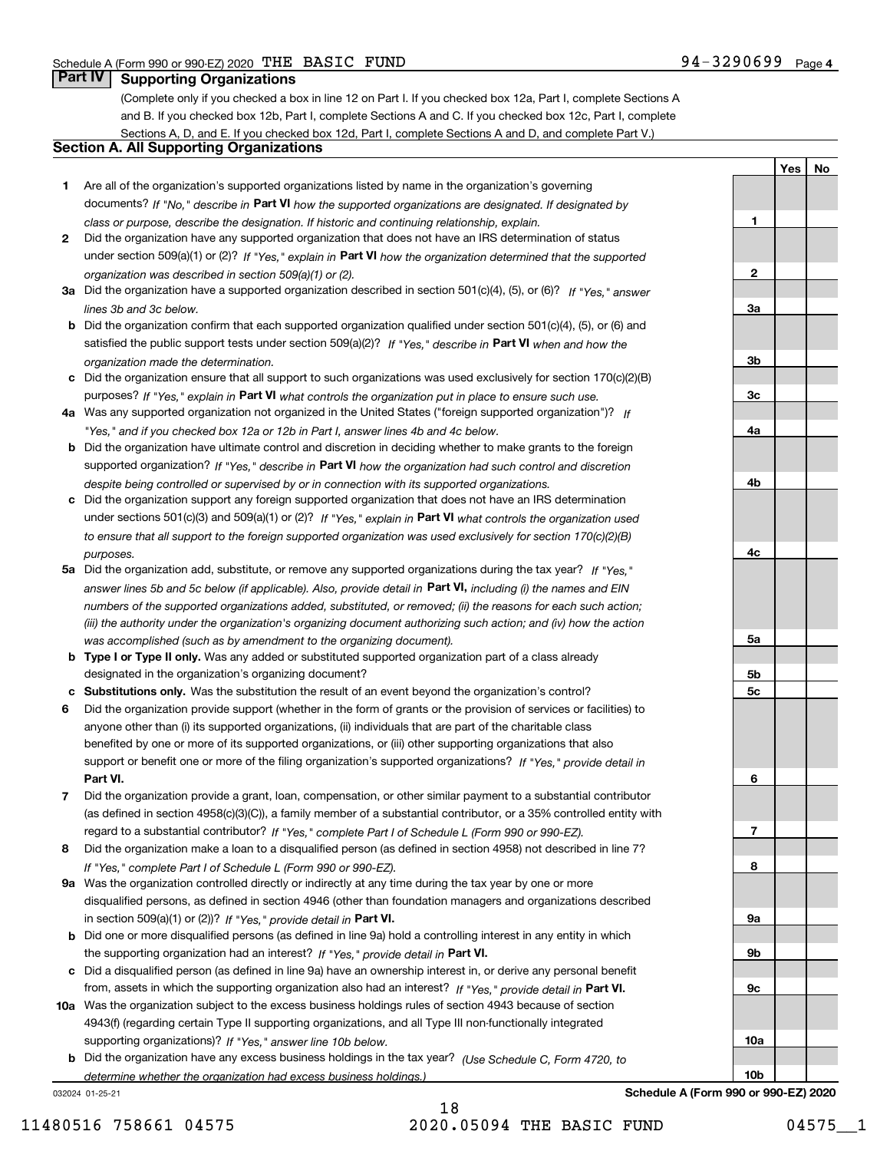**1**

**2**

**3a**

**3b**

**YesNo**

### **Part IV Supporting Organizations**

(Complete only if you checked a box in line 12 on Part I. If you checked box 12a, Part I, complete Sections A and B. If you checked box 12b, Part I, complete Sections A and C. If you checked box 12c, Part I, complete Sections A, D, and E. If you checked box 12d, Part I, complete Sections A and D, and complete Part V.)

### **Section A. All Supporting Organizations**

- **1** Are all of the organization's supported organizations listed by name in the organization's governing documents? If "No," describe in **Part VI** how the supported organizations are designated. If designated by *class or purpose, describe the designation. If historic and continuing relationship, explain.*
- **2** Did the organization have any supported organization that does not have an IRS determination of status under section 509(a)(1) or (2)? If "Yes," explain in Part VI how the organization determined that the supported *organization was described in section 509(a)(1) or (2).*
- **3a** Did the organization have a supported organization described in section 501(c)(4), (5), or (6)? If "Yes," answer *lines 3b and 3c below.*
- **b** Did the organization confirm that each supported organization qualified under section 501(c)(4), (5), or (6) and satisfied the public support tests under section 509(a)(2)? If "Yes," describe in **Part VI** when and how the *organization made the determination.*
- **c**Did the organization ensure that all support to such organizations was used exclusively for section 170(c)(2)(B) purposes? If "Yes," explain in **Part VI** what controls the organization put in place to ensure such use.
- **4a***If* Was any supported organization not organized in the United States ("foreign supported organization")? *"Yes," and if you checked box 12a or 12b in Part I, answer lines 4b and 4c below.*
- **b** Did the organization have ultimate control and discretion in deciding whether to make grants to the foreign supported organization? If "Yes," describe in **Part VI** how the organization had such control and discretion *despite being controlled or supervised by or in connection with its supported organizations.*
- **c** Did the organization support any foreign supported organization that does not have an IRS determination under sections 501(c)(3) and 509(a)(1) or (2)? If "Yes," explain in **Part VI** what controls the organization used *to ensure that all support to the foreign supported organization was used exclusively for section 170(c)(2)(B) purposes.*
- **5a** Did the organization add, substitute, or remove any supported organizations during the tax year? If "Yes," answer lines 5b and 5c below (if applicable). Also, provide detail in **Part VI,** including (i) the names and EIN *numbers of the supported organizations added, substituted, or removed; (ii) the reasons for each such action; (iii) the authority under the organization's organizing document authorizing such action; and (iv) how the action was accomplished (such as by amendment to the organizing document).*
- **b** Type I or Type II only. Was any added or substituted supported organization part of a class already designated in the organization's organizing document?
- **cSubstitutions only.**  Was the substitution the result of an event beyond the organization's control?
- **6** Did the organization provide support (whether in the form of grants or the provision of services or facilities) to **Part VI.** *If "Yes," provide detail in* support or benefit one or more of the filing organization's supported organizations? anyone other than (i) its supported organizations, (ii) individuals that are part of the charitable class benefited by one or more of its supported organizations, or (iii) other supporting organizations that also
- **7**Did the organization provide a grant, loan, compensation, or other similar payment to a substantial contributor *If "Yes," complete Part I of Schedule L (Form 990 or 990-EZ).* regard to a substantial contributor? (as defined in section 4958(c)(3)(C)), a family member of a substantial contributor, or a 35% controlled entity with
- **8** Did the organization make a loan to a disqualified person (as defined in section 4958) not described in line 7? *If "Yes," complete Part I of Schedule L (Form 990 or 990-EZ).*
- **9a** Was the organization controlled directly or indirectly at any time during the tax year by one or more in section 509(a)(1) or (2))? If "Yes," *provide detail in* <code>Part VI.</code> disqualified persons, as defined in section 4946 (other than foundation managers and organizations described
- **b** Did one or more disqualified persons (as defined in line 9a) hold a controlling interest in any entity in which the supporting organization had an interest? If "Yes," provide detail in P**art VI**.
- **c**Did a disqualified person (as defined in line 9a) have an ownership interest in, or derive any personal benefit from, assets in which the supporting organization also had an interest? If "Yes," provide detail in P**art VI.**
- **10a** Was the organization subject to the excess business holdings rules of section 4943 because of section supporting organizations)? If "Yes," answer line 10b below. 4943(f) (regarding certain Type II supporting organizations, and all Type III non-functionally integrated
- **b** Did the organization have any excess business holdings in the tax year? (Use Schedule C, Form 4720, to *determine whether the organization had excess business holdings.)*

032024 01-25-21

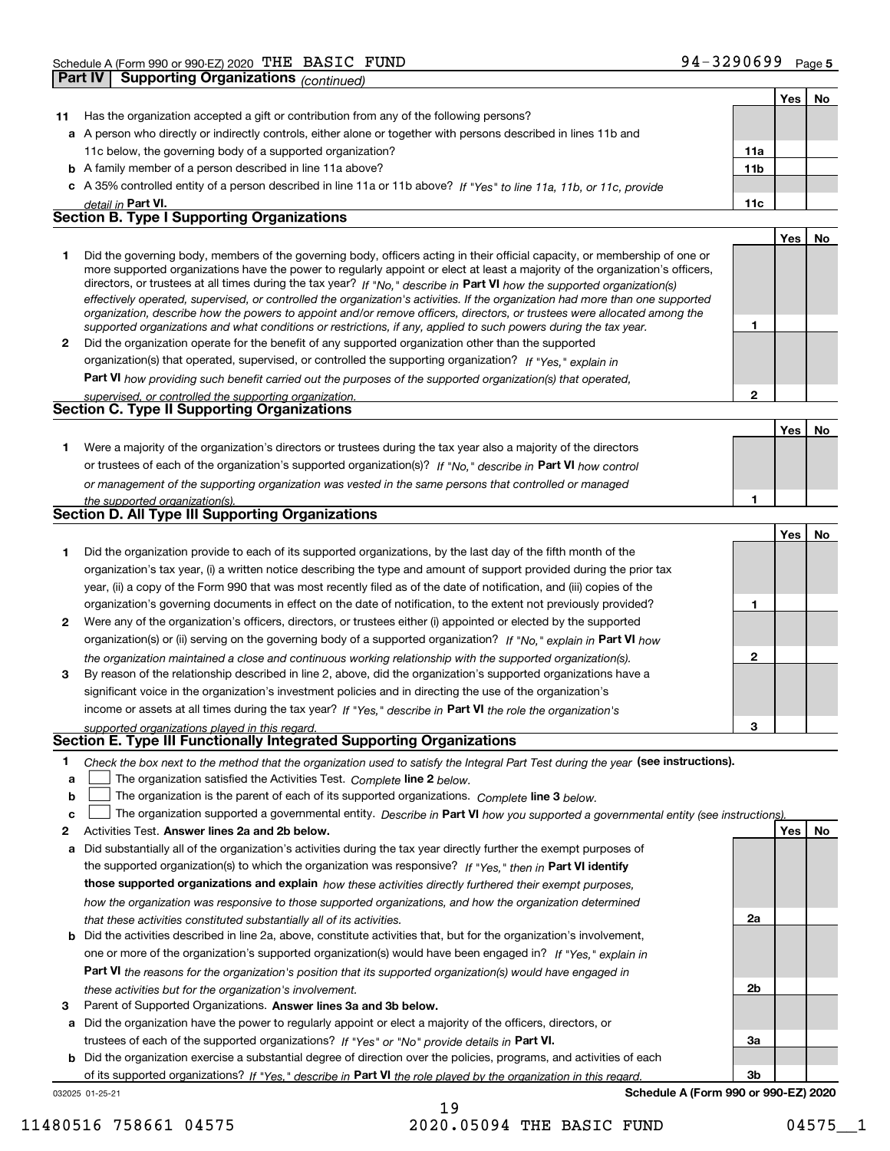|              | <b>Part IV</b><br>Supporting Organizations (continued)                                                                                                                                                                                                                                                                                                                                                                                                                                                                   |              |     |    |
|--------------|--------------------------------------------------------------------------------------------------------------------------------------------------------------------------------------------------------------------------------------------------------------------------------------------------------------------------------------------------------------------------------------------------------------------------------------------------------------------------------------------------------------------------|--------------|-----|----|
|              |                                                                                                                                                                                                                                                                                                                                                                                                                                                                                                                          |              | Yes | No |
| 11           | Has the organization accepted a gift or contribution from any of the following persons?                                                                                                                                                                                                                                                                                                                                                                                                                                  |              |     |    |
|              | a A person who directly or indirectly controls, either alone or together with persons described in lines 11b and                                                                                                                                                                                                                                                                                                                                                                                                         |              |     |    |
|              | 11c below, the governing body of a supported organization?                                                                                                                                                                                                                                                                                                                                                                                                                                                               | 11a          |     |    |
|              | <b>b</b> A family member of a person described in line 11a above?                                                                                                                                                                                                                                                                                                                                                                                                                                                        | 11b          |     |    |
|              | c A 35% controlled entity of a person described in line 11a or 11b above? If "Yes" to line 11a, 11b, or 11c, provide                                                                                                                                                                                                                                                                                                                                                                                                     |              |     |    |
|              | detail in Part VI.                                                                                                                                                                                                                                                                                                                                                                                                                                                                                                       | 11c          |     |    |
|              | <b>Section B. Type I Supporting Organizations</b>                                                                                                                                                                                                                                                                                                                                                                                                                                                                        |              |     |    |
|              |                                                                                                                                                                                                                                                                                                                                                                                                                                                                                                                          |              | Yes | No |
| 1            | Did the governing body, members of the governing body, officers acting in their official capacity, or membership of one or<br>more supported organizations have the power to regularly appoint or elect at least a majority of the organization's officers,<br>directors, or trustees at all times during the tax year? If "No," describe in Part VI how the supported organization(s)<br>effectively operated, supervised, or controlled the organization's activities. If the organization had more than one supported |              |     |    |
|              | organization, describe how the powers to appoint and/or remove officers, directors, or trustees were allocated among the                                                                                                                                                                                                                                                                                                                                                                                                 |              |     |    |
|              | supported organizations and what conditions or restrictions, if any, applied to such powers during the tax year.                                                                                                                                                                                                                                                                                                                                                                                                         | 1            |     |    |
| $\mathbf{2}$ | Did the organization operate for the benefit of any supported organization other than the supported                                                                                                                                                                                                                                                                                                                                                                                                                      |              |     |    |
|              | organization(s) that operated, supervised, or controlled the supporting organization? If "Yes," explain in                                                                                                                                                                                                                                                                                                                                                                                                               |              |     |    |
|              | Part VI how providing such benefit carried out the purposes of the supported organization(s) that operated,                                                                                                                                                                                                                                                                                                                                                                                                              |              |     |    |
|              | supervised, or controlled the supporting organization.<br>Section C. Type II Supporting Organizations                                                                                                                                                                                                                                                                                                                                                                                                                    | $\mathbf{2}$ |     |    |
|              |                                                                                                                                                                                                                                                                                                                                                                                                                                                                                                                          |              |     |    |
|              |                                                                                                                                                                                                                                                                                                                                                                                                                                                                                                                          |              | Yes | No |
| 1.           | Were a majority of the organization's directors or trustees during the tax year also a majority of the directors                                                                                                                                                                                                                                                                                                                                                                                                         |              |     |    |
|              | or trustees of each of the organization's supported organization(s)? If "No," describe in Part VI how control                                                                                                                                                                                                                                                                                                                                                                                                            |              |     |    |
|              | or management of the supporting organization was vested in the same persons that controlled or managed                                                                                                                                                                                                                                                                                                                                                                                                                   |              |     |    |
|              | the supported organization(s).<br>Section D. All Type III Supporting Organizations                                                                                                                                                                                                                                                                                                                                                                                                                                       | 1            |     |    |
|              |                                                                                                                                                                                                                                                                                                                                                                                                                                                                                                                          |              |     |    |
|              |                                                                                                                                                                                                                                                                                                                                                                                                                                                                                                                          |              | Yes | No |
| 1            | Did the organization provide to each of its supported organizations, by the last day of the fifth month of the                                                                                                                                                                                                                                                                                                                                                                                                           |              |     |    |
|              | organization's tax year, (i) a written notice describing the type and amount of support provided during the prior tax                                                                                                                                                                                                                                                                                                                                                                                                    |              |     |    |
|              | year, (ii) a copy of the Form 990 that was most recently filed as of the date of notification, and (iii) copies of the                                                                                                                                                                                                                                                                                                                                                                                                   |              |     |    |
|              | organization's governing documents in effect on the date of notification, to the extent not previously provided?                                                                                                                                                                                                                                                                                                                                                                                                         | 1            |     |    |
| 2            | Were any of the organization's officers, directors, or trustees either (i) appointed or elected by the supported                                                                                                                                                                                                                                                                                                                                                                                                         |              |     |    |
|              | organization(s) or (ii) serving on the governing body of a supported organization? If "No," explain in Part VI how                                                                                                                                                                                                                                                                                                                                                                                                       |              |     |    |
|              | the organization maintained a close and continuous working relationship with the supported organization(s).                                                                                                                                                                                                                                                                                                                                                                                                              | $\mathbf{2}$ |     |    |
| 3            | By reason of the relationship described in line 2, above, did the organization's supported organizations have a                                                                                                                                                                                                                                                                                                                                                                                                          |              |     |    |
|              | significant voice in the organization's investment policies and in directing the use of the organization's                                                                                                                                                                                                                                                                                                                                                                                                               |              |     |    |
|              | income or assets at all times during the tax year? If "Yes," describe in Part VI the role the organization's                                                                                                                                                                                                                                                                                                                                                                                                             | З            |     |    |
|              | supported organizations played in this regard.<br>Section E. Type III Functionally Integrated Supporting Organizations                                                                                                                                                                                                                                                                                                                                                                                                   |              |     |    |
| 1            |                                                                                                                                                                                                                                                                                                                                                                                                                                                                                                                          |              |     |    |
| a            | Check the box next to the method that the organization used to satisfy the Integral Part Test during the year (see instructions).<br>The organization satisfied the Activities Test. Complete line 2 below.                                                                                                                                                                                                                                                                                                              |              |     |    |
| b            | The organization is the parent of each of its supported organizations. Complete line 3 below.                                                                                                                                                                                                                                                                                                                                                                                                                            |              |     |    |
| c            | The organization supported a governmental entity. Describe in Part VI how you supported a governmental entity (see instructions)                                                                                                                                                                                                                                                                                                                                                                                         |              |     |    |
| 2            | Activities Test. Answer lines 2a and 2b below.                                                                                                                                                                                                                                                                                                                                                                                                                                                                           |              | Yes | No |
| а            | Did substantially all of the organization's activities during the tax year directly further the exempt purposes of                                                                                                                                                                                                                                                                                                                                                                                                       |              |     |    |
|              | the supported organization(s) to which the organization was responsive? If "Yes," then in Part VI identify                                                                                                                                                                                                                                                                                                                                                                                                               |              |     |    |
|              | those supported organizations and explain how these activities directly furthered their exempt purposes,                                                                                                                                                                                                                                                                                                                                                                                                                 |              |     |    |
|              | how the organization was responsive to those supported organizations, and how the organization determined                                                                                                                                                                                                                                                                                                                                                                                                                |              |     |    |
|              | that these activities constituted substantially all of its activities.                                                                                                                                                                                                                                                                                                                                                                                                                                                   | 2a           |     |    |
| b            | Did the activities described in line 2a, above, constitute activities that, but for the organization's involvement,                                                                                                                                                                                                                                                                                                                                                                                                      |              |     |    |
|              | one or more of the organization's supported organization(s) would have been engaged in? If "Yes," explain in                                                                                                                                                                                                                                                                                                                                                                                                             |              |     |    |

**Part VI**  *the reasons for the organization's position that its supported organization(s) would have engaged in these activities but for the organization's involvement.*

**3** Parent of Supported Organizations. Answer lines 3a and 3b below.

**a** Did the organization have the power to regularly appoint or elect a majority of the officers, directors, or trustees of each of the supported organizations? If "Yes" or "No" provide details in P**art VI.** 

032025 01-25-21 **b** Did the organization exercise a substantial degree of direction over the policies, programs, and activities of each of its supported organizations? If "Yes," describe in Part VI the role played by the organization in this regard.

**Schedule A (Form 990 or 990-EZ) 2020**

**2b**

**3a**

**3b**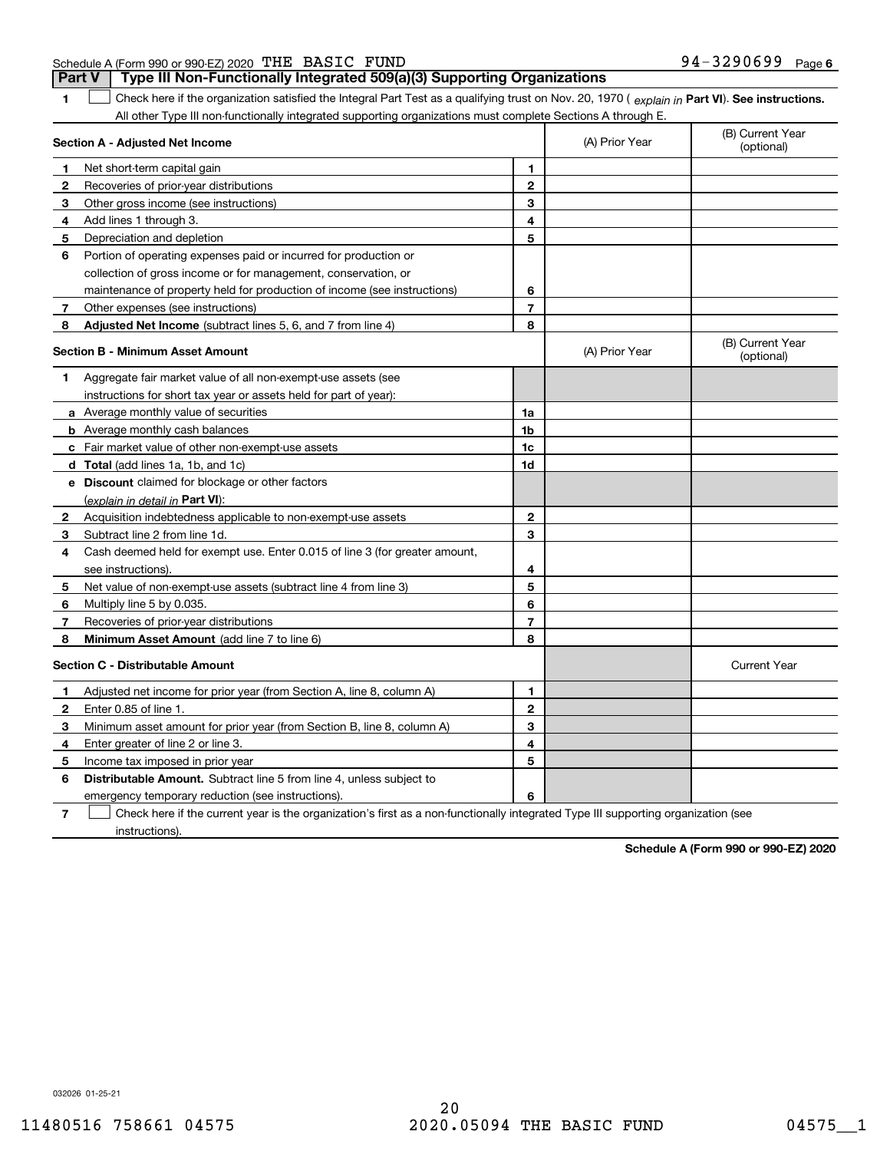|  | Schedule A (Form 990 or 990-EZ) 2020 $\ ^{\mathrm{rHE}}$ $\$ $\text{BASIC}$ $\ \text{FUND}$ |  |  | 94-3290699 | Page |
|--|---------------------------------------------------------------------------------------------|--|--|------------|------|
|--|---------------------------------------------------------------------------------------------|--|--|------------|------|

**Part V Type III Non-Functionally Integrated 509(a)(3) Supporting Organizations** 

**1**1 Check here if the organization satisfied the Integral Part Test as a qualifying trust on Nov. 20, 1970 (explain in Part VI). See instructions. All other Type III non-functionally integrated supporting organizations must complete Sections A through E.

|              | Section A - Adjusted Net Income                                                                                                   | (A) Prior Year | (B) Current Year<br>(optional) |                                |
|--------------|-----------------------------------------------------------------------------------------------------------------------------------|----------------|--------------------------------|--------------------------------|
| 1.           | Net short-term capital gain                                                                                                       | 1              |                                |                                |
| 2            | Recoveries of prior-year distributions                                                                                            | $\overline{2}$ |                                |                                |
| з            | Other gross income (see instructions)                                                                                             | 3              |                                |                                |
| 4            | Add lines 1 through 3.                                                                                                            | 4              |                                |                                |
| 5            | Depreciation and depletion                                                                                                        | 5              |                                |                                |
| 6            | Portion of operating expenses paid or incurred for production or                                                                  |                |                                |                                |
|              | collection of gross income or for management, conservation, or                                                                    |                |                                |                                |
|              | maintenance of property held for production of income (see instructions)                                                          | 6              |                                |                                |
| 7            | Other expenses (see instructions)                                                                                                 | $\overline{7}$ |                                |                                |
| 8            | Adjusted Net Income (subtract lines 5, 6, and 7 from line 4)                                                                      | 8              |                                |                                |
|              | <b>Section B - Minimum Asset Amount</b>                                                                                           |                | (A) Prior Year                 | (B) Current Year<br>(optional) |
| 1.           | Aggregate fair market value of all non-exempt-use assets (see                                                                     |                |                                |                                |
|              | instructions for short tax year or assets held for part of year):                                                                 |                |                                |                                |
|              | a Average monthly value of securities                                                                                             | 1a             |                                |                                |
|              | <b>b</b> Average monthly cash balances                                                                                            | 1b             |                                |                                |
|              | c Fair market value of other non-exempt-use assets                                                                                | 1c             |                                |                                |
|              | d Total (add lines 1a, 1b, and 1c)                                                                                                | 1d             |                                |                                |
|              | e Discount claimed for blockage or other factors                                                                                  |                |                                |                                |
|              | (explain in detail in Part VI):                                                                                                   |                |                                |                                |
| $\mathbf{2}$ | Acquisition indebtedness applicable to non-exempt-use assets                                                                      | $\mathbf{2}$   |                                |                                |
| 3            | Subtract line 2 from line 1d.                                                                                                     | 3              |                                |                                |
| 4            | Cash deemed held for exempt use. Enter 0.015 of line 3 (for greater amount,                                                       |                |                                |                                |
|              | see instructions).                                                                                                                | 4              |                                |                                |
| 5            | Net value of non-exempt-use assets (subtract line 4 from line 3)                                                                  | 5              |                                |                                |
| 6            | Multiply line 5 by 0.035.                                                                                                         | 6              |                                |                                |
| 7            | Recoveries of prior-year distributions                                                                                            | $\overline{7}$ |                                |                                |
| 8            | Minimum Asset Amount (add line 7 to line 6)                                                                                       | 8              |                                |                                |
|              | <b>Section C - Distributable Amount</b>                                                                                           |                |                                | <b>Current Year</b>            |
| 1            | Adjusted net income for prior year (from Section A, line 8, column A)                                                             | 1              |                                |                                |
| 2            | Enter 0.85 of line 1.                                                                                                             | $\overline{2}$ |                                |                                |
| з            | Minimum asset amount for prior year (from Section B, line 8, column A)                                                            | 3              |                                |                                |
| 4            | Enter greater of line 2 or line 3.                                                                                                | 4              |                                |                                |
| 5            | Income tax imposed in prior year                                                                                                  | 5              |                                |                                |
| 6            | <b>Distributable Amount.</b> Subtract line 5 from line 4, unless subject to                                                       |                |                                |                                |
|              | emergency temporary reduction (see instructions).                                                                                 | 6              |                                |                                |
| 7            | Check here if the current year is the organization's first as a non-functionally integrated Type III supporting organization (see |                |                                |                                |

instructions).

**Schedule A (Form 990 or 990-EZ) 2020**

032026 01-25-21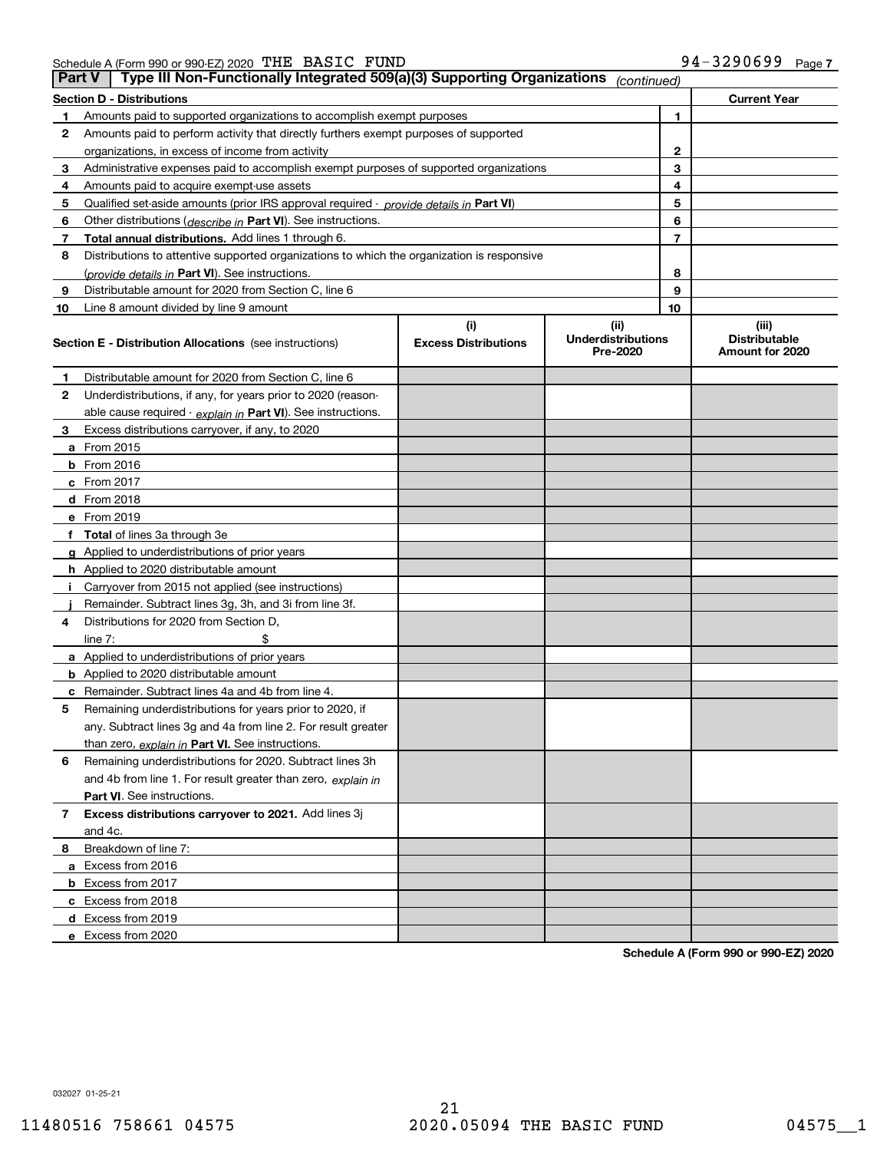Schedule A (Form 990 or 990-EZ) 2020 Page THE BASIC FUND 94-3290699

| <b>Part V</b> | Type III Non-Functionally Integrated 509(a)(3) Supporting Organizations                    |                             | (continued)                           |    |                                         |
|---------------|--------------------------------------------------------------------------------------------|-----------------------------|---------------------------------------|----|-----------------------------------------|
|               | <b>Section D - Distributions</b>                                                           |                             |                                       |    | <b>Current Year</b>                     |
| 1             | Amounts paid to supported organizations to accomplish exempt purposes                      |                             |                                       | 1  |                                         |
| 2             | Amounts paid to perform activity that directly furthers exempt purposes of supported       |                             |                                       |    |                                         |
|               | organizations, in excess of income from activity                                           |                             | 2                                     |    |                                         |
| 3             | Administrative expenses paid to accomplish exempt purposes of supported organizations      |                             | 3                                     |    |                                         |
| 4             | Amounts paid to acquire exempt-use assets                                                  |                             |                                       | 4  |                                         |
| 5             | Qualified set-aside amounts (prior IRS approval required - provide details in Part VI)     |                             |                                       | 5  |                                         |
| 6             | Other distributions (describe in Part VI). See instructions.                               |                             |                                       | 6  |                                         |
| 7             | Total annual distributions. Add lines 1 through 6.                                         |                             |                                       | 7  |                                         |
| 8             | Distributions to attentive supported organizations to which the organization is responsive |                             |                                       |    |                                         |
|               | (provide details in Part VI). See instructions.                                            |                             |                                       | 8  |                                         |
| 9             | Distributable amount for 2020 from Section C, line 6                                       |                             |                                       | 9  |                                         |
| 10            | Line 8 amount divided by line 9 amount                                                     |                             |                                       | 10 |                                         |
|               |                                                                                            | (i)                         | (ii)                                  |    | (iii)                                   |
|               | <b>Section E - Distribution Allocations</b> (see instructions)                             | <b>Excess Distributions</b> | <b>Underdistributions</b><br>Pre-2020 |    | <b>Distributable</b><br>Amount for 2020 |
| 1             | Distributable amount for 2020 from Section C, line 6                                       |                             |                                       |    |                                         |
| 2             | Underdistributions, if any, for years prior to 2020 (reason-                               |                             |                                       |    |                                         |
|               | able cause required - explain in Part VI). See instructions.                               |                             |                                       |    |                                         |
| 3             | Excess distributions carryover, if any, to 2020                                            |                             |                                       |    |                                         |
|               | <b>a</b> From 2015                                                                         |                             |                                       |    |                                         |
|               | <b>b</b> From 2016                                                                         |                             |                                       |    |                                         |
|               | c From 2017                                                                                |                             |                                       |    |                                         |
|               | <b>d</b> From 2018                                                                         |                             |                                       |    |                                         |
|               | e From 2019                                                                                |                             |                                       |    |                                         |
|               | f Total of lines 3a through 3e                                                             |                             |                                       |    |                                         |
|               | g Applied to underdistributions of prior years                                             |                             |                                       |    |                                         |
|               | <b>h</b> Applied to 2020 distributable amount                                              |                             |                                       |    |                                         |
|               | Carryover from 2015 not applied (see instructions)                                         |                             |                                       |    |                                         |
|               | Remainder. Subtract lines 3g, 3h, and 3i from line 3f.                                     |                             |                                       |    |                                         |
| 4             | Distributions for 2020 from Section D,                                                     |                             |                                       |    |                                         |
|               | line $7:$                                                                                  |                             |                                       |    |                                         |
|               | a Applied to underdistributions of prior years                                             |                             |                                       |    |                                         |
|               | <b>b</b> Applied to 2020 distributable amount                                              |                             |                                       |    |                                         |
|               | c Remainder. Subtract lines 4a and 4b from line 4.                                         |                             |                                       |    |                                         |
| 5             | Remaining underdistributions for years prior to 2020, if                                   |                             |                                       |    |                                         |
|               | any. Subtract lines 3g and 4a from line 2. For result greater                              |                             |                                       |    |                                         |
|               | than zero, explain in Part VI. See instructions.                                           |                             |                                       |    |                                         |
| 6             | Remaining underdistributions for 2020. Subtract lines 3h                                   |                             |                                       |    |                                         |
|               | and 4b from line 1. For result greater than zero, explain in                               |                             |                                       |    |                                         |
|               | Part VI. See instructions.                                                                 |                             |                                       |    |                                         |
| 7             | Excess distributions carryover to 2021. Add lines 3j                                       |                             |                                       |    |                                         |
|               | and 4c.                                                                                    |                             |                                       |    |                                         |
| 8             | Breakdown of line 7:                                                                       |                             |                                       |    |                                         |
|               | a Excess from 2016                                                                         |                             |                                       |    |                                         |
|               | <b>b</b> Excess from 2017                                                                  |                             |                                       |    |                                         |
|               | c Excess from 2018                                                                         |                             |                                       |    |                                         |
|               | d Excess from 2019                                                                         |                             |                                       |    |                                         |
|               | e Excess from 2020                                                                         |                             |                                       |    |                                         |

**Schedule A (Form 990 or 990-EZ) 2020**

032027 01-25-21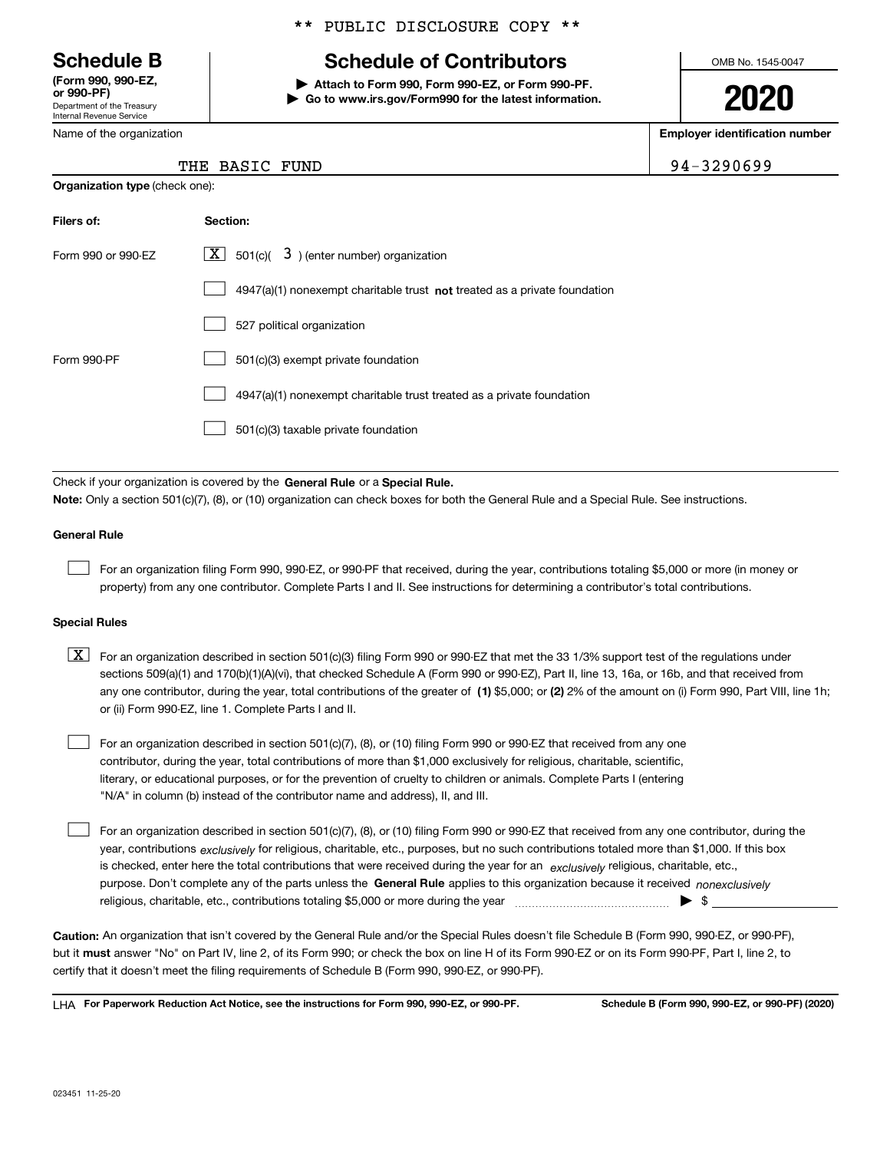Department of the Treasury Internal Revenue Service **(Form 990, 990-EZ, or 990-PF)**

Name of the organization

### \*\* PUBLIC DISCLOSURE COPY \*\*

## **Schedule B Schedule of Contributors**

**| Attach to Form 990, Form 990-EZ, or Form 990-PF. | Go to www.irs.gov/Form990 for the latest information.** OMB No. 1545-0047

**2020**

**Employer identification number**

94-3290699

| <b>Organization type (check one):</b> |                                                                             |
|---------------------------------------|-----------------------------------------------------------------------------|
| Filers of:                            | Section:                                                                    |
| Form 990 or 990-EZ                    | $3$ ) (enter number) organization<br>$X$ 501(c)(                            |
|                                       | $4947(a)(1)$ nonexempt charitable trust not treated as a private foundation |
|                                       | 527 political organization                                                  |
| Form 990-PF                           | 501(c)(3) exempt private foundation                                         |
|                                       | 4947(a)(1) nonexempt charitable trust treated as a private foundation       |
|                                       | 501(c)(3) taxable private foundation                                        |

Check if your organization is covered by the **General Rule** or a **Special Rule. Note:**  Only a section 501(c)(7), (8), or (10) organization can check boxes for both the General Rule and a Special Rule. See instructions.

#### **General Rule**

 $\mathcal{L}^{\text{max}}$ 

For an organization filing Form 990, 990-EZ, or 990-PF that received, during the year, contributions totaling \$5,000 or more (in money or property) from any one contributor. Complete Parts I and II. See instructions for determining a contributor's total contributions.

#### **Special Rules**

any one contributor, during the year, total contributions of the greater of  $\,$  (1) \$5,000; or **(2)** 2% of the amount on (i) Form 990, Part VIII, line 1h;  $\boxed{\textbf{X}}$  For an organization described in section 501(c)(3) filing Form 990 or 990-EZ that met the 33 1/3% support test of the regulations under sections 509(a)(1) and 170(b)(1)(A)(vi), that checked Schedule A (Form 990 or 990-EZ), Part II, line 13, 16a, or 16b, and that received from or (ii) Form 990-EZ, line 1. Complete Parts I and II.

For an organization described in section 501(c)(7), (8), or (10) filing Form 990 or 990-EZ that received from any one contributor, during the year, total contributions of more than \$1,000 exclusively for religious, charitable, scientific, literary, or educational purposes, or for the prevention of cruelty to children or animals. Complete Parts I (entering "N/A" in column (b) instead of the contributor name and address), II, and III.  $\mathcal{L}^{\text{max}}$ 

purpose. Don't complete any of the parts unless the **General Rule** applies to this organization because it received *nonexclusively* year, contributions <sub>exclusively</sub> for religious, charitable, etc., purposes, but no such contributions totaled more than \$1,000. If this box is checked, enter here the total contributions that were received during the year for an  $\;$ exclusively religious, charitable, etc., For an organization described in section 501(c)(7), (8), or (10) filing Form 990 or 990-EZ that received from any one contributor, during the religious, charitable, etc., contributions totaling \$5,000 or more during the year  $\Box$ — $\Box$   $\Box$  $\mathcal{L}^{\text{max}}$ 

**Caution:**  An organization that isn't covered by the General Rule and/or the Special Rules doesn't file Schedule B (Form 990, 990-EZ, or 990-PF),  **must** but it answer "No" on Part IV, line 2, of its Form 990; or check the box on line H of its Form 990-EZ or on its Form 990-PF, Part I, line 2, to certify that it doesn't meet the filing requirements of Schedule B (Form 990, 990-EZ, or 990-PF).

**For Paperwork Reduction Act Notice, see the instructions for Form 990, 990-EZ, or 990-PF. Schedule B (Form 990, 990-EZ, or 990-PF) (2020)** LHA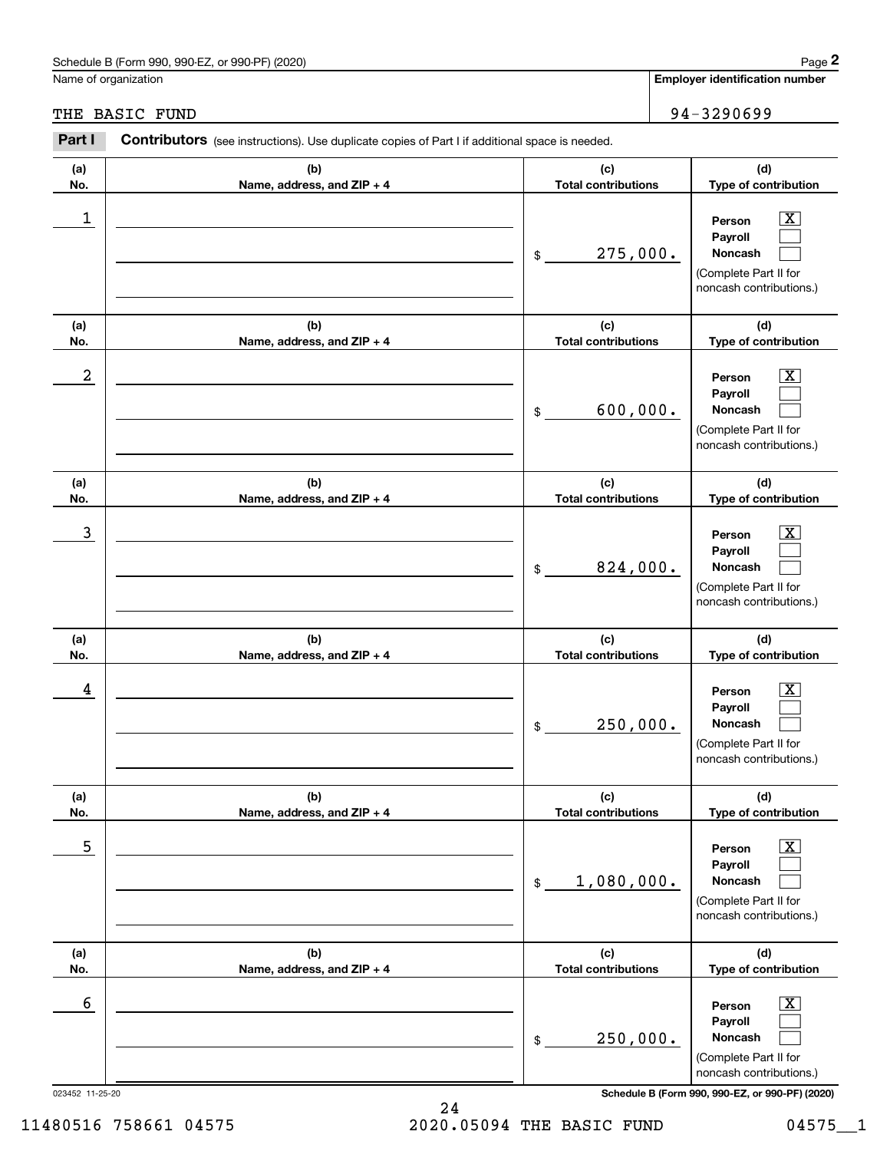### Schedule B (Form 990, 990-EZ, or 990-PF) (2020) Page 2

### THE BASIC FUND 94-3290699

|                  | Schedule B (Form 990, 990-EZ, or 990-PF) (2020)                                                |                                   | Page 2                                                                                                      |
|------------------|------------------------------------------------------------------------------------------------|-----------------------------------|-------------------------------------------------------------------------------------------------------------|
|                  | Name of organization                                                                           |                                   | <b>Employer identification number</b>                                                                       |
| THE              | <b>BASIC FUND</b>                                                                              |                                   | 94-3290699                                                                                                  |
| Part I           | Contributors (see instructions). Use duplicate copies of Part I if additional space is needed. |                                   |                                                                                                             |
| (a)<br>No.       | (b)<br>Name, address, and ZIP + 4                                                              | (c)<br><b>Total contributions</b> | (d)<br>Type of contribution                                                                                 |
| 1                |                                                                                                | 275,000.<br>\$                    | $\overline{\text{X}}$<br>Person<br>Payroll<br>Noncash<br>(Complete Part II for<br>noncash contributions.)   |
| (a)<br>No.       | (b)<br>Name, address, and ZIP + 4                                                              | (c)<br><b>Total contributions</b> | (d)<br>Type of contribution                                                                                 |
| $\boldsymbol{2}$ |                                                                                                | 600,000.<br>\$                    | $\overline{\text{X}}$<br>Person<br>Payroll<br>Noncash<br>(Complete Part II for<br>noncash contributions.)   |
| (a)<br>No.       | (b)<br>Name, address, and ZIP + 4                                                              | (c)<br><b>Total contributions</b> | (d)<br>Type of contribution                                                                                 |
| 3                |                                                                                                | 824,000.<br>\$                    | X<br>Person<br>Payroll<br>Noncash<br>(Complete Part II for<br>noncash contributions.)                       |
| (a)<br>No.       | (b)<br>Name, address, and ZIP + 4                                                              | (c)<br><b>Total contributions</b> | (d)<br>Type of contribution                                                                                 |
| 4                |                                                                                                | 250,000.<br>\$                    | $\overline{\text{X}}$<br>Person<br>Payroll<br>Noncash<br>(Complete Part II for<br>noncash contributions.)   |
| (a)<br>No.       | (b)<br>Name, address, and ZIP + 4                                                              | (c)<br><b>Total contributions</b> | (d)<br>Type of contribution                                                                                 |
| 5                |                                                                                                | 1,080,000.<br>\$                  | $\overline{\mathbf{X}}$<br>Person<br>Payroll<br>Noncash<br>(Complete Part II for<br>noncash contributions.) |
| (a)<br>No.       | (b)<br>Name, address, and ZIP + 4                                                              | (c)<br><b>Total contributions</b> | (d)<br>Type of contribution                                                                                 |
| 6                |                                                                                                | 250,000.<br>\$                    | $\overline{\mathbf{X}}$<br>Person<br>Payroll<br>Noncash<br>(Complete Part II for<br>noncash contributions.) |

023452 11-25-20 **Schedule B (Form 990, 990-EZ, or 990-PF) (2020)**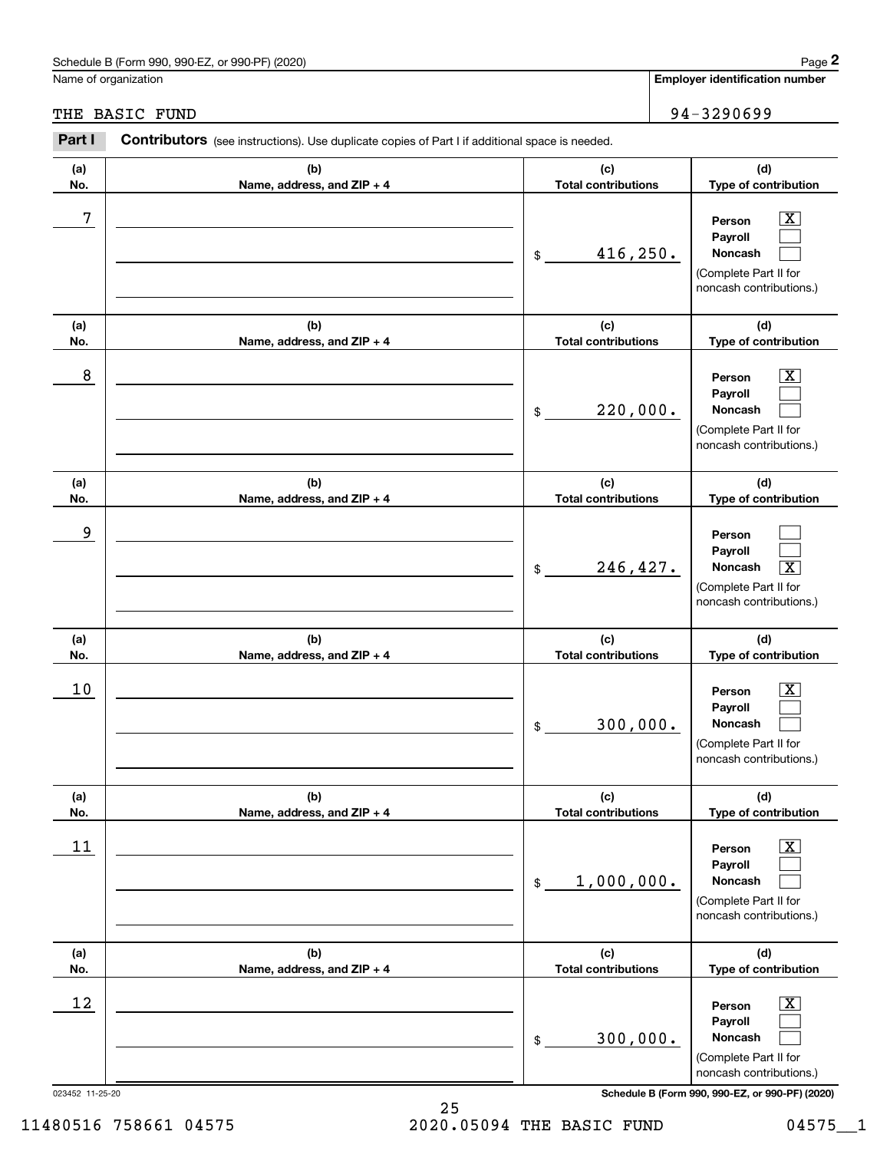### Schedule B (Form 990, 990-EZ, or 990-PF) (2020) Page 2

|                 | Schedule B (Form 990, 990-EZ, or 990-PF) (2020)                                                       |                                   | Page 2                                                                                                      |
|-----------------|-------------------------------------------------------------------------------------------------------|-----------------------------------|-------------------------------------------------------------------------------------------------------------|
|                 | Name of organization                                                                                  |                                   | <b>Employer identification number</b>                                                                       |
|                 | THE BASIC FUND                                                                                        |                                   | 94-3290699                                                                                                  |
| Part I          | <b>Contributors</b> (see instructions). Use duplicate copies of Part I if additional space is needed. |                                   |                                                                                                             |
| (a)<br>No.      | (b)<br>Name, address, and ZIP + 4                                                                     | (c)<br><b>Total contributions</b> | (d)<br>Type of contribution                                                                                 |
| 7               |                                                                                                       | 416,250.<br>\$                    | $\overline{\mathbf{X}}$<br>Person<br>Payroll<br>Noncash<br>(Complete Part II for<br>noncash contributions.) |
| (a)<br>No.      | (b)<br>Name, address, and ZIP + 4                                                                     | (c)<br><b>Total contributions</b> | (d)<br>Type of contribution                                                                                 |
| 8               |                                                                                                       | 220,000.<br>\$                    | X<br>Person<br>Payroll<br>Noncash<br>(Complete Part II for<br>noncash contributions.)                       |
| (a)<br>No.      | (b)<br>Name, address, and ZIP + 4                                                                     | (c)<br><b>Total contributions</b> | (d)<br>Type of contribution                                                                                 |
| 9               |                                                                                                       | 246,427.<br>\$                    | Person<br>Payroll<br>$\overline{\mathbf{X}}$<br>Noncash<br>(Complete Part II for<br>noncash contributions.) |
| (a)<br>No.      | (b)<br>Name, address, and ZIP + 4                                                                     | (c)<br><b>Total contributions</b> | (d)<br>Type of contribution                                                                                 |
| 10              |                                                                                                       | 300,000.<br>\$                    | $\mathbf{X}$<br>Person<br>Payroll<br>Noncash<br>(Complete Part II for<br>noncash contributions.)            |
| (a)<br>No.      | (b)<br>Name, address, and ZIP + 4                                                                     | (c)<br><b>Total contributions</b> | (d)<br>Type of contribution                                                                                 |
| 11              |                                                                                                       | 1,000,000.<br>\$                  | $\boxed{\text{X}}$<br>Person<br>Payroll<br>Noncash<br>(Complete Part II for<br>noncash contributions.)      |
| (a)<br>No.      | (b)<br>Name, address, and ZIP + 4                                                                     | (c)<br><b>Total contributions</b> | (d)<br>Type of contribution                                                                                 |
| 12              |                                                                                                       | 300,000.<br>\$                    | $\boxed{\text{X}}$<br>Person<br>Payroll<br>Noncash<br>(Complete Part II for<br>noncash contributions.)      |
| 023452 11-25-20 |                                                                                                       |                                   | Schedule B (Form 990, 990-EZ, or 990-PF) (2020)                                                             |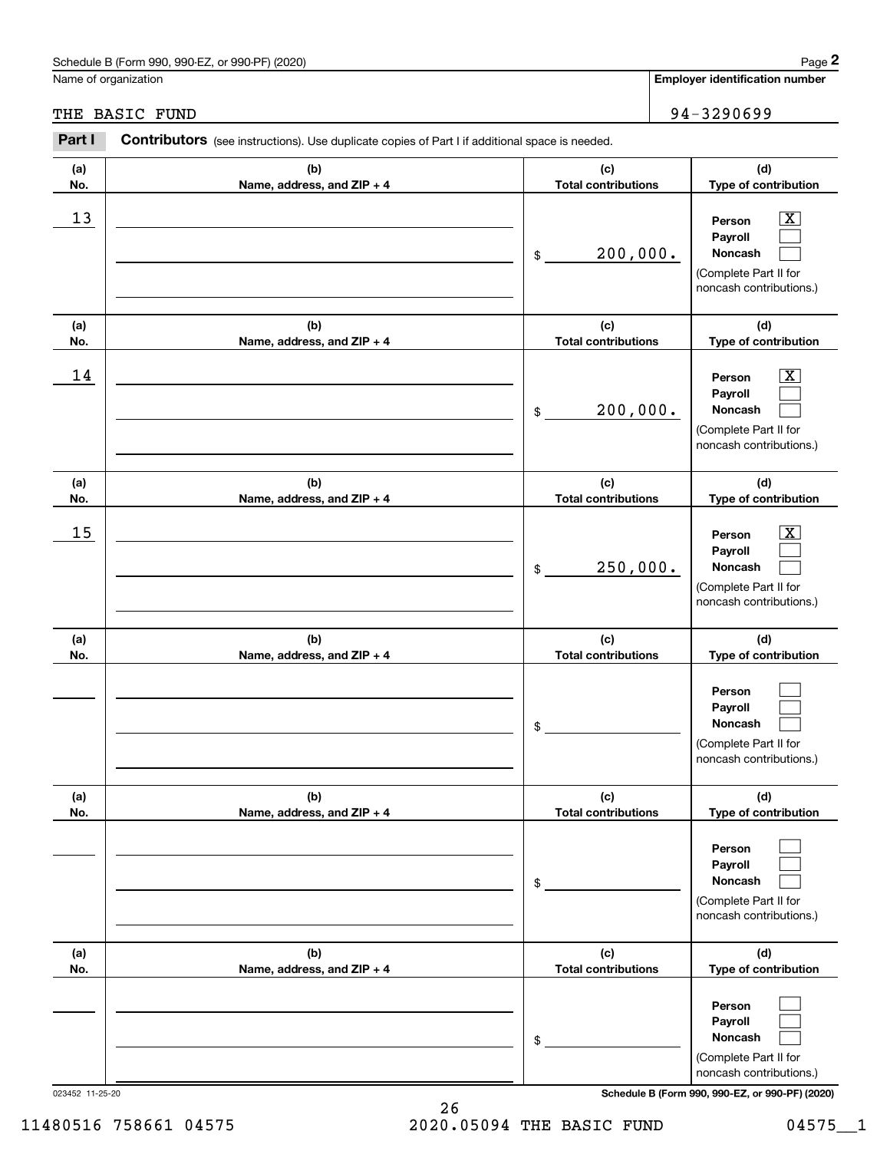### Schedule B (Form 990, 990-EZ, or 990-PF) (2020) Page 2

### THE BASIC FUND 94-3290699

|            | Schedule B (Form 990, 990-EZ, or 990-PF) (2020)                                                       |                                   | Page 2                                                                                                                              |
|------------|-------------------------------------------------------------------------------------------------------|-----------------------------------|-------------------------------------------------------------------------------------------------------------------------------------|
|            | Name of organization                                                                                  |                                   | <b>Employer identification number</b>                                                                                               |
|            | THE BASIC FUND                                                                                        |                                   | 94-3290699                                                                                                                          |
| Part I     | <b>Contributors</b> (see instructions). Use duplicate copies of Part I if additional space is needed. |                                   |                                                                                                                                     |
| (a)<br>No. | (b)<br>Name, address, and ZIP + 4                                                                     | (c)<br><b>Total contributions</b> | (d)<br>Type of contribution                                                                                                         |
| 13         |                                                                                                       | 200,000.<br>\$                    | $\overline{\mathbf{X}}$<br>Person<br>Payroll<br>Noncash<br>(Complete Part II for<br>noncash contributions.)                         |
| (a)<br>No. | (b)<br>Name, address, and ZIP + 4                                                                     | (c)<br><b>Total contributions</b> | (d)<br>Type of contribution                                                                                                         |
| 14         |                                                                                                       | 200,000.<br>\$                    | $\overline{\mathbf{X}}$<br>Person<br>Payroll<br>Noncash<br>(Complete Part II for<br>noncash contributions.)                         |
| (a)<br>No. | (b)<br>Name, address, and ZIP + 4                                                                     | (c)<br><b>Total contributions</b> | (d)<br>Type of contribution                                                                                                         |
| 15         |                                                                                                       | 250,000.<br>\$                    | $\overline{\mathbf{X}}$<br>Person<br>Payroll<br>Noncash<br>(Complete Part II for<br>noncash contributions.)                         |
| (a)<br>No. | (b)<br>Name, address, and ZIP + 4                                                                     | (c)<br><b>Total contributions</b> | (d)<br>Type of contribution                                                                                                         |
|            |                                                                                                       | \$                                | Person<br>Payroll<br>Noncash<br>(Complete Part II for<br>noncash contributions.)                                                    |
| (a)<br>No. | (b)<br>Name, address, and ZIP + 4                                                                     | (c)<br><b>Total contributions</b> | (d)<br>Type of contribution                                                                                                         |
|            |                                                                                                       | \$                                | Person<br>Payroll<br>Noncash<br>(Complete Part II for<br>noncash contributions.)                                                    |
| (a)<br>No. | (b)<br>Name, address, and ZIP + 4                                                                     | (c)<br><b>Total contributions</b> | (d)<br>Type of contribution                                                                                                         |
|            |                                                                                                       | \$                                | Person<br>Payroll<br>Noncash<br>(Complete Part II for<br>noncash contributions.)<br>Schedule B (Form 990, 990-EZ, or 990-PF) (2020) |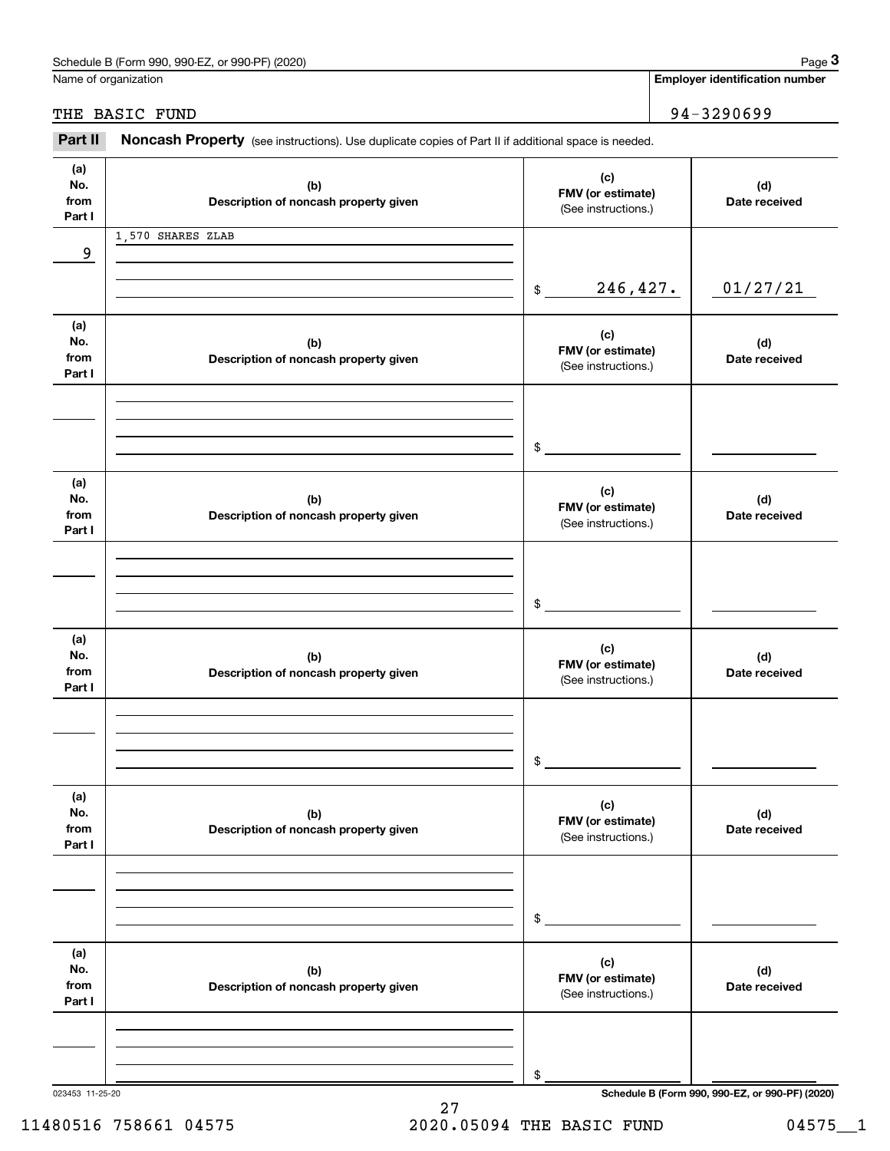|                              | Schedule B (Form 990, 990-EZ, or 990-PF) (2020)                                                     |                                                 | Page 3                                          |
|------------------------------|-----------------------------------------------------------------------------------------------------|-------------------------------------------------|-------------------------------------------------|
|                              | Name of organization                                                                                |                                                 | <b>Employer identification number</b>           |
|                              | THE BASIC FUND                                                                                      |                                                 | 94-3290699                                      |
| Part II                      | Noncash Property (see instructions). Use duplicate copies of Part II if additional space is needed. |                                                 |                                                 |
| (a)<br>No.<br>from<br>Part I | (b)<br>Description of noncash property given                                                        | (c)<br>FMV (or estimate)<br>(See instructions.) | (d)<br>Date received                            |
|                              | 1,570 SHARES ZLAB                                                                                   |                                                 |                                                 |
| 9                            |                                                                                                     |                                                 |                                                 |
|                              |                                                                                                     | 246,427.<br>\$                                  | 01/27/21                                        |
| (a)<br>No.<br>from<br>Part I | (b)<br>Description of noncash property given                                                        | (c)<br>FMV (or estimate)<br>(See instructions.) | (d)<br>Date received                            |
|                              |                                                                                                     |                                                 |                                                 |
|                              |                                                                                                     | \$                                              |                                                 |
| (a)<br>No.<br>from<br>Part I | (b)<br>Description of noncash property given                                                        | (c)<br>FMV (or estimate)<br>(See instructions.) | (d)<br>Date received                            |
|                              |                                                                                                     |                                                 |                                                 |
|                              |                                                                                                     | \$                                              |                                                 |
| (a)<br>No.<br>from<br>Part I | (b)<br>Description of noncash property given                                                        | (c)<br>FMV (or estimate)<br>(See instructions.) | (d)<br>Date received                            |
|                              |                                                                                                     |                                                 |                                                 |
|                              |                                                                                                     | \$                                              |                                                 |
| (a)<br>No.<br>from<br>Part I | (b)<br>Description of noncash property given                                                        | (c)<br>FMV (or estimate)<br>(See instructions.) | (d)<br>Date received                            |
|                              |                                                                                                     |                                                 |                                                 |
|                              |                                                                                                     | \$                                              |                                                 |
| (a)<br>No.<br>from<br>Part I | (b)<br>Description of noncash property given                                                        | (c)<br>FMV (or estimate)<br>(See instructions.) | (d)<br>Date received                            |
|                              |                                                                                                     |                                                 |                                                 |
|                              |                                                                                                     | \$                                              |                                                 |
| 023453 11-25-20              |                                                                                                     |                                                 | Schedule B (Form 990, 990-EZ, or 990-PF) (2020) |

11480516 758661 04575 2020.05094 THE BASIC FUND 04575 1

27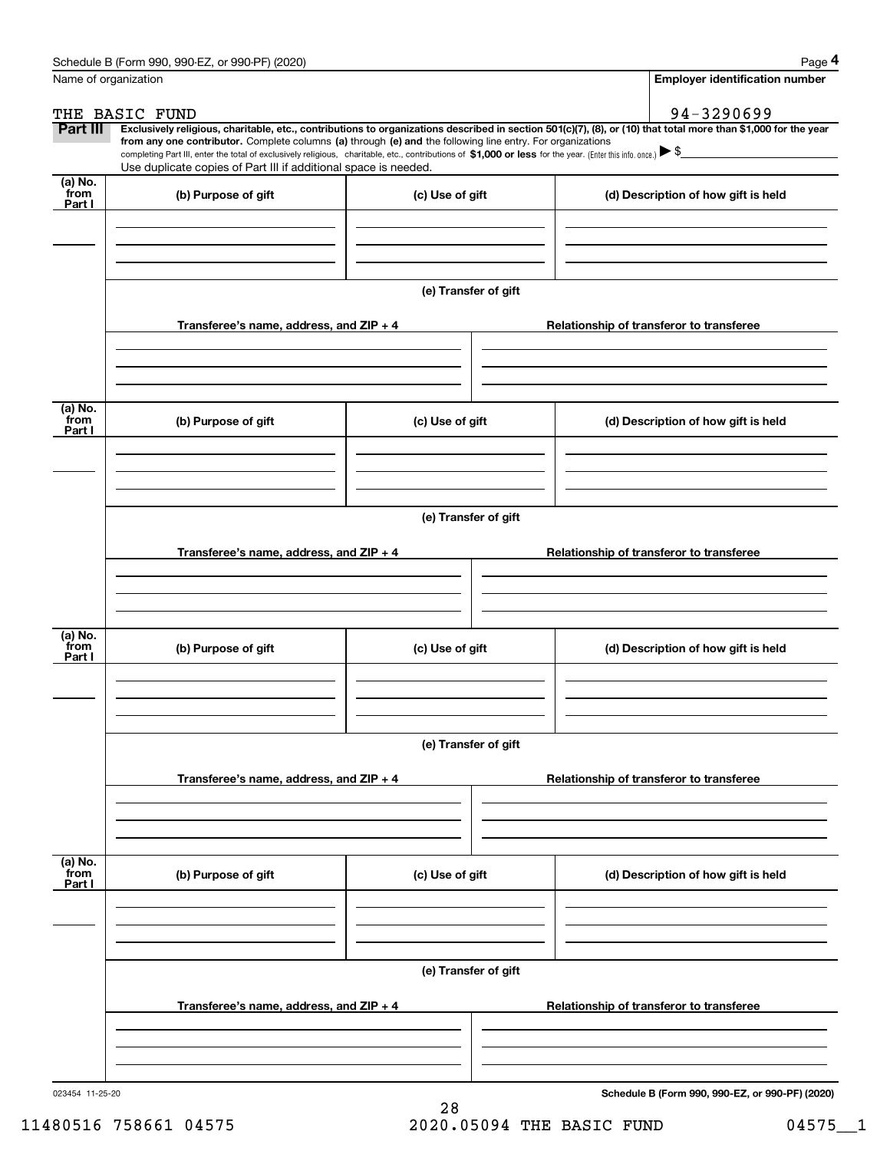|                           | Schedule B (Form 990, 990-EZ, or 990-PF) (2020)                                                                                                                                                                                                                                                 |                      | Page 4                                                                                                                                                         |  |  |  |  |  |  |  |
|---------------------------|-------------------------------------------------------------------------------------------------------------------------------------------------------------------------------------------------------------------------------------------------------------------------------------------------|----------------------|----------------------------------------------------------------------------------------------------------------------------------------------------------------|--|--|--|--|--|--|--|
|                           | Name of organization                                                                                                                                                                                                                                                                            |                      | <b>Employer identification number</b>                                                                                                                          |  |  |  |  |  |  |  |
|                           | THE BASIC FUND                                                                                                                                                                                                                                                                                  |                      | 94-3290699                                                                                                                                                     |  |  |  |  |  |  |  |
| Part III                  |                                                                                                                                                                                                                                                                                                 |                      | Exclusively religious, charitable, etc., contributions to organizations described in section 501(c)(7), (8), or (10) that total more than \$1,000 for the year |  |  |  |  |  |  |  |
|                           | from any one contributor. Complete columns (a) through (e) and the following line entry. For organizations<br>completing Part III, enter the total of exclusively religious, charitable, etc., contributions of \$1,000 or less for the year. (Enter this info. once.) $\blacktriangleright$ \$ |                      |                                                                                                                                                                |  |  |  |  |  |  |  |
|                           | Use duplicate copies of Part III if additional space is needed.                                                                                                                                                                                                                                 |                      |                                                                                                                                                                |  |  |  |  |  |  |  |
| (a) No.<br>from<br>Part I | (b) Purpose of gift                                                                                                                                                                                                                                                                             | (c) Use of gift      | (d) Description of how gift is held                                                                                                                            |  |  |  |  |  |  |  |
|                           |                                                                                                                                                                                                                                                                                                 |                      |                                                                                                                                                                |  |  |  |  |  |  |  |
|                           |                                                                                                                                                                                                                                                                                                 |                      |                                                                                                                                                                |  |  |  |  |  |  |  |
|                           |                                                                                                                                                                                                                                                                                                 | (e) Transfer of gift |                                                                                                                                                                |  |  |  |  |  |  |  |
|                           | Transferee's name, address, and ZIP + 4                                                                                                                                                                                                                                                         |                      | Relationship of transferor to transferee                                                                                                                       |  |  |  |  |  |  |  |
|                           |                                                                                                                                                                                                                                                                                                 |                      |                                                                                                                                                                |  |  |  |  |  |  |  |
| (a) No.<br>from<br>Part I | (b) Purpose of gift                                                                                                                                                                                                                                                                             | (c) Use of gift      | (d) Description of how gift is held                                                                                                                            |  |  |  |  |  |  |  |
|                           |                                                                                                                                                                                                                                                                                                 |                      |                                                                                                                                                                |  |  |  |  |  |  |  |
|                           |                                                                                                                                                                                                                                                                                                 |                      |                                                                                                                                                                |  |  |  |  |  |  |  |
|                           |                                                                                                                                                                                                                                                                                                 | (e) Transfer of gift |                                                                                                                                                                |  |  |  |  |  |  |  |
|                           | Transferee's name, address, and ZIP + 4                                                                                                                                                                                                                                                         |                      | Relationship of transferor to transferee                                                                                                                       |  |  |  |  |  |  |  |
|                           |                                                                                                                                                                                                                                                                                                 |                      |                                                                                                                                                                |  |  |  |  |  |  |  |
| (a) No.<br>from<br>Part I | (b) Purpose of gift                                                                                                                                                                                                                                                                             | (c) Use of gift      | (d) Description of how gift is held                                                                                                                            |  |  |  |  |  |  |  |
|                           |                                                                                                                                                                                                                                                                                                 |                      |                                                                                                                                                                |  |  |  |  |  |  |  |
|                           | (e) Transfer of gift                                                                                                                                                                                                                                                                            |                      |                                                                                                                                                                |  |  |  |  |  |  |  |
|                           | Transferee's name, address, and $ZIP + 4$                                                                                                                                                                                                                                                       |                      | Relationship of transferor to transferee                                                                                                                       |  |  |  |  |  |  |  |
|                           |                                                                                                                                                                                                                                                                                                 |                      |                                                                                                                                                                |  |  |  |  |  |  |  |
|                           |                                                                                                                                                                                                                                                                                                 |                      |                                                                                                                                                                |  |  |  |  |  |  |  |
| (a) No.<br>from<br>Part I | (b) Purpose of gift                                                                                                                                                                                                                                                                             | (c) Use of gift      | (d) Description of how gift is held                                                                                                                            |  |  |  |  |  |  |  |
|                           |                                                                                                                                                                                                                                                                                                 |                      |                                                                                                                                                                |  |  |  |  |  |  |  |
|                           |                                                                                                                                                                                                                                                                                                 |                      |                                                                                                                                                                |  |  |  |  |  |  |  |
|                           |                                                                                                                                                                                                                                                                                                 | (e) Transfer of gift |                                                                                                                                                                |  |  |  |  |  |  |  |
|                           | Transferee's name, address, and $ZIP + 4$                                                                                                                                                                                                                                                       |                      | Relationship of transferor to transferee                                                                                                                       |  |  |  |  |  |  |  |
|                           |                                                                                                                                                                                                                                                                                                 |                      |                                                                                                                                                                |  |  |  |  |  |  |  |
| 023454 11-25-20           |                                                                                                                                                                                                                                                                                                 |                      | Schedule B (Form 990, 990-EZ, or 990-PF) (2020)                                                                                                                |  |  |  |  |  |  |  |

**Schedule B (Form 990, 990-EZ, or 990-PF) (2020)**

11480516 758661 04575 2020.05094 THE BASIC FUND 04575 1

28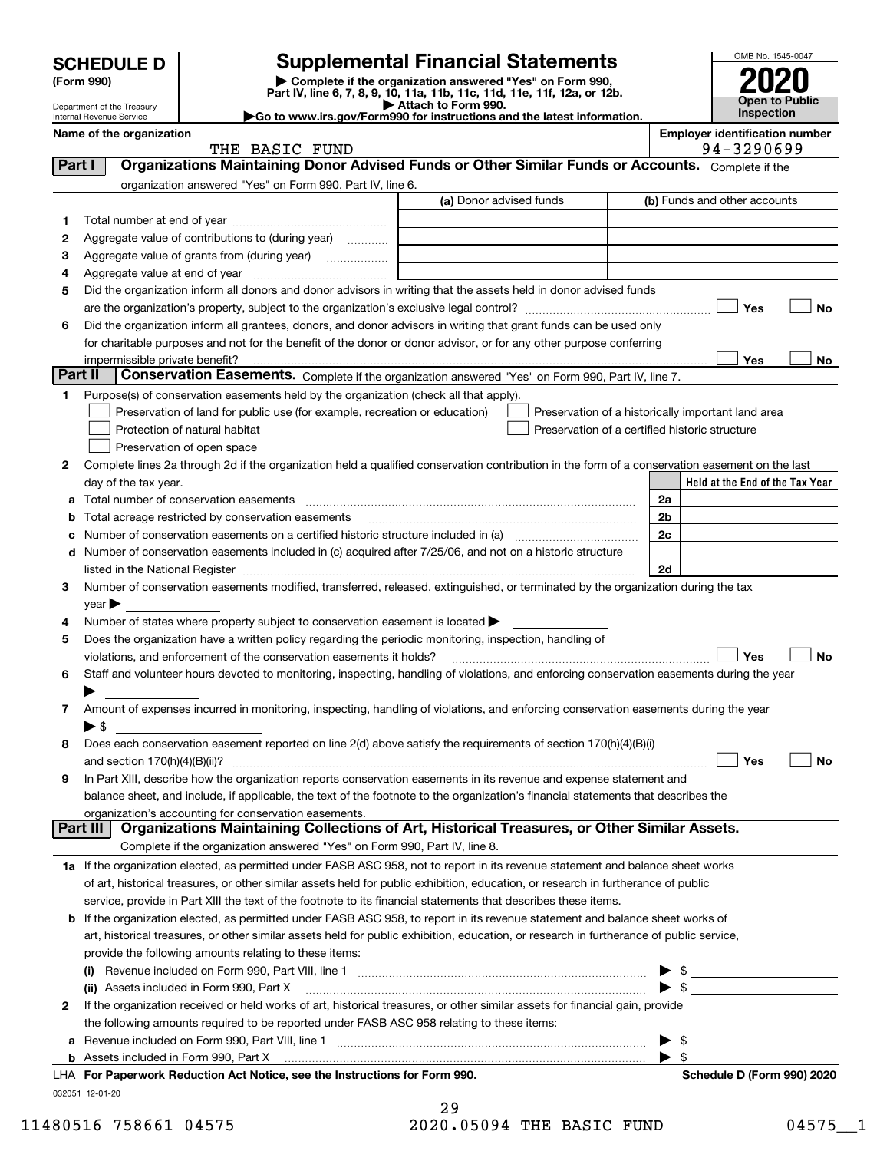| (Form 990) |  |
|------------|--|
|------------|--|

### **Supplemental Financial Statements**

(Form 990)<br>
Pepartment of the Treasury<br>
Department of the Treasury<br>
Department of the Treasury<br>
Department of the Treasury<br> **Co to www.irs.gov/Form990 for instructions and the latest information.**<br> **Co to www.irs.gov/Form9** 



Department of the Treasury Internal Revenue Service

| Name of the organization |                     |       | <b>Employer identification number</b> |
|--------------------------|---------------------|-------|---------------------------------------|
|                          | <b>RASTA</b><br>ᇭᆸᇚ | חזודו | 3290699<br>$Q_{A-}$                   |

|         | THE BASIC FUND                                                                                                                                                    |                         | 94-3290699                                         |
|---------|-------------------------------------------------------------------------------------------------------------------------------------------------------------------|-------------------------|----------------------------------------------------|
| Part I  | Organizations Maintaining Donor Advised Funds or Other Similar Funds or Accounts. Complete if the                                                                 |                         |                                                    |
|         | organization answered "Yes" on Form 990, Part IV, line 6.                                                                                                         |                         |                                                    |
|         |                                                                                                                                                                   | (a) Donor advised funds | (b) Funds and other accounts                       |
| 1       |                                                                                                                                                                   |                         |                                                    |
|         | Aggregate value of contributions to (during year)                                                                                                                 |                         |                                                    |
| 2       |                                                                                                                                                                   |                         |                                                    |
| з       | Aggregate value of grants from (during year)                                                                                                                      |                         |                                                    |
| 4       |                                                                                                                                                                   |                         |                                                    |
| 5       | Did the organization inform all donors and donor advisors in writing that the assets held in donor advised funds                                                  |                         |                                                    |
|         |                                                                                                                                                                   |                         | Yes<br>No                                          |
| 6       | Did the organization inform all grantees, donors, and donor advisors in writing that grant funds can be used only                                                 |                         |                                                    |
|         | for charitable purposes and not for the benefit of the donor or donor advisor, or for any other purpose conferring                                                |                         |                                                    |
|         |                                                                                                                                                                   |                         | Yes<br>No                                          |
| Part II | Conservation Easements. Complete if the organization answered "Yes" on Form 990, Part IV, line 7.                                                                 |                         |                                                    |
| 1.      | Purpose(s) of conservation easements held by the organization (check all that apply).                                                                             |                         |                                                    |
|         | Preservation of land for public use (for example, recreation or education)                                                                                        |                         | Preservation of a historically important land area |
|         | Protection of natural habitat                                                                                                                                     |                         | Preservation of a certified historic structure     |
|         | Preservation of open space                                                                                                                                        |                         |                                                    |
| 2       | Complete lines 2a through 2d if the organization held a qualified conservation contribution in the form of a conservation easement on the last                    |                         |                                                    |
|         | day of the tax year.                                                                                                                                              |                         | Held at the End of the Tax Year                    |
|         |                                                                                                                                                                   |                         |                                                    |
| а       | Total number of conservation easements                                                                                                                            |                         | 2a                                                 |
| b       | Total acreage restricted by conservation easements                                                                                                                |                         | 2b                                                 |
| с       |                                                                                                                                                                   |                         | 2c                                                 |
|         | d Number of conservation easements included in (c) acquired after 7/25/06, and not on a historic structure                                                        |                         |                                                    |
|         |                                                                                                                                                                   |                         | 2d                                                 |
| 3       | Number of conservation easements modified, transferred, released, extinguished, or terminated by the organization during the tax                                  |                         |                                                    |
|         | year                                                                                                                                                              |                         |                                                    |
| 4       | Number of states where property subject to conservation easement is located >                                                                                     |                         |                                                    |
| 5       | Does the organization have a written policy regarding the periodic monitoring, inspection, handling of                                                            |                         |                                                    |
|         | violations, and enforcement of the conservation easements it holds?                                                                                               |                         | Yes<br>No                                          |
| 6       | Staff and volunteer hours devoted to monitoring, inspecting, handling of violations, and enforcing conservation easements during the year                         |                         |                                                    |
|         |                                                                                                                                                                   |                         |                                                    |
| 7       | Amount of expenses incurred in monitoring, inspecting, handling of violations, and enforcing conservation easements during the year                               |                         |                                                    |
|         | $\blacktriangleright$ S                                                                                                                                           |                         |                                                    |
| 8       | Does each conservation easement reported on line 2(d) above satisfy the requirements of section 170(h)(4)(B)(i)                                                   |                         |                                                    |
|         |                                                                                                                                                                   |                         | Yes<br>No                                          |
| 9       | In Part XIII, describe how the organization reports conservation easements in its revenue and expense statement and                                               |                         |                                                    |
|         |                                                                                                                                                                   |                         |                                                    |
|         | balance sheet, and include, if applicable, the text of the footnote to the organization's financial statements that describes the                                 |                         |                                                    |
|         | organization's accounting for conservation easements.<br>Organizations Maintaining Collections of Art, Historical Treasures, or Other Similar Assets.<br>Part III |                         |                                                    |
|         |                                                                                                                                                                   |                         |                                                    |
|         | Complete if the organization answered "Yes" on Form 990, Part IV, line 8.                                                                                         |                         |                                                    |
|         | 1a If the organization elected, as permitted under FASB ASC 958, not to report in its revenue statement and balance sheet works                                   |                         |                                                    |
|         | of art, historical treasures, or other similar assets held for public exhibition, education, or research in furtherance of public                                 |                         |                                                    |
|         | service, provide in Part XIII the text of the footnote to its financial statements that describes these items.                                                    |                         |                                                    |
|         | b If the organization elected, as permitted under FASB ASC 958, to report in its revenue statement and balance sheet works of                                     |                         |                                                    |
|         | art, historical treasures, or other similar assets held for public exhibition, education, or research in furtherance of public service,                           |                         |                                                    |
|         | provide the following amounts relating to these items:                                                                                                            |                         |                                                    |
|         | (i)                                                                                                                                                               |                         | \$                                                 |
|         | (ii) Assets included in Form 990, Part X                                                                                                                          |                         | $\blacktriangleright$ \$                           |
| 2       | If the organization received or held works of art, historical treasures, or other similar assets for financial gain, provide                                      |                         |                                                    |
|         | the following amounts required to be reported under FASB ASC 958 relating to these items:                                                                         |                         |                                                    |
| a       |                                                                                                                                                                   |                         | \$                                                 |
|         |                                                                                                                                                                   |                         | $\blacktriangleright$ s                            |
|         | LHA For Paperwork Reduction Act Notice, see the Instructions for Form 990.                                                                                        |                         | Schedule D (Form 990) 2020                         |
|         | 032051 12-01-20                                                                                                                                                   |                         |                                                    |
|         |                                                                                                                                                                   |                         |                                                    |

29 11480516 758661 04575 2020.05094 THE BASIC FUND 04575 1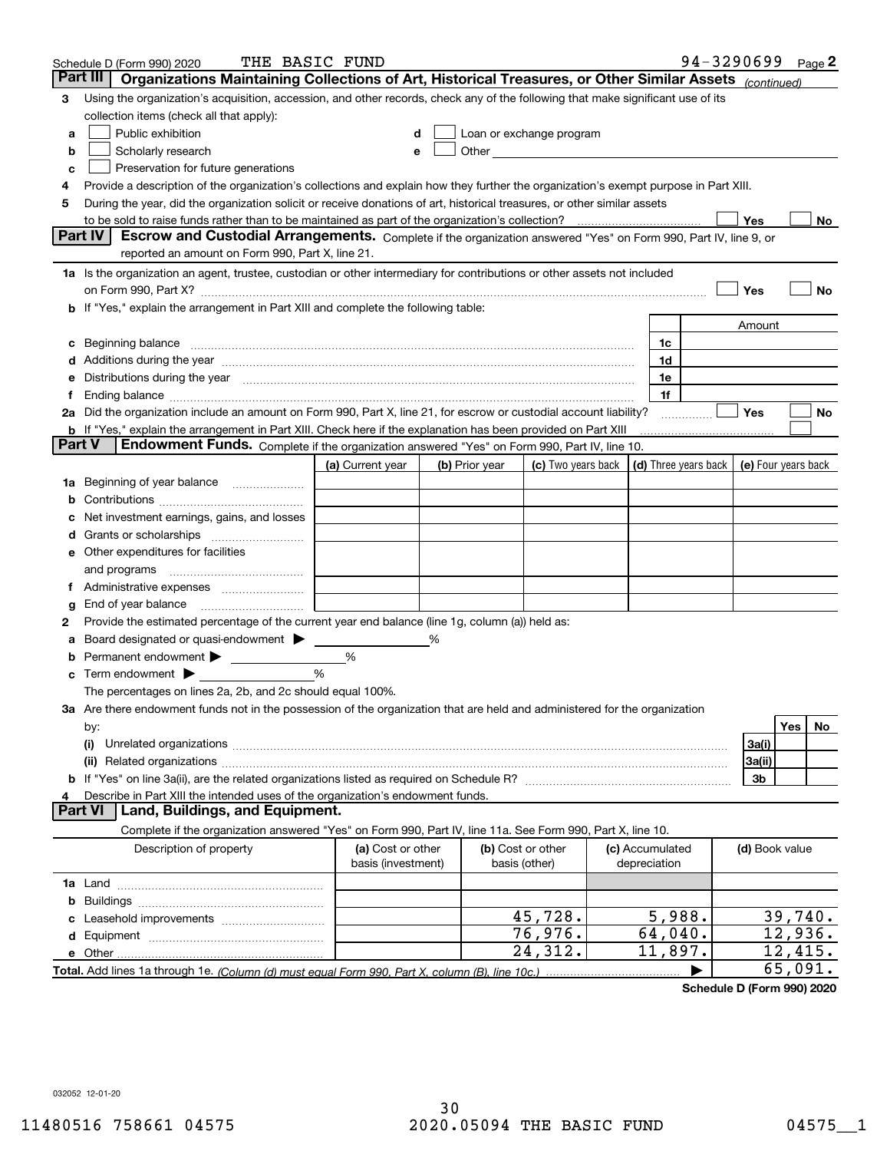|        | THE BASIC FUND<br>Schedule D (Form 990) 2020                                                                                                                                                                                   |                                         |   |                |                                                                                                                                                                                                                               |                                 | 94-3290699 Page 2    |                     |         |    |
|--------|--------------------------------------------------------------------------------------------------------------------------------------------------------------------------------------------------------------------------------|-----------------------------------------|---|----------------|-------------------------------------------------------------------------------------------------------------------------------------------------------------------------------------------------------------------------------|---------------------------------|----------------------|---------------------|---------|----|
|        | Part III<br>Organizations Maintaining Collections of Art, Historical Treasures, or Other Similar Assets (continued)                                                                                                            |                                         |   |                |                                                                                                                                                                                                                               |                                 |                      |                     |         |    |
| 3      | Using the organization's acquisition, accession, and other records, check any of the following that make significant use of its                                                                                                |                                         |   |                |                                                                                                                                                                                                                               |                                 |                      |                     |         |    |
|        | collection items (check all that apply):                                                                                                                                                                                       |                                         |   |                |                                                                                                                                                                                                                               |                                 |                      |                     |         |    |
| a      | Public exhibition                                                                                                                                                                                                              | d                                       |   |                | Loan or exchange program                                                                                                                                                                                                      |                                 |                      |                     |         |    |
| b      | Scholarly research                                                                                                                                                                                                             | е                                       |   |                | Other and the contract of the contract of the contract of the contract of the contract of the contract of the contract of the contract of the contract of the contract of the contract of the contract of the contract of the |                                 |                      |                     |         |    |
| c      | Preservation for future generations                                                                                                                                                                                            |                                         |   |                |                                                                                                                                                                                                                               |                                 |                      |                     |         |    |
| 4      | Provide a description of the organization's collections and explain how they further the organization's exempt purpose in Part XIII.                                                                                           |                                         |   |                |                                                                                                                                                                                                                               |                                 |                      |                     |         |    |
| 5      | During the year, did the organization solicit or receive donations of art, historical treasures, or other similar assets                                                                                                       |                                         |   |                |                                                                                                                                                                                                                               |                                 |                      |                     |         |    |
|        | to be sold to raise funds rather than to be maintained as part of the organization's collection?                                                                                                                               |                                         |   |                |                                                                                                                                                                                                                               |                                 |                      | Yes                 |         | No |
|        | <b>Part IV</b><br>Escrow and Custodial Arrangements. Complete if the organization answered "Yes" on Form 990, Part IV, line 9, or                                                                                              |                                         |   |                |                                                                                                                                                                                                                               |                                 |                      |                     |         |    |
|        | reported an amount on Form 990, Part X, line 21.                                                                                                                                                                               |                                         |   |                |                                                                                                                                                                                                                               |                                 |                      |                     |         |    |
|        | 1a Is the organization an agent, trustee, custodian or other intermediary for contributions or other assets not included                                                                                                       |                                         |   |                |                                                                                                                                                                                                                               |                                 |                      |                     |         |    |
|        | on Form 990, Part X? [11] matter contracts and contracts and contracts are contracted as a function of the set of the set of the set of the set of the set of the set of the set of the set of the set of the set of the set o |                                         |   |                |                                                                                                                                                                                                                               |                                 |                      | Yes                 |         | No |
|        | If "Yes," explain the arrangement in Part XIII and complete the following table:                                                                                                                                               |                                         |   |                |                                                                                                                                                                                                                               |                                 |                      |                     |         |    |
|        |                                                                                                                                                                                                                                |                                         |   |                |                                                                                                                                                                                                                               |                                 |                      | Amount              |         |    |
| c      | Beginning balance                                                                                                                                                                                                              |                                         |   |                |                                                                                                                                                                                                                               | 1c                              |                      |                     |         |    |
| d      | Additions during the year manufactured and an experimental contract to the year manufactured and a set of the year manufactured and a set of the year manufactured and a set of the year manufactured and set of the year manu |                                         |   |                |                                                                                                                                                                                                                               | 1d                              |                      |                     |         |    |
| е      | Distributions during the year manufactured and continuum and contained and the year manufactured and contained                                                                                                                 |                                         |   |                |                                                                                                                                                                                                                               | 1e                              |                      |                     |         |    |
|        | Ending balance manufacture contract contract contract contract contract contract contract contract contract contract contract contract contract contract contract contract contract contract contract contract contract contra |                                         |   |                |                                                                                                                                                                                                                               | 1f                              |                      |                     |         |    |
|        | 2a Did the organization include an amount on Form 990, Part X, line 21, for escrow or custodial account liability?                                                                                                             |                                         |   |                |                                                                                                                                                                                                                               |                                 |                      | Yes                 |         | No |
|        | <b>b</b> If "Yes," explain the arrangement in Part XIII. Check here if the explanation has been provided on Part XIII<br>Endowment Funds. Complete if the organization answered "Yes" on Form 990, Part IV, line 10.<br>Part V |                                         |   |                |                                                                                                                                                                                                                               |                                 |                      |                     |         |    |
|        |                                                                                                                                                                                                                                |                                         |   |                |                                                                                                                                                                                                                               |                                 |                      | (e) Four years back |         |    |
|        |                                                                                                                                                                                                                                | (a) Current year                        |   | (b) Prior year | (c) Two years back                                                                                                                                                                                                            |                                 | (d) Three years back |                     |         |    |
| 1a     | Beginning of year balance                                                                                                                                                                                                      |                                         |   |                |                                                                                                                                                                                                                               |                                 |                      |                     |         |    |
| b      |                                                                                                                                                                                                                                |                                         |   |                |                                                                                                                                                                                                                               |                                 |                      |                     |         |    |
|        | Net investment earnings, gains, and losses                                                                                                                                                                                     |                                         |   |                |                                                                                                                                                                                                                               |                                 |                      |                     |         |    |
| a      | Other expenditures for facilities                                                                                                                                                                                              |                                         |   |                |                                                                                                                                                                                                                               |                                 |                      |                     |         |    |
| е      | and programs                                                                                                                                                                                                                   |                                         |   |                |                                                                                                                                                                                                                               |                                 |                      |                     |         |    |
| Ť.     |                                                                                                                                                                                                                                |                                         |   |                |                                                                                                                                                                                                                               |                                 |                      |                     |         |    |
|        | End of year balance                                                                                                                                                                                                            |                                         |   |                |                                                                                                                                                                                                                               |                                 |                      |                     |         |    |
| g<br>2 | Provide the estimated percentage of the current year end balance (line 1g, column (a)) held as:                                                                                                                                |                                         |   |                |                                                                                                                                                                                                                               |                                 |                      |                     |         |    |
|        | Board designated or quasi-endowment > ____                                                                                                                                                                                     |                                         | % |                |                                                                                                                                                                                                                               |                                 |                      |                     |         |    |
| b      |                                                                                                                                                                                                                                | %                                       |   |                |                                                                                                                                                                                                                               |                                 |                      |                     |         |    |
| c      | Term endowment $\blacktriangleright$                                                                                                                                                                                           | %                                       |   |                |                                                                                                                                                                                                                               |                                 |                      |                     |         |    |
|        | The percentages on lines 2a, 2b, and 2c should equal 100%.                                                                                                                                                                     |                                         |   |                |                                                                                                                                                                                                                               |                                 |                      |                     |         |    |
|        | 3a Are there endowment funds not in the possession of the organization that are held and administered for the organization                                                                                                     |                                         |   |                |                                                                                                                                                                                                                               |                                 |                      |                     |         |    |
|        | by:                                                                                                                                                                                                                            |                                         |   |                |                                                                                                                                                                                                                               |                                 |                      |                     | Yes     | No |
|        | (i)                                                                                                                                                                                                                            |                                         |   |                |                                                                                                                                                                                                                               |                                 |                      | 3a(i)               |         |    |
|        |                                                                                                                                                                                                                                |                                         |   |                |                                                                                                                                                                                                                               |                                 |                      | 3a(ii)              |         |    |
|        |                                                                                                                                                                                                                                |                                         |   |                |                                                                                                                                                                                                                               |                                 |                      | 3b                  |         |    |
| 4      | Describe in Part XIII the intended uses of the organization's endowment funds.                                                                                                                                                 |                                         |   |                |                                                                                                                                                                                                                               |                                 |                      |                     |         |    |
|        | Land, Buildings, and Equipment.<br>Part VI                                                                                                                                                                                     |                                         |   |                |                                                                                                                                                                                                                               |                                 |                      |                     |         |    |
|        | Complete if the organization answered "Yes" on Form 990, Part IV, line 11a. See Form 990, Part X, line 10.                                                                                                                     |                                         |   |                |                                                                                                                                                                                                                               |                                 |                      |                     |         |    |
|        | Description of property                                                                                                                                                                                                        | (a) Cost or other<br>basis (investment) |   |                | (b) Cost or other<br>basis (other)                                                                                                                                                                                            | (c) Accumulated<br>depreciation |                      | (d) Book value      |         |    |
|        |                                                                                                                                                                                                                                |                                         |   |                |                                                                                                                                                                                                                               |                                 |                      |                     |         |    |
| b      |                                                                                                                                                                                                                                |                                         |   |                |                                                                                                                                                                                                                               |                                 |                      |                     |         |    |
|        |                                                                                                                                                                                                                                |                                         |   |                | 45,728.                                                                                                                                                                                                                       | 5,988.                          |                      |                     | 39,740. |    |
| d      |                                                                                                                                                                                                                                |                                         |   |                | 76,976.                                                                                                                                                                                                                       | 64,040.                         |                      |                     | 12,936. |    |
|        | e Other                                                                                                                                                                                                                        |                                         |   |                | 24,312.                                                                                                                                                                                                                       | 11,897.                         |                      |                     | 12,415. |    |
|        | Total. Add lines 1a through 1e. (Column (d) must equal Form 990. Part X, column (B), line 10c.)                                                                                                                                |                                         |   |                |                                                                                                                                                                                                                               |                                 |                      |                     | 65,091. |    |

**Schedule D (Form 990) 2020**

032052 12-01-20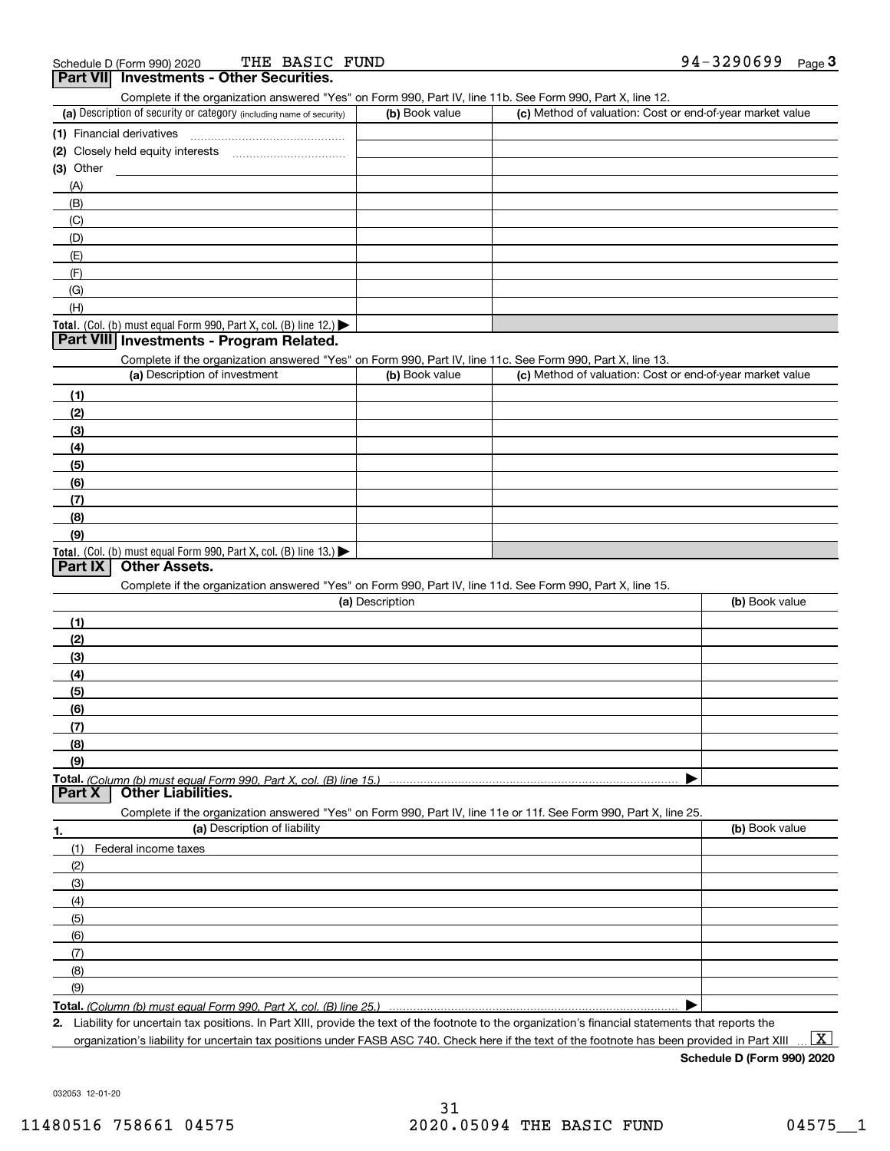| THE BASIC FUND<br>Schedule D (Form 990) 2020                                                                      |                 |                                                           | 94-3290699<br>$Page$ <sup>3</sup> |
|-------------------------------------------------------------------------------------------------------------------|-----------------|-----------------------------------------------------------|-----------------------------------|
| Part VII Investments - Other Securities.                                                                          |                 |                                                           |                                   |
| Complete if the organization answered "Yes" on Form 990, Part IV, line 11b. See Form 990, Part X, line 12.        |                 |                                                           |                                   |
| (a) Description of security or category (including name of security)                                              | (b) Book value  | (c) Method of valuation: Cost or end-of-year market value |                                   |
| (1) Financial derivatives                                                                                         |                 |                                                           |                                   |
|                                                                                                                   |                 |                                                           |                                   |
| (3) Other                                                                                                         |                 |                                                           |                                   |
| (A)                                                                                                               |                 |                                                           |                                   |
| (B)                                                                                                               |                 |                                                           |                                   |
| (C)                                                                                                               |                 |                                                           |                                   |
| (D)                                                                                                               |                 |                                                           |                                   |
| (E)                                                                                                               |                 |                                                           |                                   |
| (F)                                                                                                               |                 |                                                           |                                   |
| (G)                                                                                                               |                 |                                                           |                                   |
| (H)                                                                                                               |                 |                                                           |                                   |
| Total. (Col. (b) must equal Form 990, Part X, col. (B) line 12.)                                                  |                 |                                                           |                                   |
| Part VIII Investments - Program Related.                                                                          |                 |                                                           |                                   |
| Complete if the organization answered "Yes" on Form 990, Part IV, line 11c. See Form 990, Part X, line 13.        |                 |                                                           |                                   |
| (a) Description of investment                                                                                     | (b) Book value  | (c) Method of valuation: Cost or end-of-year market value |                                   |
| (1)                                                                                                               |                 |                                                           |                                   |
| (2)                                                                                                               |                 |                                                           |                                   |
| (3)                                                                                                               |                 |                                                           |                                   |
| (4)                                                                                                               |                 |                                                           |                                   |
| (5)                                                                                                               |                 |                                                           |                                   |
| (6)                                                                                                               |                 |                                                           |                                   |
| (7)                                                                                                               |                 |                                                           |                                   |
| (8)                                                                                                               |                 |                                                           |                                   |
| (9)                                                                                                               |                 |                                                           |                                   |
| Total. (Col. (b) must equal Form 990, Part X, col. (B) line $13.$ )                                               |                 |                                                           |                                   |
| <b>Other Assets.</b><br>Part IX                                                                                   |                 |                                                           |                                   |
| Complete if the organization answered "Yes" on Form 990, Part IV, line 11d. See Form 990, Part X, line 15.        |                 |                                                           |                                   |
|                                                                                                                   | (a) Description |                                                           | (b) Book value                    |
| (1)                                                                                                               |                 |                                                           |                                   |
| (2)                                                                                                               |                 |                                                           |                                   |
| (3)                                                                                                               |                 |                                                           |                                   |
| (4)                                                                                                               |                 |                                                           |                                   |
| (5)                                                                                                               |                 |                                                           |                                   |
| (6)                                                                                                               |                 |                                                           |                                   |
| (7)                                                                                                               |                 |                                                           |                                   |
| (8)                                                                                                               |                 |                                                           |                                   |
| (9)                                                                                                               |                 |                                                           |                                   |
| Total. (Column (b) must equal Form 990. Part X, col. (B) line 15.)<br><b>Other Liabilities.</b><br>Part X         |                 |                                                           |                                   |
|                                                                                                                   |                 |                                                           |                                   |
| Complete if the organization answered "Yes" on Form 990, Part IV, line 11e or 11f. See Form 990, Part X, line 25. |                 |                                                           |                                   |
| (a) Description of liability<br>1.                                                                                |                 |                                                           | (b) Book value                    |
| (1)<br>Federal income taxes                                                                                       |                 |                                                           |                                   |
| (2)                                                                                                               |                 |                                                           |                                   |
| (3)                                                                                                               |                 |                                                           |                                   |
| (4)                                                                                                               |                 |                                                           |                                   |
| (5)                                                                                                               |                 |                                                           |                                   |
| (6)                                                                                                               |                 |                                                           |                                   |
| (7)                                                                                                               |                 |                                                           |                                   |
| (8)                                                                                                               |                 |                                                           |                                   |
| (9)                                                                                                               |                 |                                                           |                                   |
| Total. (Column (b) must equal Form 990. Part X, col. (B) line 25.)                                                |                 |                                                           |                                   |

**2.** Liability for uncertain tax positions. In Part XIII, provide the text of the footnote to the organization's financial statements that reports the organization's liability for uncertain tax positions under FASB ASC 740. Check here if the text of the footnote has been provided in Part XIII  $\boxed{\text{X}}$ 

**Schedule D (Form 990) 2020**

032053 12-01-20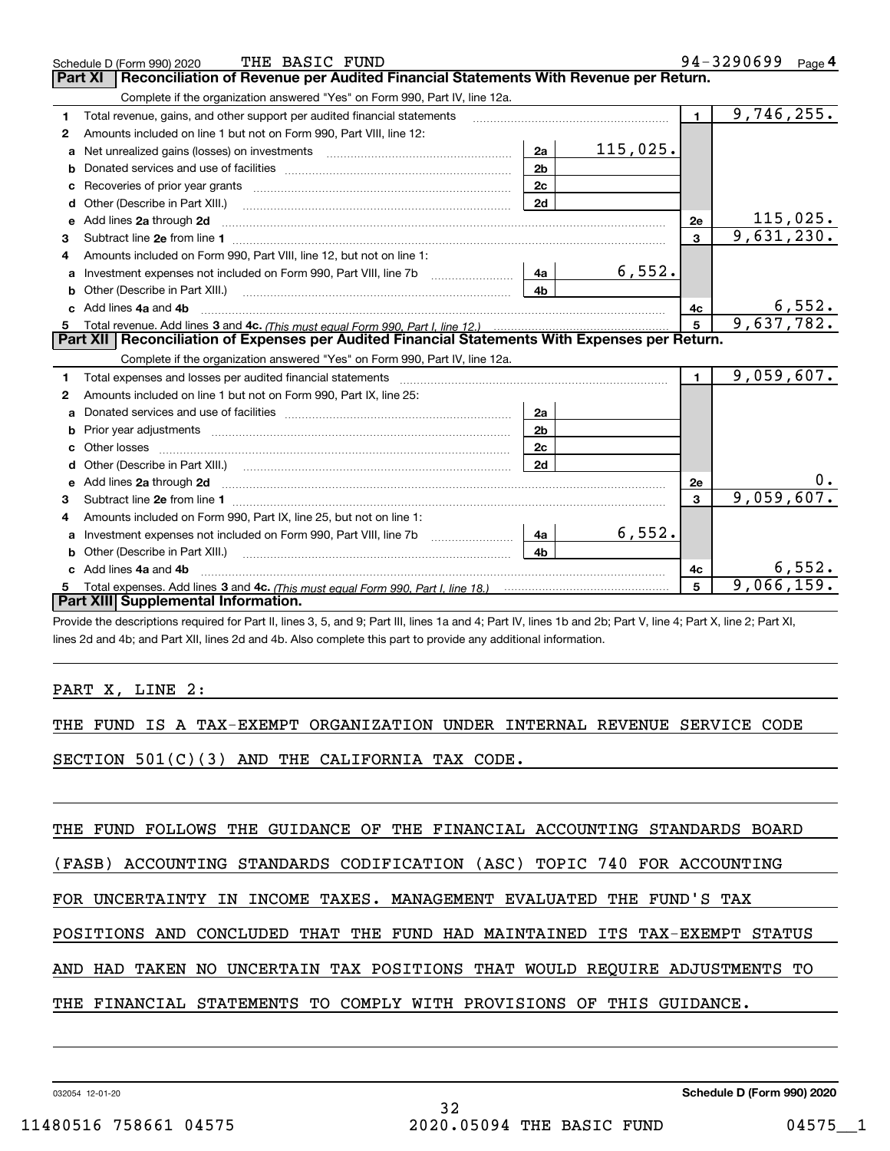|              | THE BASIC FUND<br>Schedule D (Form 990) 2020                                                                                                                                                                                   |                |            |                         | 94-3290699 Page 4 |
|--------------|--------------------------------------------------------------------------------------------------------------------------------------------------------------------------------------------------------------------------------|----------------|------------|-------------------------|-------------------|
|              | Reconciliation of Revenue per Audited Financial Statements With Revenue per Return.<br>Part XI                                                                                                                                 |                |            |                         |                   |
|              | Complete if the organization answered "Yes" on Form 990, Part IV, line 12a.                                                                                                                                                    |                |            |                         |                   |
| 1.           | Total revenue, gains, and other support per audited financial statements                                                                                                                                                       |                |            | $\blacksquare$          | 9,746,255.        |
| $\mathbf{2}$ | Amounts included on line 1 but not on Form 990, Part VIII, line 12:                                                                                                                                                            |                |            |                         |                   |
| a            |                                                                                                                                                                                                                                | 2a             | 115,025.   |                         |                   |
|              |                                                                                                                                                                                                                                | 2 <sub>b</sub> |            |                         |                   |
| с            |                                                                                                                                                                                                                                | 2c             |            |                         |                   |
| d            | Other (Describe in Part XIII.)                                                                                                                                                                                                 | 2d             |            |                         |                   |
| е            | Add lines 2a through 2d                                                                                                                                                                                                        |                |            | 2e                      | 115,025.          |
| 3            |                                                                                                                                                                                                                                |                |            | $\overline{\mathbf{3}}$ | 9,631,230.        |
| 4            | Amounts included on Form 990, Part VIII, line 12, but not on line 1:                                                                                                                                                           |                |            |                         |                   |
| a            |                                                                                                                                                                                                                                | 4a             | 6,552.     |                         |                   |
| b            | Other (Describe in Part XIII.) [1001] [2010] [2010] [2010] [3010] [3010] [3010] [3010] [3010] [3010] [3010] [3010] [3010] [3010] [3010] [3010] [3010] [3010] [3010] [3010] [3010] [3010] [3010] [3010] [3010] [3010] [3010] [3 | 4 <sub>b</sub> |            |                         |                   |
| c.           | Add lines 4a and 4b                                                                                                                                                                                                            |                |            | 4c                      | 6,552.            |
|              |                                                                                                                                                                                                                                | $5\phantom{a}$ | 9,637,782. |                         |                   |
| 5            |                                                                                                                                                                                                                                |                |            |                         |                   |
|              | Part XII   Reconciliation of Expenses per Audited Financial Statements With Expenses per Return.                                                                                                                               |                |            |                         |                   |
|              | Complete if the organization answered "Yes" on Form 990, Part IV, line 12a.                                                                                                                                                    |                |            |                         |                   |
| 1            | Total expenses and losses per audited financial statements [11,11] [11] Total expenses and losses per audited financial statements [11] [11] Total expenses and losses per audited financial statements                        |                |            | $\mathbf{1}$            | 9,059,607.        |
| 2            | Amounts included on line 1 but not on Form 990, Part IX, line 25:                                                                                                                                                              |                |            |                         |                   |
| a            |                                                                                                                                                                                                                                | 2a             |            |                         |                   |
| b            |                                                                                                                                                                                                                                | 2 <sub>b</sub> |            |                         |                   |
| C.           |                                                                                                                                                                                                                                | 2c             |            |                         |                   |
|              |                                                                                                                                                                                                                                | 2d             |            |                         |                   |
|              |                                                                                                                                                                                                                                |                |            | 2e                      |                   |
| 3            |                                                                                                                                                                                                                                |                |            | $\mathbf{3}$            | 9,059,607.        |
| 4            | Amounts included on Form 990, Part IX, line 25, but not on line 1:                                                                                                                                                             |                |            |                         |                   |
| a            |                                                                                                                                                                                                                                | 4a             | 6,552.     |                         |                   |
| b            | Other (Describe in Part XIII.) [100] [100] [100] [100] [100] [100] [100] [100] [100] [100] [100] [100] [100] [                                                                                                                 | 4h             |            |                         |                   |
|              | Add lines 4a and 4b                                                                                                                                                                                                            |                |            | 4с                      | 6,552.            |
|              | Part XIII Supplemental Information.                                                                                                                                                                                            |                |            | 5                       | 9,066,159.        |

Provide the descriptions required for Part II, lines 3, 5, and 9; Part III, lines 1a and 4; Part IV, lines 1b and 2b; Part V, line 4; Part X, line 2; Part XI, lines 2d and 4b; and Part XII, lines 2d and 4b. Also complete this part to provide any additional information.

### PART X, LINE 2:

|  |  |  |  |  | THE FUND IS A TAX-EXEMPT ORGANIZATION UNDER INTERNAL REVENUE SERVICE CODE |  |  |  |  |  |
|--|--|--|--|--|---------------------------------------------------------------------------|--|--|--|--|--|
|--|--|--|--|--|---------------------------------------------------------------------------|--|--|--|--|--|

SECTION 501(C)(3) AND THE CALIFORNIA TAX CODE.

THE FUND FOLLOWS THE GUIDANCE OF THE FINANCIAL ACCOUNTING STANDARDS BOARD

(FASB) ACCOUNTING STANDARDS CODIFICATION (ASC) TOPIC 740 FOR ACCOUNTING

FOR UNCERTAINTY IN INCOME TAXES. MANAGEMENT EVALUATED THE FUND'S TAX

POSITIONS AND CONCLUDED THAT THE FUND HAD MAINTAINED ITS TAX-EXEMPT STATUS

AND HAD TAKEN NO UNCERTAIN TAX POSITIONS THAT WOULD REQUIRE ADJUSTMENTS TO

### THE FINANCIAL STATEMENTS TO COMPLY WITH PROVISIONS OF THIS GUIDANCE.

032054 12-01-20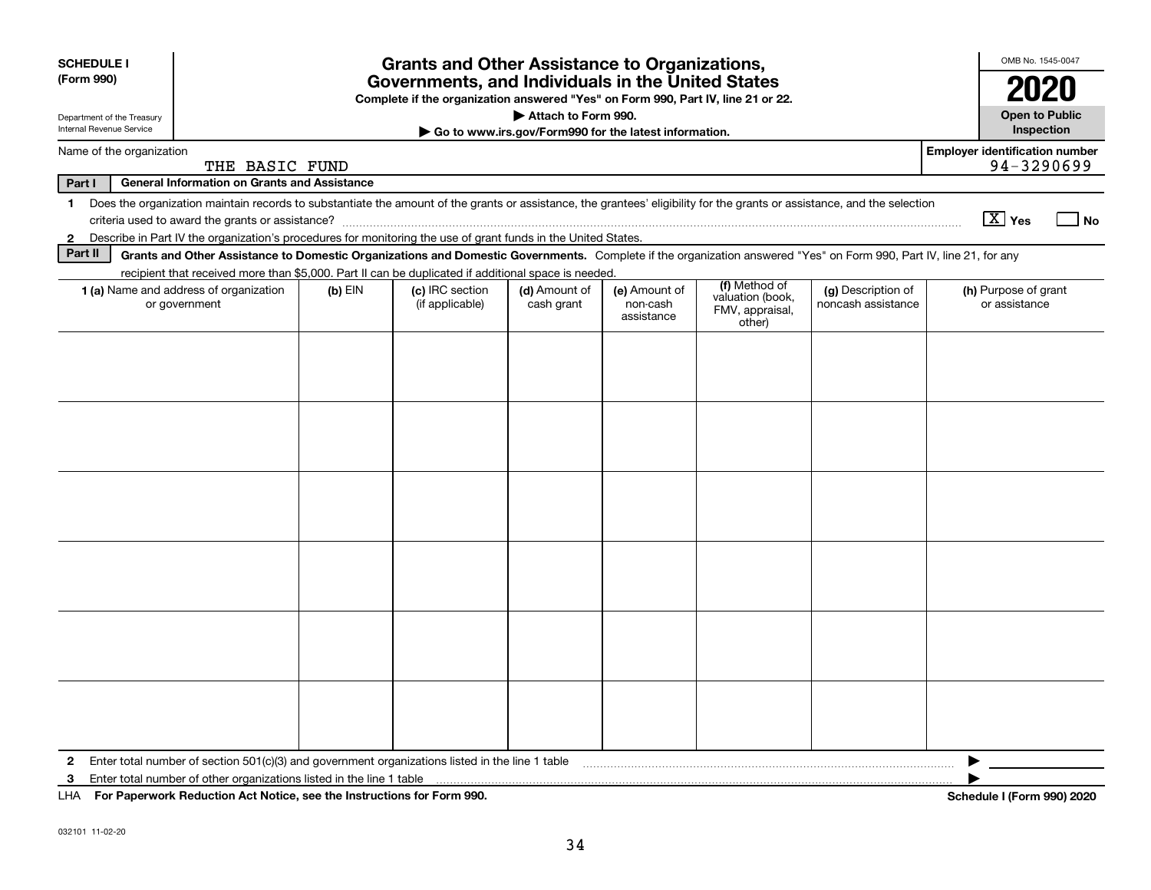| <b>SCHEDULE I</b>                                                                 |                                                                      |           | <b>Grants and Other Assistance to Organizations,</b>                                                                                                                     |                             |                                         |                                               |                                          |  | OMB No. 1545-0047                                   |                             |  |
|-----------------------------------------------------------------------------------|----------------------------------------------------------------------|-----------|--------------------------------------------------------------------------------------------------------------------------------------------------------------------------|-----------------------------|-----------------------------------------|-----------------------------------------------|------------------------------------------|--|-----------------------------------------------------|-----------------------------|--|
| (Form 990)                                                                        |                                                                      |           | Governments, and Individuals in the United States                                                                                                                        |                             |                                         |                                               |                                          |  | 2020                                                |                             |  |
| Department of the Treasury                                                        |                                                                      |           | Complete if the organization answered "Yes" on Form 990, Part IV, line 21 or 22.                                                                                         | Attach to Form 990.         |                                         |                                               |                                          |  | <b>Open to Public</b>                               |                             |  |
| Internal Revenue Service<br>Go to www.irs.gov/Form990 for the latest information. |                                                                      |           |                                                                                                                                                                          |                             |                                         |                                               |                                          |  |                                                     |                             |  |
| Name of the organization                                                          | THE BASIC FUND                                                       |           |                                                                                                                                                                          |                             |                                         |                                               |                                          |  | <b>Employer identification number</b><br>94-3290699 |                             |  |
| Part I                                                                            | <b>General Information on Grants and Assistance</b>                  |           |                                                                                                                                                                          |                             |                                         |                                               |                                          |  |                                                     |                             |  |
| 1.                                                                                |                                                                      |           | Does the organization maintain records to substantiate the amount of the grants or assistance, the grantees' eligibility for the grants or assistance, and the selection |                             |                                         |                                               |                                          |  | $\boxed{\text{X}}$ Yes                              | $\overline{\phantom{a}}$ No |  |
| $\mathbf{2}$                                                                      |                                                                      |           | Describe in Part IV the organization's procedures for monitoring the use of grant funds in the United States.                                                            |                             |                                         |                                               |                                          |  |                                                     |                             |  |
| Part II                                                                           |                                                                      |           | Grants and Other Assistance to Domestic Organizations and Domestic Governments. Complete if the organization answered "Yes" on Form 990, Part IV, line 21, for any       |                             |                                         |                                               |                                          |  |                                                     |                             |  |
|                                                                                   |                                                                      |           | recipient that received more than \$5,000. Part II can be duplicated if additional space is needed.                                                                      |                             |                                         | (f) Method of                                 |                                          |  |                                                     |                             |  |
| 1 (a) Name and address of organization<br>or government                           |                                                                      | $(b)$ EIN | (c) IRC section<br>(if applicable)                                                                                                                                       | (d) Amount of<br>cash grant | (e) Amount of<br>non-cash<br>assistance | valuation (book,<br>FMV, appraisal,<br>other) | (g) Description of<br>noncash assistance |  | (h) Purpose of grant<br>or assistance               |                             |  |
|                                                                                   |                                                                      |           |                                                                                                                                                                          |                             |                                         |                                               |                                          |  |                                                     |                             |  |
|                                                                                   |                                                                      |           |                                                                                                                                                                          |                             |                                         |                                               |                                          |  |                                                     |                             |  |
|                                                                                   |                                                                      |           |                                                                                                                                                                          |                             |                                         |                                               |                                          |  |                                                     |                             |  |
|                                                                                   |                                                                      |           |                                                                                                                                                                          |                             |                                         |                                               |                                          |  |                                                     |                             |  |
|                                                                                   |                                                                      |           |                                                                                                                                                                          |                             |                                         |                                               |                                          |  |                                                     |                             |  |
|                                                                                   |                                                                      |           |                                                                                                                                                                          |                             |                                         |                                               |                                          |  |                                                     |                             |  |
|                                                                                   |                                                                      |           |                                                                                                                                                                          |                             |                                         |                                               |                                          |  |                                                     |                             |  |
|                                                                                   |                                                                      |           |                                                                                                                                                                          |                             |                                         |                                               |                                          |  |                                                     |                             |  |
|                                                                                   |                                                                      |           |                                                                                                                                                                          |                             |                                         |                                               |                                          |  |                                                     |                             |  |
|                                                                                   |                                                                      |           |                                                                                                                                                                          |                             |                                         |                                               |                                          |  |                                                     |                             |  |
|                                                                                   |                                                                      |           |                                                                                                                                                                          |                             |                                         |                                               |                                          |  |                                                     |                             |  |
|                                                                                   |                                                                      |           |                                                                                                                                                                          |                             |                                         |                                               |                                          |  |                                                     |                             |  |
|                                                                                   |                                                                      |           |                                                                                                                                                                          |                             |                                         |                                               |                                          |  |                                                     |                             |  |
|                                                                                   |                                                                      |           |                                                                                                                                                                          |                             |                                         |                                               |                                          |  |                                                     |                             |  |
|                                                                                   |                                                                      |           |                                                                                                                                                                          |                             |                                         |                                               |                                          |  |                                                     |                             |  |
|                                                                                   |                                                                      |           |                                                                                                                                                                          |                             |                                         |                                               |                                          |  |                                                     |                             |  |
|                                                                                   |                                                                      |           |                                                                                                                                                                          |                             |                                         |                                               |                                          |  |                                                     |                             |  |
|                                                                                   |                                                                      |           |                                                                                                                                                                          |                             |                                         |                                               |                                          |  |                                                     |                             |  |
| $\mathbf{2}$                                                                      |                                                                      |           | Enter total number of section $501(c)(3)$ and government organizations listed in the line 1 table                                                                        |                             |                                         |                                               |                                          |  |                                                     |                             |  |
| 3                                                                                 | Enter total number of other organizations listed in the line 1 table |           |                                                                                                                                                                          |                             |                                         |                                               |                                          |  |                                                     |                             |  |
| LHA For Paperwork Reduction Act Notice, see the Instructions for Form 990.        |                                                                      |           |                                                                                                                                                                          |                             |                                         |                                               |                                          |  | Schedule I (Form 990) 2020                          |                             |  |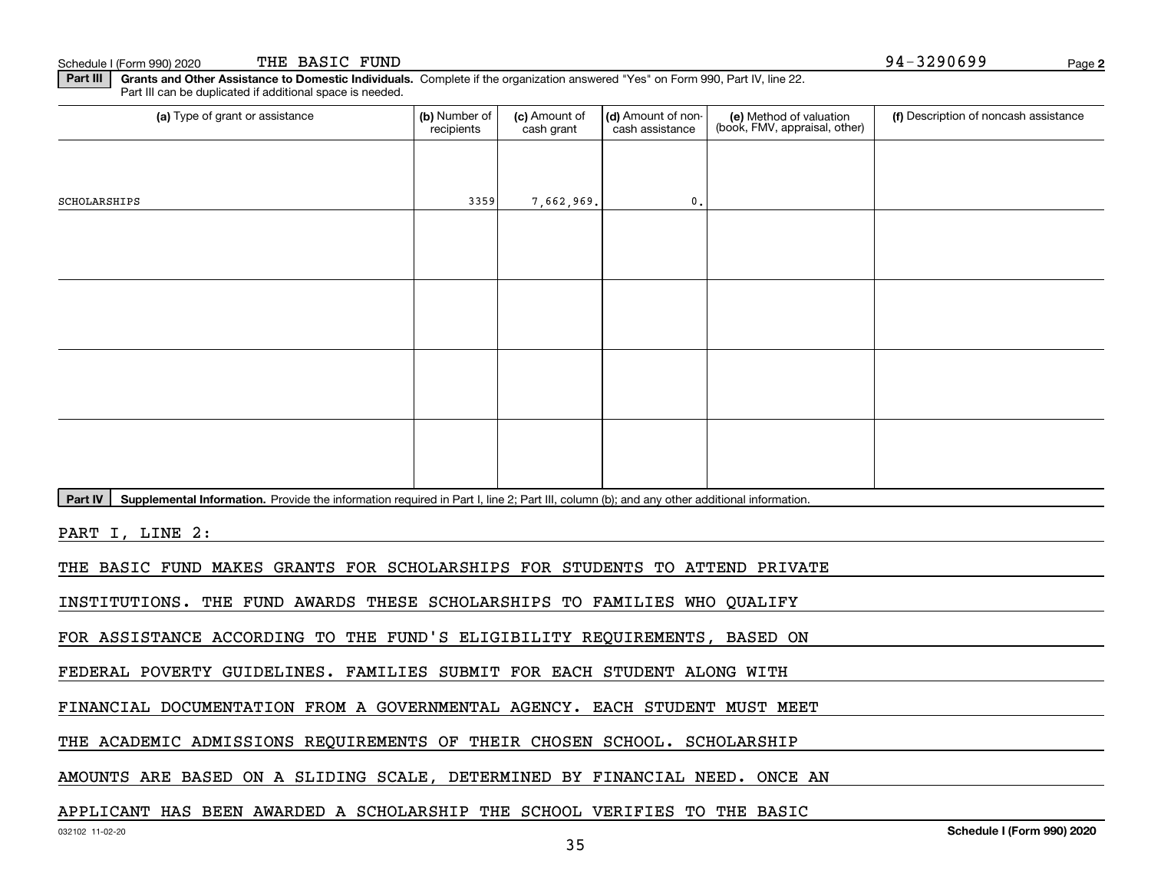Schedule I (Form 990) 2020 THE BASIC FUND  $94-3290699$ THE BASIC FUND

**2**

**Part III | Grants and Other Assistance to Domestic Individuals. Complete if the organization answered "Yes" on Form 990, Part IV, line 22.** Part III can be duplicated if additional space is needed.

| (a) Type of grant or assistance                                                                                                                      | (b) Number of<br>recipients | (c) Amount of<br>cash grant | (d) Amount of non-<br>cash assistance | (e) Method of valuation<br>(book, FMV, appraisal, other) | (f) Description of noncash assistance |
|------------------------------------------------------------------------------------------------------------------------------------------------------|-----------------------------|-----------------------------|---------------------------------------|----------------------------------------------------------|---------------------------------------|
|                                                                                                                                                      |                             |                             |                                       |                                                          |                                       |
| SCHOLARSHIPS                                                                                                                                         | 3359                        | 7,662,969.                  | $\mathbf{0}$ .                        |                                                          |                                       |
|                                                                                                                                                      |                             |                             |                                       |                                                          |                                       |
|                                                                                                                                                      |                             |                             |                                       |                                                          |                                       |
|                                                                                                                                                      |                             |                             |                                       |                                                          |                                       |
|                                                                                                                                                      |                             |                             |                                       |                                                          |                                       |
|                                                                                                                                                      |                             |                             |                                       |                                                          |                                       |
|                                                                                                                                                      |                             |                             |                                       |                                                          |                                       |
|                                                                                                                                                      |                             |                             |                                       |                                                          |                                       |
|                                                                                                                                                      |                             |                             |                                       |                                                          |                                       |
| Part IV<br>Supplemental Information. Provide the information required in Part I, line 2; Part III, column (b); and any other additional information. |                             |                             |                                       |                                                          |                                       |
| PART I, LINE 2:                                                                                                                                      |                             |                             |                                       |                                                          |                                       |
| THE BASIC FUND MAKES GRANTS FOR SCHOLARSHIPS FOR STUDENTS TO ATTEND PRIVATE                                                                          |                             |                             |                                       |                                                          |                                       |
| INSTITUTIONS. THE FUND AWARDS THESE SCHOLARSHIPS TO FAMILIES WHO QUALIFY                                                                             |                             |                             |                                       |                                                          |                                       |
| FOR ASSISTANCE ACCORDING TO THE FUND'S ELIGIBILITY REQUIREMENTS, BASED ON                                                                            |                             |                             |                                       |                                                          |                                       |
| FEDERAL POVERTY GUIDELINES. FAMILIES SUBMIT FOR EACH STUDENT ALONG WITH                                                                              |                             |                             |                                       |                                                          |                                       |
| FINANCIAL DOCUMENTATION FROM A GOVERNMENTAL AGENCY. EACH STUDENT MUST MEET                                                                           |                             |                             |                                       |                                                          |                                       |
| THE ACADEMIC ADMISSIONS REQUIREMENTS OF THEIR CHOSEN SCHOOL. SCHOLARSHIP                                                                             |                             |                             |                                       |                                                          |                                       |
|                                                                                                                                                      |                             |                             |                                       |                                                          |                                       |

AMOUNTS ARE BASED ON A SLIDING SCALE, DETERMINED BY FINANCIAL NEED. ONCE AN

### APPLICANT HAS BEEN AWARDED A SCHOLARSHIP THE SCHOOL VERIFIES TO THE BASIC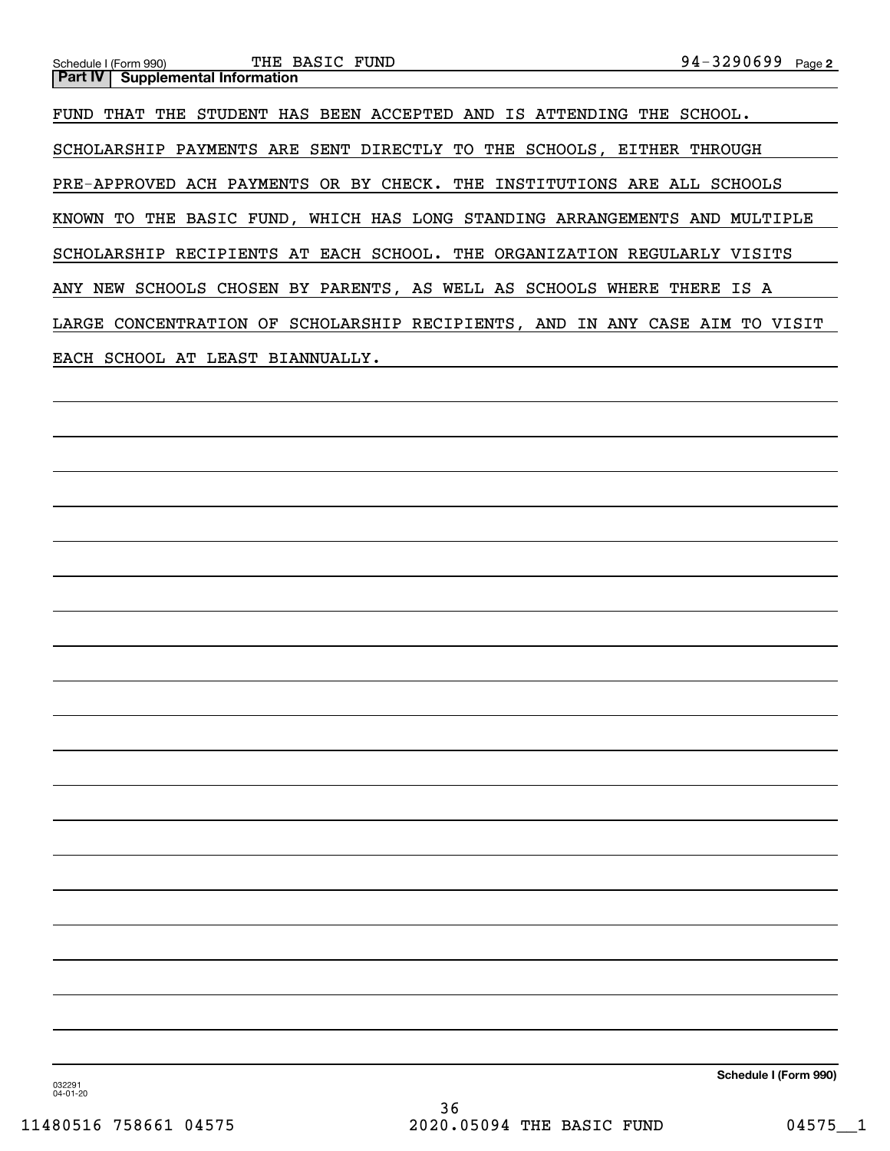FUND THAT THE STUDENT HAS BEEN ACCEPTED AND IS ATTENDING THE SCHOOL. SCHOLARSHIP PAYMENTS ARE SENT DIRECTLY TO THE SCHOOLS, EITHER THROUGH PRE-APPROVED ACH PAYMENTS OR BY CHECK. THE INSTITUTIONS ARE ALL SCHOOLS KNOWN TO THE BASIC FUND, WHICH HAS LONG STANDING ARRANGEMENTS AND MULTIPLE SCHOLARSHIP RECIPIENTS AT EACH SCHOOL. THE ORGANIZATION REGULARLY VISITS ANY NEW SCHOOLS CHOSEN BY PARENTS, AS WELL AS SCHOOLS WHERE THERE IS A LARGE CONCENTRATION OF SCHOLARSHIP RECIPIENTS, AND IN ANY CASE AIM TO VISIT EACH SCHOOL AT LEAST BIANNUALLY.

**Schedule I (Form 990)**

032291 04-01-20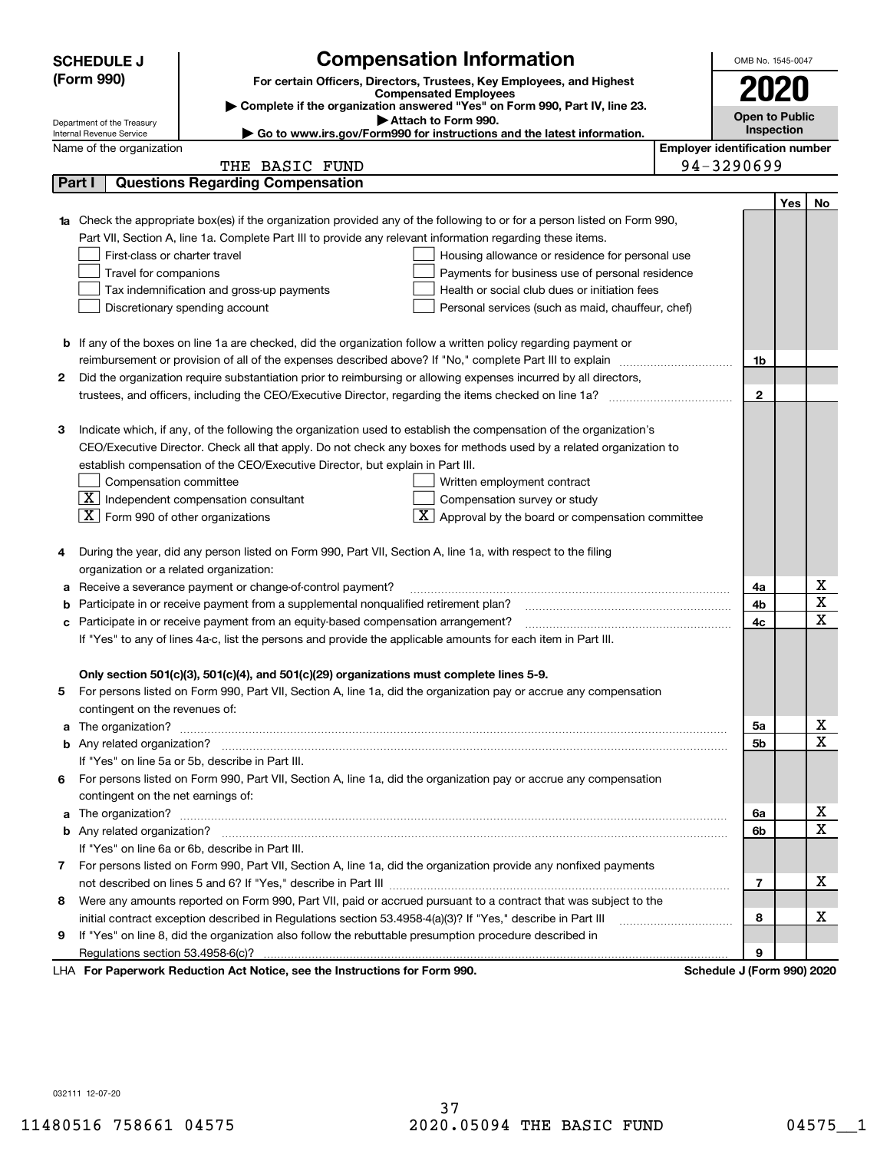|    | <b>SCHEDULE J</b>                                      | <b>Compensation Information</b>                                                                                                                                                                               |                                       | OMB No. 1545-0047          |     |              |
|----|--------------------------------------------------------|---------------------------------------------------------------------------------------------------------------------------------------------------------------------------------------------------------------|---------------------------------------|----------------------------|-----|--------------|
|    | (Form 990)                                             | For certain Officers, Directors, Trustees, Key Employees, and Highest                                                                                                                                         |                                       |                            |     |              |
|    |                                                        | <b>Compensated Employees</b><br>Complete if the organization answered "Yes" on Form 990, Part IV, line 23.                                                                                                    |                                       | 2020                       |     |              |
|    |                                                        |                                                                                                                                                                                                               | <b>Open to Public</b>                 |                            |     |              |
|    | Department of the Treasury<br>Internal Revenue Service |                                                                                                                                                                                                               | Inspection                            |                            |     |              |
|    | Name of the organization                               | Go to www.irs.gov/Form990 for instructions and the latest information.                                                                                                                                        | <b>Employer identification number</b> |                            |     |              |
|    |                                                        | THE BASIC FUND                                                                                                                                                                                                |                                       | 94-3290699                 |     |              |
|    | Part I                                                 | <b>Questions Regarding Compensation</b>                                                                                                                                                                       |                                       |                            |     |              |
|    |                                                        |                                                                                                                                                                                                               |                                       |                            | Yes | No           |
|    |                                                        | Check the appropriate box(es) if the organization provided any of the following to or for a person listed on Form 990,                                                                                        |                                       |                            |     |              |
|    |                                                        | Part VII, Section A, line 1a. Complete Part III to provide any relevant information regarding these items.                                                                                                    |                                       |                            |     |              |
|    | First-class or charter travel                          | Housing allowance or residence for personal use                                                                                                                                                               |                                       |                            |     |              |
|    | Travel for companions                                  | Payments for business use of personal residence                                                                                                                                                               |                                       |                            |     |              |
|    |                                                        | Tax indemnification and gross-up payments<br>Health or social club dues or initiation fees                                                                                                                    |                                       |                            |     |              |
|    |                                                        | Discretionary spending account<br>Personal services (such as maid, chauffeur, chef)                                                                                                                           |                                       |                            |     |              |
|    |                                                        |                                                                                                                                                                                                               |                                       |                            |     |              |
|    |                                                        | <b>b</b> If any of the boxes on line 1a are checked, did the organization follow a written policy regarding payment or                                                                                        |                                       |                            |     |              |
|    |                                                        | reimbursement or provision of all of the expenses described above? If "No," complete Part III to explain                                                                                                      |                                       | 1b                         |     |              |
| 2  |                                                        | Did the organization require substantiation prior to reimbursing or allowing expenses incurred by all directors,                                                                                              |                                       |                            |     |              |
|    |                                                        |                                                                                                                                                                                                               |                                       | $\mathbf{2}$               |     |              |
|    |                                                        |                                                                                                                                                                                                               |                                       |                            |     |              |
| з  |                                                        | Indicate which, if any, of the following the organization used to establish the compensation of the organization's                                                                                            |                                       |                            |     |              |
|    |                                                        | CEO/Executive Director. Check all that apply. Do not check any boxes for methods used by a related organization to                                                                                            |                                       |                            |     |              |
|    |                                                        | establish compensation of the CEO/Executive Director, but explain in Part III.                                                                                                                                |                                       |                            |     |              |
|    | Compensation committee                                 | Written employment contract                                                                                                                                                                                   |                                       |                            |     |              |
|    |                                                        | $\boxed{\textbf{X}}$ Independent compensation consultant<br>Compensation survey or study                                                                                                                      |                                       |                            |     |              |
|    | $ \mathbf{X} $ Form 990 of other organizations         | $\overline{\textbf{X}}$ Approval by the board or compensation committee                                                                                                                                       |                                       |                            |     |              |
|    |                                                        |                                                                                                                                                                                                               |                                       |                            |     |              |
| 4  |                                                        | During the year, did any person listed on Form 990, Part VII, Section A, line 1a, with respect to the filing                                                                                                  |                                       |                            |     |              |
|    | organization or a related organization:                |                                                                                                                                                                                                               |                                       |                            |     |              |
| а  |                                                        | Receive a severance payment or change-of-control payment?                                                                                                                                                     |                                       | 4a                         |     | х<br>X       |
| b  |                                                        | Participate in or receive payment from a supplemental nonqualified retirement plan?                                                                                                                           |                                       | 4b                         |     | $\mathbf x$  |
| c  |                                                        | Participate in or receive payment from an equity-based compensation arrangement?                                                                                                                              |                                       | 4c                         |     |              |
|    |                                                        | If "Yes" to any of lines 4a-c, list the persons and provide the applicable amounts for each item in Part III.                                                                                                 |                                       |                            |     |              |
|    |                                                        |                                                                                                                                                                                                               |                                       |                            |     |              |
|    |                                                        | Only section 501(c)(3), 501(c)(4), and 501(c)(29) organizations must complete lines 5-9.<br>For persons listed on Form 990, Part VII, Section A, line 1a, did the organization pay or accrue any compensation |                                       |                            |     |              |
|    | contingent on the revenues of:                         |                                                                                                                                                                                                               |                                       |                            |     |              |
| a  |                                                        |                                                                                                                                                                                                               |                                       | 5а                         |     | x            |
|    |                                                        |                                                                                                                                                                                                               |                                       | <b>5b</b>                  |     | X            |
|    |                                                        | If "Yes" on line 5a or 5b, describe in Part III.                                                                                                                                                              |                                       |                            |     |              |
| 6. |                                                        | For persons listed on Form 990, Part VII, Section A, line 1a, did the organization pay or accrue any compensation                                                                                             |                                       |                            |     |              |
|    | contingent on the net earnings of:                     |                                                                                                                                                                                                               |                                       |                            |     |              |
| a  |                                                        |                                                                                                                                                                                                               |                                       | 6a                         |     | х            |
|    |                                                        |                                                                                                                                                                                                               |                                       | 6b                         |     | $\mathbf{x}$ |
|    |                                                        | If "Yes" on line 6a or 6b, describe in Part III.                                                                                                                                                              |                                       |                            |     |              |
|    |                                                        | 7 For persons listed on Form 990, Part VII, Section A, line 1a, did the organization provide any nonfixed payments                                                                                            |                                       |                            |     |              |
|    |                                                        |                                                                                                                                                                                                               |                                       | 7                          |     | x            |
| 8  |                                                        | Were any amounts reported on Form 990, Part VII, paid or accrued pursuant to a contract that was subject to the                                                                                               |                                       |                            |     |              |
|    |                                                        | initial contract exception described in Regulations section 53.4958-4(a)(3)? If "Yes," describe in Part III                                                                                                   |                                       | 8                          |     | х            |
| 9  |                                                        | If "Yes" on line 8, did the organization also follow the rebuttable presumption procedure described in                                                                                                        |                                       |                            |     |              |
|    | Regulations section 53.4958-6(c)?                      |                                                                                                                                                                                                               |                                       | 9                          |     |              |
|    |                                                        | LHA For Paperwork Reduction Act Notice, see the Instructions for Form 990.                                                                                                                                    |                                       | Schedule J (Form 990) 2020 |     |              |

032111 12-07-20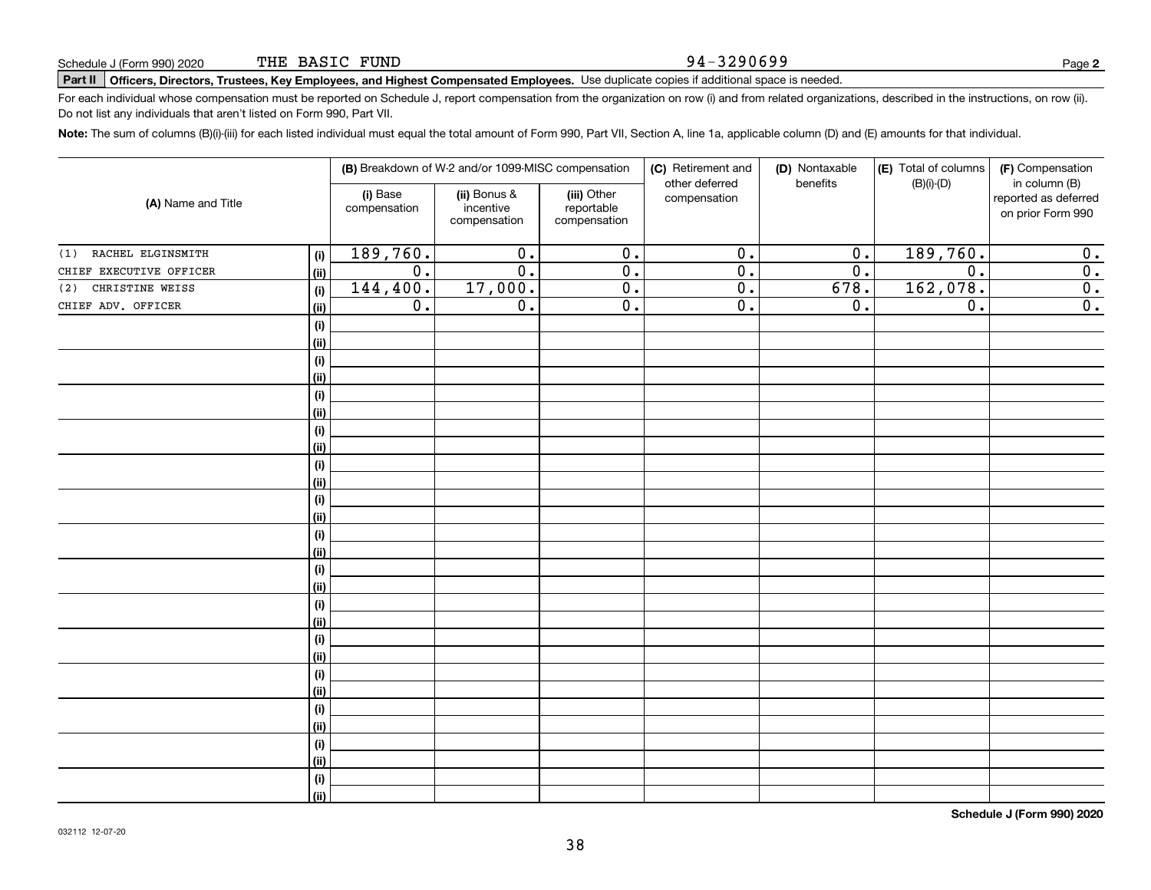#### 94-3290699

# **Part II Officers, Directors, Trustees, Key Employees, and Highest Compensated Employees.**  Schedule J (Form 990) 2020 Page Use duplicate copies if additional space is needed.

For each individual whose compensation must be reported on Schedule J, report compensation from the organization on row (i) and from related organizations, described in the instructions, on row (ii). Do not list any individuals that aren't listed on Form 990, Part VII.

**Note:**  The sum of columns (B)(i)-(iii) for each listed individual must equal the total amount of Form 990, Part VII, Section A, line 1a, applicable column (D) and (E) amounts for that individual.

| (A) Name and Title       |             | (B) Breakdown of W-2 and/or 1099-MISC compensation |                                           |                                           | (C) Retirement and<br>other deferred | (D) Nontaxable<br>benefits | (E) Total of columns<br>$(B)(i)-(D)$ | (F) Compensation<br>in column (B)         |
|--------------------------|-------------|----------------------------------------------------|-------------------------------------------|-------------------------------------------|--------------------------------------|----------------------------|--------------------------------------|-------------------------------------------|
|                          |             | (i) Base<br>compensation                           | (ii) Bonus &<br>incentive<br>compensation | (iii) Other<br>reportable<br>compensation | compensation                         |                            |                                      | reported as deferred<br>on prior Form 990 |
| RACHEL ELGINSMITH<br>(1) | (i)         | 189,760.                                           | $\overline{0}$ .                          | $\overline{0}$ .                          | $\overline{0}$ .                     | $\overline{0}$ .           | 189,760.                             | 0.                                        |
| CHIEF EXECUTIVE OFFICER  | (ii)        | $\overline{0}$ .                                   | $\overline{0}$ .                          | $\overline{0}$ .                          | $\overline{0}$ .                     | $\overline{0}$ .           | $\overline{0}$ .                     | $\overline{0}$ .                          |
| CHRISTINE WEISS<br>(2)   | (i)         | 144,400.                                           | 17,000.                                   | $\overline{0}$ .                          | $\overline{0}$ .                     | 678.                       | 162,078.                             | $\overline{0}$ .                          |
| CHIEF ADV. OFFICER       | (ii)        | $\overline{0}$ .                                   | $\overline{0}$ .                          | $\overline{0}$ .                          | $\overline{0}$ .                     | 0.                         | $\overline{0}$ .                     | $\overline{0}$ .                          |
|                          | (i)         |                                                    |                                           |                                           |                                      |                            |                                      |                                           |
|                          | (ii)        |                                                    |                                           |                                           |                                      |                            |                                      |                                           |
|                          | (i)         |                                                    |                                           |                                           |                                      |                            |                                      |                                           |
|                          | (ii)        |                                                    |                                           |                                           |                                      |                            |                                      |                                           |
|                          | (i)         |                                                    |                                           |                                           |                                      |                            |                                      |                                           |
|                          | (ii)        |                                                    |                                           |                                           |                                      |                            |                                      |                                           |
|                          | (i)         |                                                    |                                           |                                           |                                      |                            |                                      |                                           |
|                          | (ii)        |                                                    |                                           |                                           |                                      |                            |                                      |                                           |
|                          | (i)         |                                                    |                                           |                                           |                                      |                            |                                      |                                           |
|                          | (ii)        |                                                    |                                           |                                           |                                      |                            |                                      |                                           |
|                          | (i)         |                                                    |                                           |                                           |                                      |                            |                                      |                                           |
|                          | (ii)        |                                                    |                                           |                                           |                                      |                            |                                      |                                           |
|                          | (i)         |                                                    |                                           |                                           |                                      |                            |                                      |                                           |
|                          | (ii)        |                                                    |                                           |                                           |                                      |                            |                                      |                                           |
|                          | (i)         |                                                    |                                           |                                           |                                      |                            |                                      |                                           |
|                          | (ii)        |                                                    |                                           |                                           |                                      |                            |                                      |                                           |
|                          | (i)         |                                                    |                                           |                                           |                                      |                            |                                      |                                           |
|                          | (ii)        |                                                    |                                           |                                           |                                      |                            |                                      |                                           |
|                          | (i)         |                                                    |                                           |                                           |                                      |                            |                                      |                                           |
|                          | (ii)        |                                                    |                                           |                                           |                                      |                            |                                      |                                           |
|                          | (i)<br>(ii) |                                                    |                                           |                                           |                                      |                            |                                      |                                           |
|                          |             |                                                    |                                           |                                           |                                      |                            |                                      |                                           |
|                          | (i)<br>(ii) |                                                    |                                           |                                           |                                      |                            |                                      |                                           |
|                          | (i)         |                                                    |                                           |                                           |                                      |                            |                                      |                                           |
|                          | (ii)        |                                                    |                                           |                                           |                                      |                            |                                      |                                           |
|                          | (i)         |                                                    |                                           |                                           |                                      |                            |                                      |                                           |
|                          | (ii)        |                                                    |                                           |                                           |                                      |                            |                                      |                                           |
|                          |             |                                                    |                                           |                                           |                                      |                            |                                      |                                           |

**Schedule J (Form 990) 2020**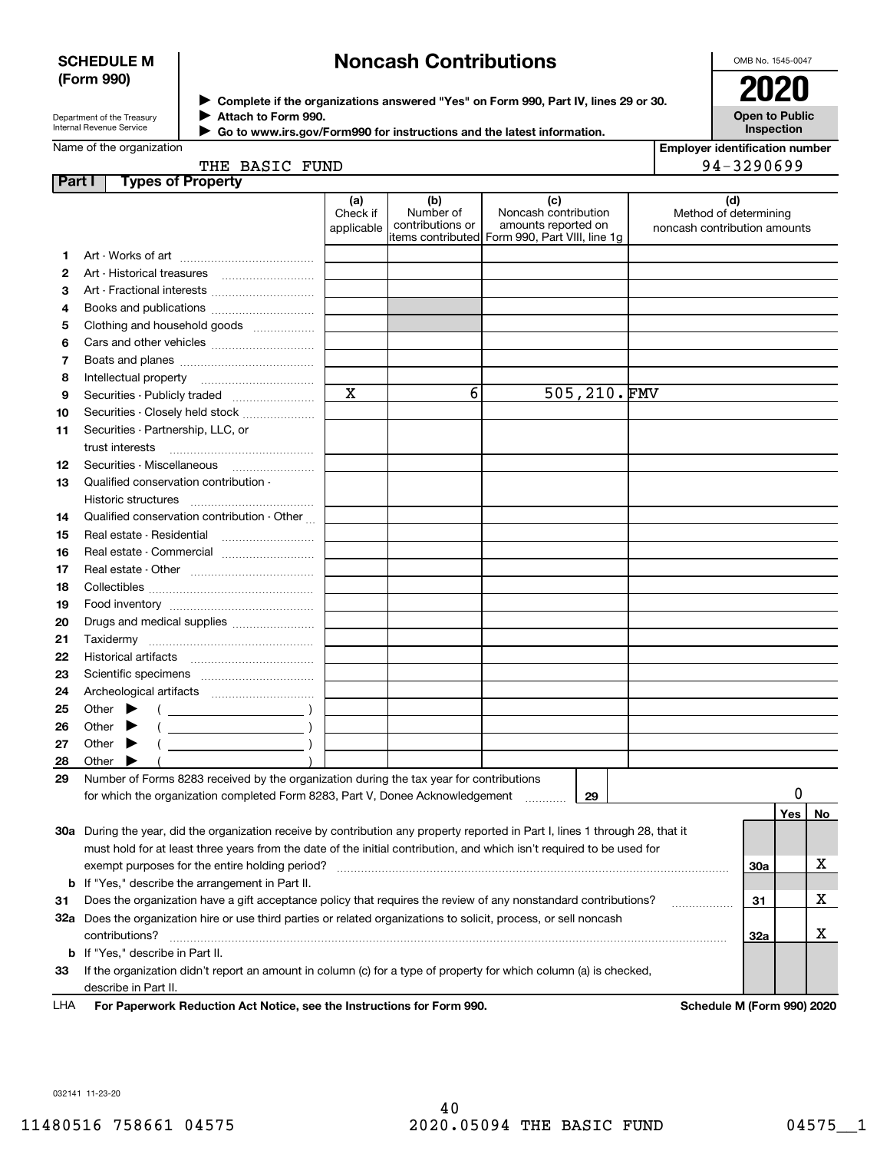### **SCHEDULE M (Form 990)**

# **Noncash Contributions**

OMB No. 1545-0047

| Department of the Treasury |
|----------------------------|
| Internal Revenue Service   |

**Complete if the organizations answered "Yes" on Form 990, Part IV, lines 29 or 30.** <sup>J</sup>**2020**  $\blacktriangleright$ 

**Open to Public Inspection**

|  | Name of the organization |
|--|--------------------------|

| __ |                                                                        |
|----|------------------------------------------------------------------------|
|    | Attach to Form 990.                                                    |
|    | Go to www.irs.gov/Form990 for instructions and the latest information. |

**Employer identification number** 94-3290699

| THE   | <b>BASIC FUND</b> |  |
|-------|-------------------|--|
| ----- |                   |  |

| Part I |       | <b>Types of Property</b>                                                                                                       |                               |                                      |                                                                                                      |                                                              |            |     |          |
|--------|-------|--------------------------------------------------------------------------------------------------------------------------------|-------------------------------|--------------------------------------|------------------------------------------------------------------------------------------------------|--------------------------------------------------------------|------------|-----|----------|
|        |       |                                                                                                                                | (a)<br>Check if<br>applicable | (b)<br>Number of<br>contributions or | (c)<br>Noncash contribution<br>amounts reported on<br>items contributed Form 990, Part VIII, line 1g | (d)<br>Method of determining<br>noncash contribution amounts |            |     |          |
| 1.     |       |                                                                                                                                |                               |                                      |                                                                                                      |                                                              |            |     |          |
| 2      |       |                                                                                                                                |                               |                                      |                                                                                                      |                                                              |            |     |          |
| з      |       |                                                                                                                                |                               |                                      |                                                                                                      |                                                              |            |     |          |
| 4      |       |                                                                                                                                |                               |                                      |                                                                                                      |                                                              |            |     |          |
| 5      |       | Clothing and household goods                                                                                                   |                               |                                      |                                                                                                      |                                                              |            |     |          |
| 6      |       |                                                                                                                                |                               |                                      |                                                                                                      |                                                              |            |     |          |
| 7      |       |                                                                                                                                |                               |                                      |                                                                                                      |                                                              |            |     |          |
| 8      |       | Intellectual property                                                                                                          |                               |                                      |                                                                                                      |                                                              |            |     |          |
| 9      |       | Securities - Publicly traded                                                                                                   | $\overline{\mathbf{x}}$       | 6                                    | 505,210.FMV                                                                                          |                                                              |            |     |          |
| 10     |       | Securities - Closely held stock                                                                                                |                               |                                      |                                                                                                      |                                                              |            |     |          |
| 11     |       | Securities - Partnership, LLC, or                                                                                              |                               |                                      |                                                                                                      |                                                              |            |     |          |
|        |       | trust interests                                                                                                                |                               |                                      |                                                                                                      |                                                              |            |     |          |
| 12     |       |                                                                                                                                |                               |                                      |                                                                                                      |                                                              |            |     |          |
| 13     |       | Qualified conservation contribution -                                                                                          |                               |                                      |                                                                                                      |                                                              |            |     |          |
|        |       | <b>Historic structures</b>                                                                                                     |                               |                                      |                                                                                                      |                                                              |            |     |          |
| 14     |       | Qualified conservation contribution - Other                                                                                    |                               |                                      |                                                                                                      |                                                              |            |     |          |
| 15     |       | Real estate - Residential                                                                                                      |                               |                                      |                                                                                                      |                                                              |            |     |          |
| 16     |       |                                                                                                                                |                               |                                      |                                                                                                      |                                                              |            |     |          |
| 17     |       |                                                                                                                                |                               |                                      |                                                                                                      |                                                              |            |     |          |
| 18     |       |                                                                                                                                |                               |                                      |                                                                                                      |                                                              |            |     |          |
| 19     |       |                                                                                                                                |                               |                                      |                                                                                                      |                                                              |            |     |          |
| 20     |       | Drugs and medical supplies                                                                                                     |                               |                                      |                                                                                                      |                                                              |            |     |          |
| 21     |       |                                                                                                                                |                               |                                      |                                                                                                      |                                                              |            |     |          |
| 22     |       |                                                                                                                                |                               |                                      |                                                                                                      |                                                              |            |     |          |
| 23     |       |                                                                                                                                |                               |                                      |                                                                                                      |                                                              |            |     |          |
| 24     |       |                                                                                                                                |                               |                                      |                                                                                                      |                                                              |            |     |          |
| 25     |       | Other $\blacktriangleright$<br>$\left(\begin{array}{ccc} \begin{array}{ccc} \end{array} & & \end{array}\right)$                |                               |                                      |                                                                                                      |                                                              |            |     |          |
| 26     |       | Other $\blacktriangleright$                                                                                                    |                               |                                      |                                                                                                      |                                                              |            |     |          |
| 27     |       | Other $\blacktriangleright$                                                                                                    |                               |                                      |                                                                                                      |                                                              |            |     |          |
| 28     | Other |                                                                                                                                |                               |                                      |                                                                                                      |                                                              |            |     |          |
| 29     |       | Number of Forms 8283 received by the organization during the tax year for contributions                                        |                               |                                      |                                                                                                      |                                                              |            |     |          |
|        |       | for which the organization completed Form 8283, Part V, Donee Acknowledgement                                                  |                               |                                      | 29                                                                                                   |                                                              |            | 0   |          |
|        |       |                                                                                                                                |                               |                                      |                                                                                                      |                                                              |            | Yes | No       |
|        |       | 30a During the year, did the organization receive by contribution any property reported in Part I, lines 1 through 28, that it |                               |                                      |                                                                                                      |                                                              |            |     |          |
|        |       | must hold for at least three years from the date of the initial contribution, and which isn't required to be used for          |                               |                                      |                                                                                                      |                                                              |            |     |          |
|        |       | exempt purposes for the entire holding period?                                                                                 |                               |                                      |                                                                                                      |                                                              | <b>30a</b> |     | х        |
|        |       | <b>b</b> If "Yes," describe the arrangement in Part II.                                                                        |                               |                                      |                                                                                                      |                                                              |            |     |          |
| 31     |       | Does the organization have a gift acceptance policy that requires the review of any nonstandard contributions?                 |                               |                                      |                                                                                                      |                                                              | 31         |     | х        |
|        |       | 32a Does the organization hire or use third parties or related organizations to solicit, process, or sell noncash              |                               |                                      |                                                                                                      |                                                              |            |     |          |
|        |       | contributions?                                                                                                                 |                               |                                      |                                                                                                      |                                                              | 32a        |     | х        |
|        |       | <b>b</b> If "Yes," describe in Part II.                                                                                        |                               |                                      |                                                                                                      |                                                              |            |     |          |
| 33     |       | If the organization didn't report an amount in column (c) for a type of property for which column (a) is checked,              |                               |                                      |                                                                                                      |                                                              |            |     |          |
|        |       | describe in Part II.                                                                                                           |                               |                                      |                                                                                                      |                                                              |            |     |          |
|        |       |                                                                                                                                |                               |                                      |                                                                                                      | $\mathbf{r}$ , and $\mathbf{r}$                              |            |     | 0.001000 |

**For Paperwork Reduction Act Notice, see the Instructions for Form 990. Schedule M (Form 990) 2020** LHA

032141 11-23-20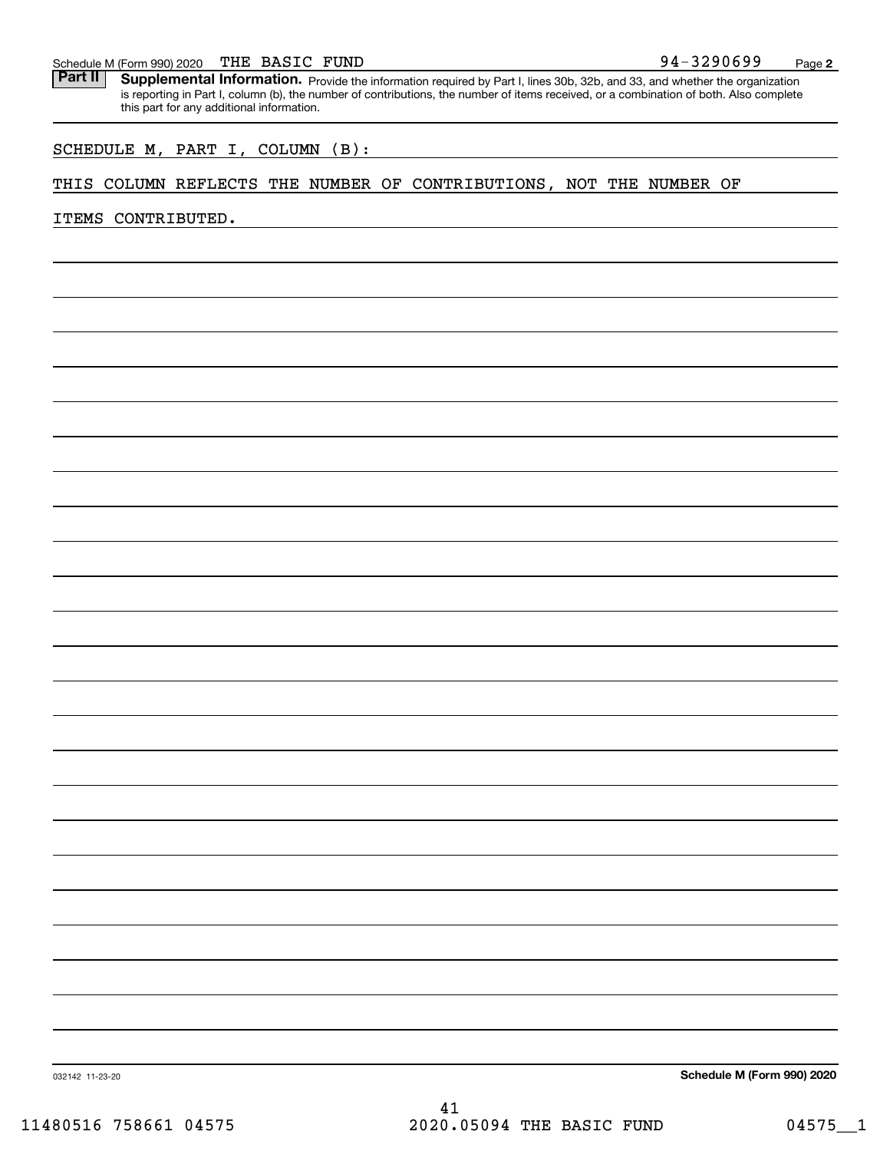### THE BASIC FUND

Schedule M (Form 990) 2020 THE BASIC FUND<br>**Part II** Supplemental Information. Provide the information required by Part I. lines 30b. 32b. and 33, and whether the organ Part II | Supplemental Information. Provide the information required by Part I, lines 30b, 32b, and 33, and whether the organization is reporting in Part I, column (b), the number of contributions, the number of items received, or a combination of both. Also complete this part for any additional information.

### SCHEDULE M, PART I, COLUMN (B):

### THIS COLUMN REFLECTS THE NUMBER OF CONTRIBUTIONS, NOT THE NUMBER OF

### ITEMS CONTRIBUTED.

**Schedule M (Form 990) 2020**

032142 11-23-20

41 11480516 758661 04575 2020.05094 THE BASIC FUND 04575 1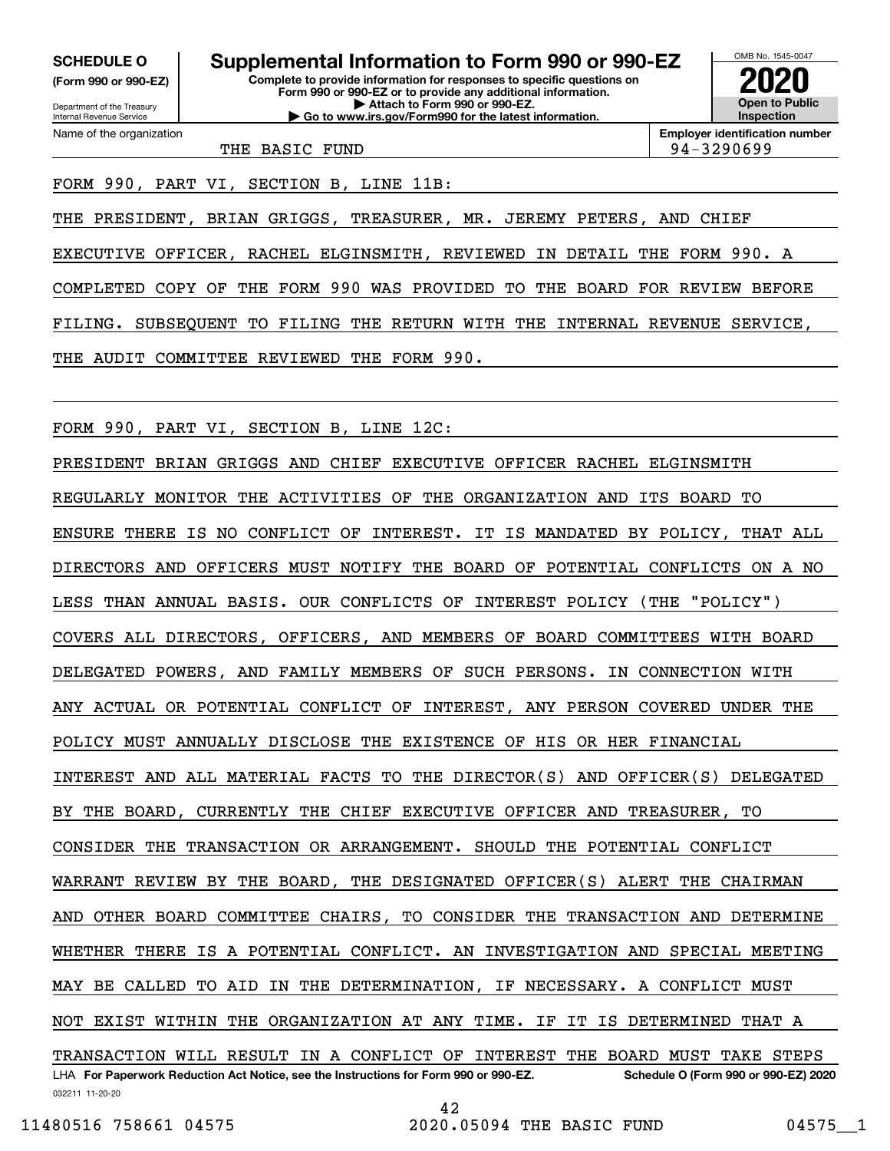**(Form 990 or 990-EZ)**

Department of the Treasury Internal Revenue Service Name of the organization

**Complete to provide information for responses to specific questions on Form 990 or 990-EZ or to provide any additional information. | Attach to Form 990 or 990-EZ. | Go to www.irs.gov/Form990 for the latest information. SCHEDULE O Supplemental Information to Form 990 or 990-EZ**



**Employer identification number**

THE BASIC FUND 94-3290699

FORM 990, PART VI, SECTION B, LINE 11B:

THE PRESIDENT, BRIAN GRIGGS, TREASURER, MR. JEREMY PETERS, AND CHIEF EXECUTIVE OFFICER, RACHEL ELGINSMITH, REVIEWED IN DETAIL THE FORM 990. A COMPLETED COPY OF THE FORM 990 WAS PROVIDED TO THE BOARD FOR REVIEW BEFORE FILING. SUBSEQUENT TO FILING THE RETURN WITH THE INTERNAL REVENUE SERVICE, THE AUDIT COMMITTEE REVIEWED THE FORM 990.

FORM 990, PART VI, SECTION B, LINE 12C:

032211 11-20-20 LHA For Paperwork Reduction Act Notice, see the Instructions for Form 990 or 990-EZ. Schedule O (Form 990 or 990-EZ) 2020 PRESIDENT BRIAN GRIGGS AND CHIEF EXECUTIVE OFFICER RACHEL ELGINSMITH REGULARLY MONITOR THE ACTIVITIES OF THE ORGANIZATION AND ITS BOARD TO ENSURE THERE IS NO CONFLICT OF INTEREST. IT IS MANDATED BY POLICY, THAT ALL DIRECTORS AND OFFICERS MUST NOTIFY THE BOARD OF POTENTIAL CONFLICTS ON A NO LESS THAN ANNUAL BASIS. OUR CONFLICTS OF INTEREST POLICY (THE "POLICY") COVERS ALL DIRECTORS, OFFICERS, AND MEMBERS OF BOARD COMMITTEES WITH BOARD DELEGATED POWERS, AND FAMILY MEMBERS OF SUCH PERSONS. IN CONNECTION WITH ANY ACTUAL OR POTENTIAL CONFLICT OF INTEREST, ANY PERSON COVERED UNDER THE POLICY MUST ANNUALLY DISCLOSE THE EXISTENCE OF HIS OR HER FINANCIAL INTEREST AND ALL MATERIAL FACTS TO THE DIRECTOR(S) AND OFFICER(S) DELEGATED BY THE BOARD, CURRENTLY THE CHIEF EXECUTIVE OFFICER AND TREASURER, TO CONSIDER THE TRANSACTION OR ARRANGEMENT. SHOULD THE POTENTIAL CONFLICT WARRANT REVIEW BY THE BOARD, THE DESIGNATED OFFICER(S) ALERT THE CHAIRMAN AND OTHER BOARD COMMITTEE CHAIRS, TO CONSIDER THE TRANSACTION AND DETERMINE WHETHER THERE IS A POTENTIAL CONFLICT. AN INVESTIGATION AND SPECIAL MEETING MAY BE CALLED TO AID IN THE DETERMINATION, IF NECESSARY. A CONFLICT MUST NOT EXIST WITHIN THE ORGANIZATION AT ANY TIME. IF IT IS DETERMINED THAT A TRANSACTION WILL RESULT IN A CONFLICT OF INTEREST THE BOARD MUST TAKE STEPS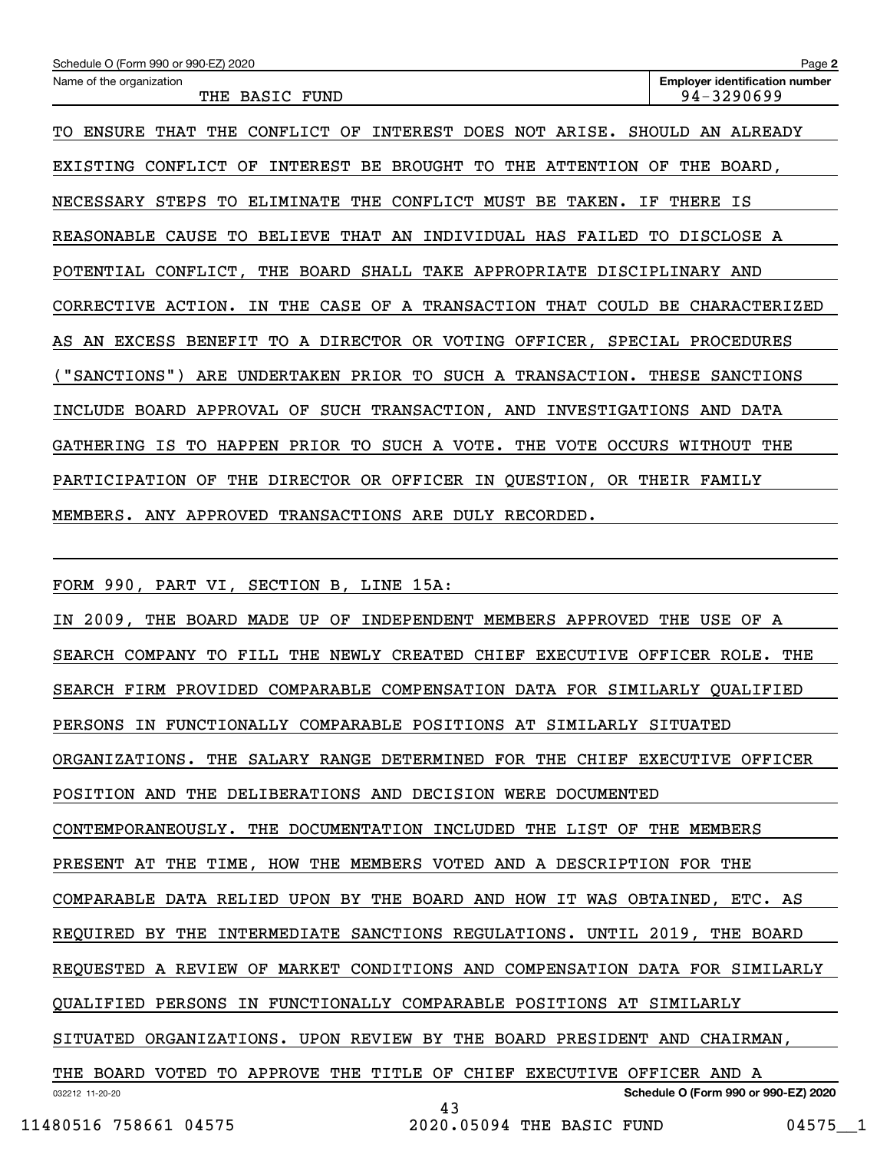| Schedule O (Form 990 or 990-EZ) 2020                                         | Page 2                                              |  |  |  |  |
|------------------------------------------------------------------------------|-----------------------------------------------------|--|--|--|--|
| Name of the organization<br>THE BASIC FUND                                   | <b>Employer identification number</b><br>94-3290699 |  |  |  |  |
| TO ENSURE THAT THE CONFLICT OF INTEREST DOES NOT ARISE. SHOULD AN ALREADY    |                                                     |  |  |  |  |
| EXISTING CONFLICT OF INTEREST BE BROUGHT TO THE ATTENTION OF THE BOARD,      |                                                     |  |  |  |  |
| NECESSARY STEPS TO ELIMINATE THE CONFLICT MUST BE TAKEN.<br>ΙF<br>THERE IS   |                                                     |  |  |  |  |
| REASONABLE CAUSE TO BELIEVE THAT AN INDIVIDUAL HAS FAILED TO DISCLOSE A      |                                                     |  |  |  |  |
| POTENTIAL CONFLICT, THE BOARD SHALL TAKE APPROPRIATE DISCIPLINARY AND        |                                                     |  |  |  |  |
| CORRECTIVE ACTION. IN THE CASE OF A TRANSACTION THAT COULD BE CHARACTERIZED  |                                                     |  |  |  |  |
| AS AN EXCESS BENEFIT TO A DIRECTOR OR VOTING OFFICER, SPECIAL PROCEDURES     |                                                     |  |  |  |  |
| ("SANCTIONS")<br>ARE UNDERTAKEN PRIOR TO SUCH A TRANSACTION. THESE SANCTIONS |                                                     |  |  |  |  |
| INCLUDE BOARD APPROVAL OF SUCH TRANSACTION, AND INVESTIGATIONS AND DATA      |                                                     |  |  |  |  |
| GATHERING IS TO HAPPEN PRIOR TO SUCH A VOTE. THE VOTE OCCURS WITHOUT THE     |                                                     |  |  |  |  |
| PARTICIPATION OF THE DIRECTOR OR OFFICER IN QUESTION, OR THEIR FAMILY        |                                                     |  |  |  |  |
| MEMBERS. ANY APPROVED TRANSACTIONS ARE DULY RECORDED.                        |                                                     |  |  |  |  |
|                                                                              |                                                     |  |  |  |  |
| SECTION B, LINE 15A:<br>FORM 990, PART VI,                                   |                                                     |  |  |  |  |
| IN 2009, THE BOARD MADE UP OF INDEPENDENT MEMBERS APPROVED THE USE OF A      |                                                     |  |  |  |  |
| SEARCH COMPANY TO FILL THE NEWLY CREATED CHIEF EXECUTIVE OFFICER ROLE. THE   |                                                     |  |  |  |  |
| SEARCH FIRM PROVIDED COMPARABLE COMPENSATION DATA FOR SIMILARLY QUALIFIED    |                                                     |  |  |  |  |
| PERSONS IN FUNCTIONALLY COMPARABLE POSITIONS AT SIMILARLY SITUATED           |                                                     |  |  |  |  |

ORGANIZATIONS. THE SALARY RANGE DETERMINED FOR THE CHIEF EXECUTIVE OFFICER

POSITION AND THE DELIBERATIONS AND DECISION WERE DOCUMENTED

CONTEMPORANEOUSLY. THE DOCUMENTATION INCLUDED THE LIST OF THE MEMBERS

PRESENT AT THE TIME, HOW THE MEMBERS VOTED AND A DESCRIPTION FOR THE

COMPARABLE DATA RELIED UPON BY THE BOARD AND HOW IT WAS OBTAINED, ETC. AS

REQUIRED BY THE INTERMEDIATE SANCTIONS REGULATIONS. UNTIL 2019, THE BOARD

REQUESTED A REVIEW OF MARKET CONDITIONS AND COMPENSATION DATA FOR SIMILARLY

QUALIFIED PERSONS IN FUNCTIONALLY COMPARABLE POSITIONS AT SIMILARLY

SITUATED ORGANIZATIONS. UPON REVIEW BY THE BOARD PRESIDENT AND CHAIRMAN,

032212 11-20-20 **Schedule O (Form 990 or 990-EZ) 2020** THE BOARD VOTED TO APPROVE THE TITLE OF CHIEF EXECUTIVE OFFICER AND A

43